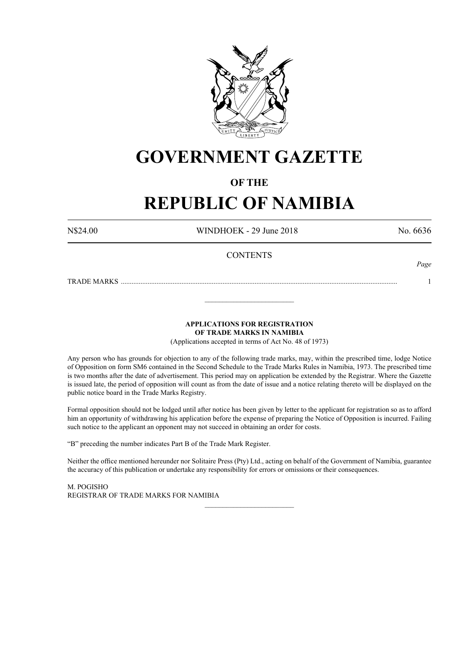

# **GOVERNMENT GAZETTE**

# **OF THE**

# **REPUBLIC OF NAMIBIA**

N\$24.00 WINDHOEK - 29 June 2018 No. 6636

*Page*

# **CONTENTS**

TRADE MARKS ........................................................................................................................................................... 1

**APPLICATIONS FOR REGISTRATION**

**OF TRADE MARKS IN NAMIBIA**

\_\_\_\_\_\_\_\_\_\_\_\_\_\_\_\_\_\_\_\_\_\_\_\_\_

(Applications accepted in terms of Act No. 48 of 1973)

Any person who has grounds for objection to any of the following trade marks, may, within the prescribed time, lodge Notice of Opposition on form SM6 contained in the Second Schedule to the Trade Marks Rules in Namibia, 1973. The prescribed time is two months after the date of advertisement. This period may on application be extended by the Registrar. Where the Gazette is issued late, the period of opposition will count as from the date of issue and a notice relating thereto will be displayed on the public notice board in the Trade Marks Registry.

Formal opposition should not be lodged until after notice has been given by letter to the applicant for registration so as to afford him an opportunity of withdrawing his application before the expense of preparing the Notice of Opposition is incurred. Failing such notice to the applicant an opponent may not succeed in obtaining an order for costs.

"B" preceding the number indicates Part B of the Trade Mark Register.

Neither the office mentioned hereunder nor Solitaire Press (Pty) Ltd., acting on behalf of the Government of Namibia, guarantee the accuracy of this publication or undertake any responsibility for errors or omissions or their consequences.

\_\_\_\_\_\_\_\_\_\_\_\_\_\_\_\_\_\_\_\_\_\_\_\_\_

M. PogIsho REGISTRAR OF TRADE MARKS FOR NAMIBIA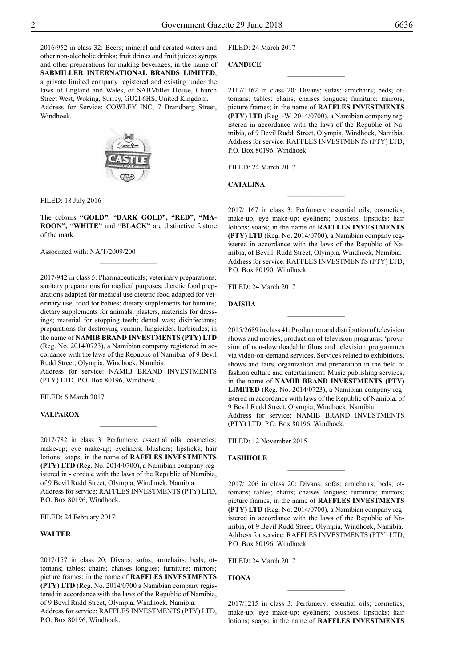2016/952 in class 32: Beers; mineral and aerated waters and other non-alcoholic drinks; fruit drinks and fruit juices; syrups and other preparations for making beverages; in the name of **SABMILLER INTERNATIONAL BRANDS LIMITED**, a private limited company registered and existing under the laws of England and Wales, of SABMiIIer House, Church Street West, Woking, Surrey, GU2I 6HS, United Kingdom. Address for Service: COWLEY INC, 7 Brandberg Street, Windhoek.



Filed: 18 July 2016

The colours "GOLD", "DARK GOLD", "RED", "MA**roon", "WHITE"** and **"BLACK"** are distinctive feature of the mark.

 $\frac{1}{2}$ 

Associated with: NA/T/2009/200

2017/942 in class 5: Pharmaceuticals; veterinary preparations; sanitary preparations for medical purposes; dietetic food preparations adapted for medical use dietetic food adapted for veterinary use; food for babies; dietary supplements for humans; dietary supplements for animals; plasters, materials for dressings; material for stopping teeth; dental wax; disinfectants; preparations for destroying vermin; fungicides; herbicides; in the name of **NAMIB BRAND INVESTMENTS (PTY) LTD** (Reg. No. 2014/0723), a Namibian company registered in accordance with the laws of the Republic of Namibia, of 9 Bevil Rudd Street, Olympia, Windhoek, Namibia.

Address for service: NAMIB BRAND INVESTMENTS (PTY) LTD, P.O. Box 80196, Windhoek.

FILED: 6 March 2017

# **VALPAROX**

2017/782 in class 3: Perfumery; essential oils; cosmetics; make-up; eye make-up; eyeliners; blushers; lipsticks; hair lotions; soaps; in the name of **RAFFLES INVESTMENTS (PTY) LTD** (Reg. No. 2014/0700), a Namibian company registered in - corda e with the laws of the Republic of Namibia, of 9 Bevil Rudd Street, Olympia, Windhoek, Namibia. Address for service: RAFFLES INVESTMENTS (PTY) LTD, P.O. Box 80196, Windhoek.

 $\frac{1}{2}$ 

FILED: 24 February 2017

# **Walter**

2017/157 in class 20: Divans; sofas; armchairs; beds; ottomans; tables; chairs; chaises longues; furniture; mirrors; picture frames; in the name of **RAFFLES INVESTMENTS (PTY) LTD** (Reg. No. 2014/0700 a Namibian company registered in accordance with the laws of the Republic of Namibia, of 9 Bevil Rudd Street, Olympia, Windhoek, Namibia. Address for service: RAFFLES INVESTMENTS (PTY) LTD, P.O. Box 80196, Windhoek.

 $\overline{\phantom{a}}$  , where  $\overline{\phantom{a}}$ 

Filed: 24 March 2017

# **Candice**

2117/1162 in class 20: Divans; sofas; armchairs; beds; ottomans; tables; chairs; chaises longues; furniture; mirrors; picture frames; in the name of **RAFFLES INVESTMENTS (PTY) LTD** (Reg. -W. 2014/0700), a Namibian company registered in accordance with the laws of the Republic of Namibia, of 9 Bevil Rudd Street, Olympia, Windhoek, Namibia. Address for service: RAFFLES INVESTMENTS (PTY) LTD, P.O. Box 80196, Windhoek.

 $\overline{\phantom{a}}$  , where  $\overline{\phantom{a}}$ 

Filed: 24 March 2017

# **Catalina**

2017/1167 in class 3: Perfumery; essential oils; cosmetics; make-up; eye make-up; eyeliners; blushers; lipsticks; hair lotions; soaps; in the name of **RAFFLES INVESTMENTS (PTY) LTD** (Reg. No. 2014/0700), a Namibian company registered in accordance with the laws of the Republic of Namibia, of Bevill Rudd Street, Olympia, Windhoek, Namibia. Address for service: RAFFLES INVESTMENTS (PTY) LTD, P.O. Box 80190, Windhoek.

 $\frac{1}{2}$ 

Filed: 24 March 2017

#### **Daisha**

2015/2689 in class 41: Production and distribution of television shows and movies; production of television programs; 'provision of non-downloadable films and television programmes via video-on-demand services. Services related to exhibitions, shows and fairs, organization and preparation in the field of fashion culture and entertainment. Music publishing services; in the name of **NAMIB BRAND INVESTMENTS (PTY) LIMITED** (Reg. No. 2014/0723), a Namibian company registered in accordance with laws of the Republic of Namibia, of 9 Bevil Rudd Street, Olympia, Windhoek, Namibia. Address for service: NAMIB BRAND INVESTMENTS (PTY) LTD, P.O. Box 80196, Windhoek.

FILED: 12 November 2015

#### **FASHHOLE**

2017/1206 in class 20: Divans; sofas; armchairs; beds; ottomans; tables; chairs; chaises longues; furniture; mirrors; picture frames; in the name of **RAFFLES INVESTMENTS (PTY) LTD** (Reg. No. 2014/0700), a Namibian company registered in accordance with the laws of the Republic of Namibia, of 9 Bevil Rudd Street, Olympia, Windhoek, Namibia. Address for service: RAFFLES INVESTMENTS (PTY) LTD, P.O. Box 80196, Windhoek.

 $\frac{1}{2}$ 

Filed: 24 March 2017

# **Fiona**

2017/1215 in class 3: Perfumery; essential oils; cosmetics; make-up; eye make-up; eyeliners; blushers; lipsticks; hair lotions; soaps; in the name of **RAFFLES INVESTMENTS**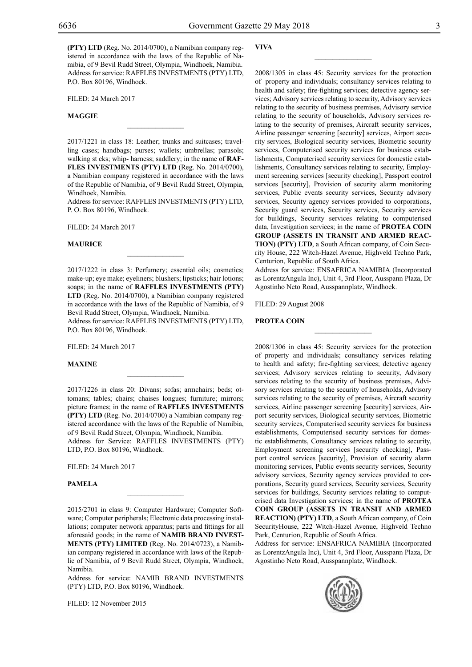**(PTY) LTD** (Reg. No. 2014/0700), a Namibian company registered in accordance with the laws of the Republic of Namibia, of 9 Bevil Rudd Street, Olympia, Windhoek, Namibia. Address for service: RAFFLES INVESTMENTS (PTY) LTD, P.O. Box 80196, Windhoek.

Filed: 24 March 2017

# **Maggie**

2017/1221 in class 18: Leather; trunks and suitcases; travelling cases; handbags; purses; wallets; umbrellas; parasols; walking st cks; whip- harness; saddlery; in the name of **RAF-FLES INVESTMENTS (PTY) LTD** (Reg. No. 2014/0700), a Namibian company registered in accordance with the laws of the Republic of Namibia, of 9 Bevil Rudd Street, Olympia, Windhoek, Namibia.

 $\overline{\phantom{a}}$  , where  $\overline{\phantom{a}}$ 

Address for service: RAFFLES INVESTMENTS (PTY) LTD, P. O. Box 80196, Windhoek.

Filed: 24 March 2017

#### **Maurice**

2017/1222 in class 3: Perfumery; essential oils; cosmetics; make-up; eye make; eyeliners; blushers; lipsticks; hair lotions; soaps; in the name of **RAFFLES INVESTMENTS (PTY) LTD** (Reg. No. 2014/0700), a Namibian company registered in accordance with the laws of the Republic of Namibia, of 9 Bevil Rudd Street, Olympia, Windhoek, Namibia.

 $\overline{\phantom{a}}$  , where  $\overline{\phantom{a}}$ 

Address for service: RAFFLES INVESTMENTS (PTY) LTD, P.O. Box 80196, Windhoek.

Filed: 24 March 2017

# **Maxine**

2017/1226 in class 20: Divans; sofas; armchairs; beds; ottomans; tables; chairs; chaises longues; furniture; mirrors; picture frames; in the name of **RAFFLES INVESTMENTS (PTY) LTD** (Reg. No. 2014/0700) a Namibian company registered accordance with the laws of the Republic of Namibia, of 9 Bevil Rudd Street, Olympia, Windhoek, Namibia. Address for Service: Raffles Investments (Pty) LTD, P.O. Box 80196, Windhoek.

 $\mathcal{L}=\mathcal{L}^{\mathcal{L}}$ 

Filed: 24 March 2017

#### **Pamela**

2015/2701 in class 9: Computer Hardware; Computer Software; Computer peripherals; Electronic data processing installations; computer network apparatus; parts and fittings for all aforesaid goods; in the name of **NAMIB BRAND INVEST-MENTS (PTY) LIMITED** (Reg. No. 2014/0723), a Namibian company registered in accordance with laws of the Republic of Namibia, of 9 Bevil Rudd Street, Olympia, Windhoek, Namibia.

 $\frac{1}{2}$ 

Address for service: NAMIB BRAND INVESTMENTS (PTY) LTD, P.O. Box 80196, Windhoek.

Filed: 12 November 2015

#### **Viva**

2008/1305 in class 45: Security services for the protection of property and individuals; consultancy services relating to health and safety; fire-fighting services; detective agency services; Advisory services relating to security, Advisory services relating to the security of business premises, Advisory service relating to the security of households, Advisory services relating to the security of premises, Aircraft security services, Airline passenger screening [security] services, Airport security services, Biological security services, Biometric security services, Computerised security services for business establishments, Computerised security services for domestic establishments, Consultancy services relating to security, Employment screening services [security checking], Passport control services [security], Provision of security alarm monitoring services, Public events security services, Security advisory services, Security agency services provided to corporations, Security guard services, Security services, Security services for buildings, Security services relating to computerised data, Investigation services; in the name of **PROTEA COIN GROUP (ASSETS IN TRANSIT AND ARMED REAC-TION) (PTY) LTD**, a South African company, of Coin Security House, 222 Witch-Hazel Avenue, Highveld Techno Park, Centurion, Republic of South Africa.

 $\overline{\phantom{a}}$  , where  $\overline{\phantom{a}}$ 

Address for service: ENSAFRICA NAMIBIA (Incorporated as LorentzAngula Inc), Unit 4, 3rd Floor, Ausspann Plaza, Dr Agostinho Neto Road, Ausspannplatz, Windhoek.

 $\overline{\phantom{a}}$  , where  $\overline{\phantom{a}}$ 

Filed: 29 August 2008

#### **PROTEA COIN**

2008/1306 in class 45: Security services for the protection of property and individuals; consultancy services relating to health and safety; fire-fighting services; detective agency services; Advisory services relating to security, Advisory services relating to the security of business premises, Advisory services relating to the security of households, Advisory services relating to the security of premises, Aircraft security services, Airline passenger screening [security] services, Airport security services, Biological security services, Biometric security services, Computerised security services for business establishments, Computerised security services for domestic establishments, Consultancy services relating to security, Employment screening services [security checking], Passport control services [security], Provision of security alarm monitoring services, Public events security services, Security advisory services, Security agency services provided to corporations, Security guard services, Security services, Security services for buildings, Security services relating to computerised data Investigation services; in the name of **PROTEA COIN GROUP (ASSETS IN TRANSIT AND ARMED REACTION) (PTY) LTD**, a South African company, of Coin SecurityHouse, 222 Witch-Hazel Avenue, Highveld Techno Park, Centurion, Republic of South Africa.

Address for service: ENSafrica Namibia (Incorporated as LorentzAngula Inc), Unit 4, 3rd Floor, Ausspann Plaza, Dr Agostinho Neto Road, Ausspannplatz, Windhoek.

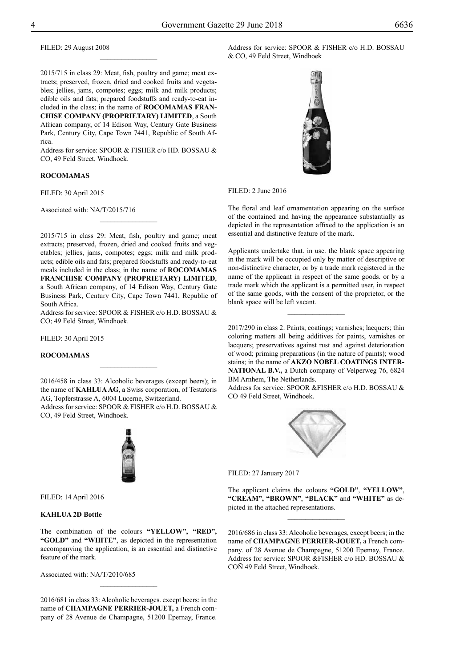2015/715 in class 29: Meat, fish, poultry and game; meat extracts; preserved, frozen, dried and cooked fruits and vegetables; jellies, jams, compotes; eggs; milk and milk products; edible oils and fats; prepared foodstuffs and ready-to-eat in-

cluded in the class; in the name of **ROCOMAMAS FRAN-CHISE COMPANY (PROPRIETARY) LIMITED**, a South African company, of 14 Edison Way, Century Gate Business Park, Century City, Cape Town 7441, Republic of South Africa.

 $\frac{1}{2}$ 

Address for service: SPOOR & FISHER c/o HD. BOSSAU & CO, 49 Feld Street, Windhoek.

#### **ROCOMAMAS**

FILED: 30 April 2015

Associated with: NA/T/2015/716

2015/715 in class 29: Meat, fish, poultry and game; meat extracts; preserved, frozen, dried and cooked fruits and vegetables; jellies, jams, compotes; eggs; milk and milk products; edible oils and fats; prepared foodstuffs and ready-to-eat meals included in the class; in the name of **ROCOMAMAS FRANCHISE COMPANY (PROPRIETARY) LIMITED**, a South African company, of 14 Edison Way, Century Gate Business Park, Century City, Cape Town 7441, Republic of South Africa.

 $\frac{1}{2}$ 

Address for service: SPOOR & FISHER c/o H.D. BOSSAU & Co; 49 Feld Street, Windhoek.

FILED: 30 April 2015

# **RocoMamas**

2016/458 in class 33: Alcoholic beverages (except beers); in the name of **KAHLUA AG**, a Swiss corporation, of Testatoris AG, Topferstrasse A, 6004 Lucerne, Switzerland.

 $\frac{1}{2}$ 

Address for service: SPOOR & FISHER c/o H.D. BOSSAU & CO, 49 Feld Street, Windhoek.



FILED: 14 April 2016

# **KAHLUA 2D Bottle**

The combination of the colours **"YELLOW", "RED", "GOLD"** and **"WHITE"**, as depicted in the representation accompanying the application, is an essential and distinctive feature of the mark.

Associated with: NA/T/2010/685

2016/681 in class 33: Alcoholic beverages. except beers: in the name of **CHAMPAGNE PERRIER-JOUET,** a French company of 28 Avenue de Champagne, 51200 Epernay, France.

 $\frac{1}{2}$ 

Address for service: SPOOR & FISHER c/o H.D. BOSSAU & CO, 49 Feld Street, Windhoek



FILED: 2 June 2016

The floral and leaf ornamentation appearing on the surface of the contained and having the appearance substantially as depicted in the representation affixed to the application is an essential and distinctive feature of the mark.

Applicants undertake that. in use. the blank space appearing in the mark will be occupied only by matter of descriptive or non-distinctive character, or by a trade mark registered in the name of the applicant in respect of the same goods. or by a trade mark which the applicant is a permitted user, in respect of the same goods, with the consent of the proprietor, or the blank space will be left vacant.

 $\overline{\phantom{a}}$  , where  $\overline{\phantom{a}}$ 

2017/290 in class 2: Paints; coatings; varnishes; lacquers; thin coloring matters all being additives for paints, varnishes or lacquers; preservatives against rust and against deterioration of wood; priming preparations (in the nature of paints); wood stains; in the name of **AKZO NOBEL COATINGS INTER-NATIONAL B.V.,** a Dutch company of Velperweg 76, 6824 BM Arnhem, The Netherlands.

Address for service: SPOOR &FISHER c/o H.D. BOSSAU & CO 49 Feld Street, Windhoek.



FILED: 27 January 2017

The applicant claims the colours **"GOLD"**, **"YELLOW"**, **"CREAM", "BROWN"**, **"BLACK"** and **"WHITE"** as depicted in the attached representations.

 $\frac{1}{2}$ 

2016/686 in class 33: Alcoholic beverages, except beers; in the name of **CHAMPAGNE PERRIER-JOUET,** a French company. of 28 Avenue de Champagne, 51200 Epemay, France. Address for service: SPOOR &FISHER c/o HD. BOSSAU & COÑ 49 Feld Street, Windhoek.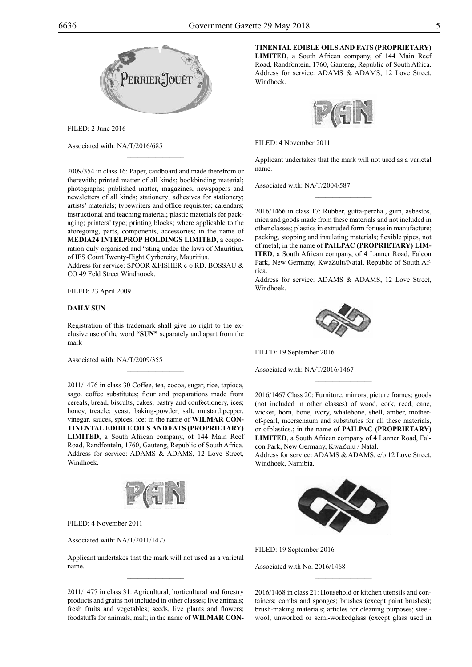

FILED: 2 June 2016

Associated with: NA/T/2016/685

2009/354 in class 16: Paper, cardboard and made therefrom or therewith; printed matter of all kinds; bookbinding material; photographs; published matter, magazines, newspapers and newsletters of all kinds; stationery; adhesives for stationery; artists' materials; typewriters and office requisites; calendars; instructional and teaching material; plastic materials for packaging; printers' type; printing blocks; where applicable to the aforegoing, parts, components, accessories; in the name of **MEDIA24 INTELPROP HOLDINGS LIMITED**, a corporation duly organised and "sting under the laws of Mauritius, of IFS Court Twenty-Eight Cyrbercity, Mauritius.

 $\mathcal{L}=\mathcal{L}^{\mathcal{L}}$ 

Address for service: SPOOR &FISHER c o RD. BOSSAU & CO 49 Feld Street Windhooek.

# FILED: 23 April 2009

# **DAILY SUN**

Registration of this trademark shall give no right to the exclusive use of the word **"SUN"** separately and apart from the mark

 $\mathcal{L}=\mathcal{L}^{\mathcal{L}}$ 

Associated with: NA/T/2009/355

2011/1476 in class 30 Coffee, tea, cocoa, sugar, rice, tapioca, sago. coffee substitutes; flour and preparations made from cereals, bread, biscults, cakes, pastry and confectionery, ices; honey, treacle; yeast, baking-powder, salt, mustard;pepper, vinegar, sauces, spices; ice; in the name of **WILMAR CON-TINENTAL EDIBLE OILS AND FATS (PROPRIETARY) LIMITED**, a South African company, of 144 Main Reef Road, Randfonteln, 1760, Gauteng, Republic of South Africa. Address for service: ADAMS & ADAMS, 12 Love Street, Windhoek.



Filed: 4 November 2011

Associated with: NA/T/2011/1477

Applicant undertakes that the mark will not used as a varietal name.

2011/1477 in class 31: Agricultural, horticultural and forestry products and grains not included in other classes; live animals; fresh fruits and vegetables; seeds, live plants and flowers; foodstuffs for animals, malt; in the name of **WILMAR CON-** **TINENTAL EDIBLE OILS AND FATS (PROPRIETARY) LIMITED**, a South African company, of 144 Main Reef Road, Randfontein, 1760, Gauteng, Republic of South Africa. Address for service: ADAMS & ADAMS, 12 Love Street, Windhoek.



Filed: 4 November 2011

Applicant undertakes that the mark will not used as a varietal name.

 $\frac{1}{2}$ 

Associated with: NA/T/2004/587

2016/1466 in class 17: Rubber, gutta-percha., gum, asbestos, mica and goods made from these materials and not included in other classes; plastics in extruded form for use in manufacture; packing, stopping and insulating materials; flexible pipes, not of metal; in the name of **PAILPAC (PROPRIETARY) LIM-ITED**, a South African company, of 4 Lanner Road, Falcon Park, New Germany, KwaZulu/Natal, Republic of South Africa.

Address for service: ADAMS & ADAMS, 12 Love Street, Windhoek.



FILED: 19 September 2016

Associated with: NA/T/2016/1467

2016/1467 Class 20: Furniture, mirrors, picture frames; goods (not included in other classes) of wood, cork, reed, cane, wicker, horn, bone, ivory, whalebone, shell, amber, motherof-pearl, meerschaum and substitutes for all these materials, or ofplastics.; in the name of **PAILPAC (PROPRIETARY) LIMITED**, a South African company of 4 Lanner Road, Falcon Park, New Germany, KwaZulu / Natal.

 $\frac{1}{2}$ 

Address for service: ADAMS & ADAMS, c/o 12 Love Street, Windhoek, Namibia.



FILED: 19 September 2016

Associated with No. 2016/1468

2016/1468 in class 21: Household or kitchen utensils and containers; combs and sponges; brushes (except paint brushes); brush-making materials; articles for cleaning purposes; steelwool; unworked or semi-workedglass (except glass used in

 $\frac{1}{2}$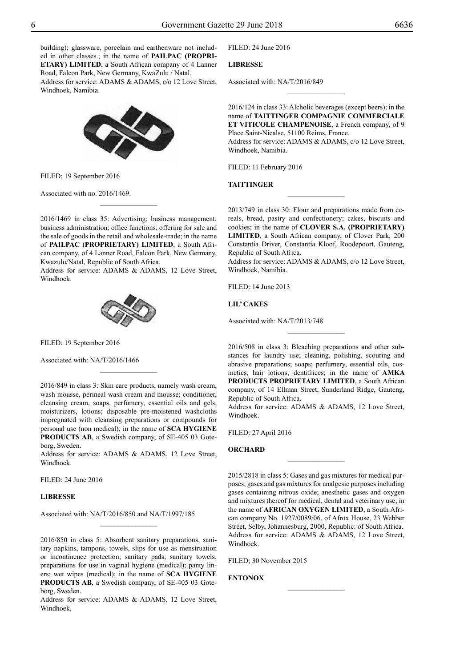building); glassware, porcelain and earthenware not included in other classes.; in the name of **PAILPAC (PROPRI-ETARY) LIMITED**, a South African company of 4 Lanner Road, Falcon Park, New Germany, KwaZulu / Natal.

Address for service: ADAMS & ADAMS, c/o 12 Love Street, Windhoek, Namibia.



FILED: 19 September 2016

Associated with no. 2016/1469.

2016/1469 in class 35: Advertising; business management; business administration; office functions; offering for sale and the sale of goods in the retail and wholesale-trade; in the name of **PAILPAC (PROPRIETARY) LIMITED**, a South African company, of 4 Lanner Road, Falcon Park, New Germany, Kwazulu/Natal, Republic of South Africa.

 $\frac{1}{2}$ 

Address for service: ADAMS & ADAMS, 12 Love Street, Windhoek.



FILED: 19 September 2016

Associated with: NA/T/2016/1466

2016/849 in class 3: Skin care products, namely wash cream, wash mousse, perineal wash cream and mousse; conditioner, cleansing cream, soaps, perfumery, essential oils and gels, moisturizers, lotions; disposable pre-moistened washcloths impregnated with cleansing preparations or compounds for personal use (non medical); in the name of **SCA HYGIENE PRODUCTS AB**, a Swedish company, of SE-405 03 Goteborg, Sweden.

 $\overline{\phantom{a}}$  , where  $\overline{\phantom{a}}$ 

Address for service: ADAMS & ADAMS, 12 Love Street, Windhoek.

Filed: 24 June 2016

# **LIBRESSE**

Associated with: NA/T/2016/850 and NA/T/1997/185

2016/850 in class 5: Absorbent sanitary preparations, sanitary napkins, tampons, towels, slips for use as menstruation or incontinence protection; sanitary pads; sanitary towels; preparations for use in vaginal hygiene (medical); panty liners; wet wipes (medical); in the name of **SCA HYGIENE PRODUCTS AB**, a Swedish company, of SE-405 03 Goteborg, Sweden.

 $\frac{1}{2}$ 

Address for service: ADAMS & ADAMS, 12 Love Street, Windhoek,

Filed: 24 June 2016

# **LIBRESSE**

Associated with: NA/T/2016/849

2016/124 in class 33: Alcholic beverages (except beers); in the name of **TAITTINGER COMPAGNIE COMMERCIALE ET VITICOLE CHAMPENOISE**, a French company, of 9 Place Saint-Nicalse, 51100 Reims, France. Address for service: ADAMS & ADAMS, c/o 12 Love Street, Windhoek, Namibia.

 $\frac{1}{2}$ 

FILED: 11 February 2016

# **TAITTINGER**

2013/749 in class 30: Flour and preparations made from cereals, bread, pastry and confectionery; cakes, biscuits and cookies; in the name of **CLOVER S.A. (PROPRIETARY) LIMITED**, a South African company, of Clover Park, 200 Constantia Driver, Constantia Kloof, Roodepoort, Gauteng, Republic of South Africa.

 $\frac{1}{2}$ 

Address for service: ADAMS & ADAMS, c/o 12 Love Street, Windhoek, Namibia.

Filed: 14 June 2013

**LIL' CAKES**

Associated with: NA/T/2013/748

2016/508 in class 3: Bleaching preparations and other substances for laundry use; cleaning, polishing, scouring and abrasive preparations; soaps; perfumery, essential oils, cosmetics, hair lotions; dentifrices; in the name of **AMKA PRODUCTS PROPRIETARY LIMITED**, a South African company, of 14 Ellman Street, Sunderland Ridge, Gauteng, Republic of South Africa.

 $\frac{1}{2}$ 

Address for service: ADAMS & ADAMS, 12 Love Street, Windhoek.

 $\frac{1}{2}$ 

Filed: 27 April 2016

#### **ORCHARD**

2015/2818 in class 5: Gases and gas mixtures for medical purposes; gases and gas mixtures for analgesic purposes including gases containing nitrous oxide; anesthetic gases and oxygen and mixtures thereof for medical, dental and veterinary use; in the name of **AFRICAN OXYGEN LIMITED**, a South African company No. 1927/0089/06, of Afrox House, 23 Webber Street, Selby, Johannesburg, 2000, Republic: of South Africa. Address for service: ADAMS & ADAMS, 12 Love Street, Windhoek.

Filed; 30 November 2015

# **ENTONOX**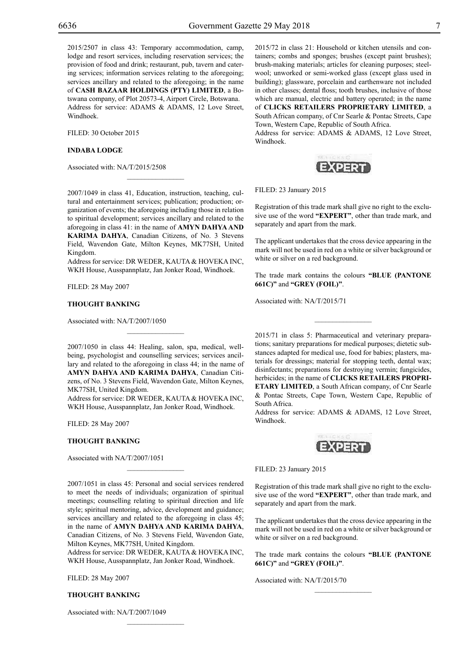2015/2507 in class 43: Temporary accommodation, camp, lodge and resort services, including reservation services; the provision of food and drink; restaurant, pub, tavern and catering services; information services relating to the aforegoing; services ancillary and related to the aforegoing; in the name of **CASH BAZAAR HOLDINGS (PTY) LIMITED**, a Botswana company, of Plot 20573-4, Airport Circle, Botswana. Address for service: ADAMS & ADAMS, 12 Love Street, Windhoek.

FILED: 30 October 2015

# **INDABA LODGE**

Associated with: NA/T/2015/2508

2007/1049 in class 41, Education, instruction, teaching, cultural and entertainment services; publication; production; organization of events; the aforegoing including those in relation to spiritual development; services ancillary and related to the aforegoing in class 41: in the name of **AMYN DAHYA AND KARIMA DAHYA**, Canadian Citizens, of No. 3 Stevens Field, Wavendon Gate, Milton Keynes, MK77SH, United Kingdom.

 $\mathcal{L}=\mathcal{L}^{\mathcal{L}}$ 

Address for service: DR WEDER, KAUTA & HOVEKA INC, WKH House, Ausspannplatz, Jan Jonker Road, Windhoek.

Filed: 28 May 2007

#### **THOUGHT BANKING**

Associated with: NA/T/2007/1050

2007/1050 in class 44: Healing, salon, spa, medical, wellbeing, psychologist and counselling services; services ancillary and related to the aforegoing in class 44; in the name of **AMYN DAHYA AND KARIMA DAHYA**, Canadian Citizens, of No. 3 Stevens Field, Wavendon Gate, Milton Keynes, MK77SH, United Kingdom.

 $\mathcal{L}=\mathcal{L}^{\mathcal{L}}$ 

Address for service: DR WEDER, KAUTA & HOVEKA INC, WKH House, Ausspannplatz, Jan Jonker Road, Windhoek.

Filed: 28 May 2007

# **THOUGHT BANKING**

Associated with NA/T/2007/1051

2007/1051 in class 45: Personal and social services rendered to meet the needs of individuals; organization of spiritual meetings; counselling relating to spiritual direction and life style; spiritual mentoring, advice, development and guidance; services ancillary and related to the aforegoing in class 45: in the name of **AMYN DAHYA AND KARIMA DAHYA**, Canadian Citizens, of No. 3 Stevens Field, Wavendon Gate, Milton Keynes, MK77SH, United Kingdom.

 $\mathcal{L}=\mathcal{L}^{\mathcal{L}}$ 

Address for service: DR WEDER, KAUTA & HOVEKA INC, WKH House, Ausspannplatz, Jan Jonker Road, Windhoek.

 $\mathcal{L}=\mathcal{L}^{\mathcal{L}}$ 

Filed: 28 May 2007

# **THOUGHT BANKING**

Associated with: NA/T/2007/1049

2015/72 in class 21: Household or kitchen utensils and containers; combs and sponges; brushes (except paint brushes); brush-making materials; articles for cleaning purposes; steelwool; unworked or semi-worked glass (except glass used in building); glassware, porcelain and earthenware not included in other classes; dental floss; tooth brushes, inclusive of those which are manual, electric and battery operated; in the name of **CLICKS RETAILERS PROPRIETARY LIMITED**, a South African company, of Cnr Searle & Pontac Streets, Cape Town, Western Cape, Republic of South Africa.

Address for service: ADAMS & ADAMS, 12 Love Street, Windhoek.



FILED: 23 January 2015

Registration of this trade mark shall give no right to the exclusive use of the word **"EXPERT"**, other than trade mark, and separately and apart from the mark.

The applicant undertakes that the cross device appearing in the mark will not be used in red on a white or silver background or white or silver on a red background.

The trade mark contains the colours "BLUE (PANTONE **661C)"** and **"grey (Foil)"**.

 $\frac{1}{2}$ 

Associated with: NA/T/2015/71

2015/71 in class 5: Pharmaceutical and veterinary preparations; sanitary preparations for medical purposes; dietetic substances adapted for medical use, food for babies; plasters, materials for dressings; material for stopping teeth, dental wax; disinfectants; preparations for destroying vermin; fungicides, herbicides; in the name of **CLICKS RETAILERS PROPRI-ETARY LIMITED**, a South African company, of Cnr Searle & Pontac Streets, Cape Town, Western Cape, Republic of South Africa.

Address for service: ADAMS & ADAMS, 12 Love Street, Windhoek.



FILED: 23 January 2015

Registration of this trade mark shall give no right to the exclusive use of the word **"EXPERT"**, other than trade mark, and separately and apart from the mark.

The applicant undertakes that the cross device appearing in the mark will not be used in red on a white or silver background or white or silver on a red background.

The trade mark contains the colours "BLUE (PANTONE **661C)"** and **"grey (Foil)"**.

 $\overline{\phantom{a}}$  , where  $\overline{\phantom{a}}$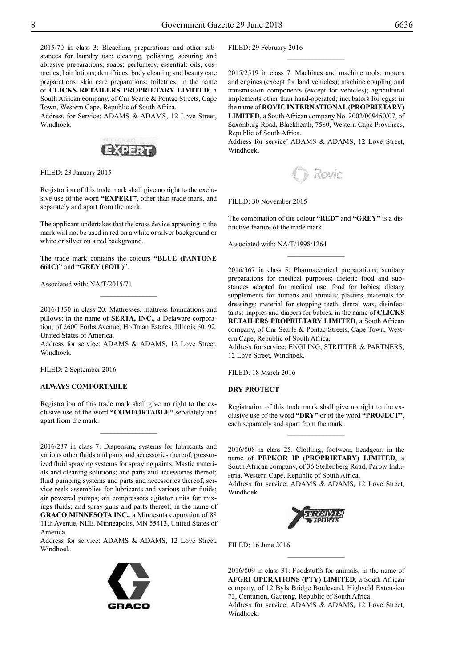2015/70 in class 3: Bleaching preparations and other substances for laundry use; cleaning, polishing, scouring and abrasive preparations; soaps; perfumery, essential: oils, cosmetics, hair lotions; dentifrices; body cleaning and beauty care preparations; skin care preparations; toiletries; in the name of **CLICKS RETAILERS PROPRIETARY LIMITED**, a South African company, of Cnr Searle & Pontac Streets, Cape Town, Western Cape, Republic of South Africa.

Address for Service: ADAMS & ADAMS, 12 Love Street, Windhoek.



FILED: 23 January 2015

Registration of this trade mark shall give no right to the exclusive use of the word **"EXPERT"**, other than trade mark, and separately and apart from the mark.

The applicant undertakes that the cross device appearing in the mark will not be used in red on a white or silver background or white or silver on a red background.

The trade mark contains the colours "BLUE (PANTONE **661C)"** and **"grey (Foil)"**.

Associated with: NA/T/2015/71

2016/1330 in class 20: Mattresses, mattress foundations and pillows; in the name of **SERTA, INC.**, a Delaware corporation, of 2600 Forbs Avenue, Hoffman Estates, Illinois 60192, United States of America.

Address for service: ADAMS & ADAMS, 12 Love Street, Windhoek.

Filed: 2 September 2016

# **ALWAYS COMFORTABLE**

Registration of this trade mark shall give no right to the exclusive use of the word **"COMFORTABLE"** separately and apart from the mark.

 $\frac{1}{2}$ 

2016/237 in class 7: Dispensing systems for lubricants and various other fluids and parts and accessories thereof; pressurized fluid spraying systems for spraying paints, Mastic materials and cleaning solutions; and parts and accessories thereof; fluid pumping systems and parts and accessories thereof; service reels assemblies for lubricants and various other fluids; air powered pumps; air compressors agitator units for mixings fluids; and spray guns and parts thereof; in the name of **GRACO MINNESOTA INC.**, a Minnesota coporation of 88 11th Avenue, NEE. Minneapolis, MN 55413, United States of America.

Address for service: ADAMS & ADAMS, 12 Love Street, Windhoek.



FILED: 29 February 2016

2015/2519 in class 7: Machines and machine tools; motors and engines (except for land vehicles); machine coupling and transmission components (except for vehicles); agricultural implements other than hand-operated; incubators for eggs: in the name of **ROVIC INTERNATIONAL (PROPRIETARY) LIMITED**, a South African company No. 2002/009450/07, of Saxonburg Road, Blackheath, 7580, Western Cape Provinces, Republic of South Africa.

 $\frac{1}{2}$ 

Address for service' ADAMS & ADAMS, 12 Love Street, Windhoek.

Rovic

#### FILED: 30 November 2015

The combination of the colour **"RED"** and **"GREY"** is a distinctive feature of the trade mark.

Associated with: NA/T/1998/1264

2016/367 in class 5: Pharmaceutical preparations; sanitary preparations for medical purposes; dietetic food and substances adapted for medical use, food for babies; dietary supplements for humans and animals; plasters, materials for dressings; material for stopping teeth, dental wax, disinfectants: nappies and diapers for babies; in the name of **CLICKS RETAILERS PROPRIETARY LIMITED**, a South African company, of Cnr Searle & Pontac Streets, Cape Town, Western Cape, Republic of South Africa,

Address for service: ENGLING, STRITTER & PARTNERS, 12 Love Street, Windhoek.

 $FII$  FD $\cdot$  18 March 2016

# **DRY PROTECT**

Registration of this trade mark shall give no right to the exclusive use of the word **"DRY"** or of the word **"PROJECT"**, each separately and apart from the mark.

 $\frac{1}{2}$ 

2016/808 in class 25: Clothing, footwear, headgear; in the name of **PEPKOR IP (PROPRIETARY) LIMITED**, a South African company, of 36 Stellenberg Road, Parow Industria, Western Cape, Republic of South Africa.

Address for service: ADAMS & ADAMS, 12 Love Street, Windhoek.



Filed: 16 June 2016

2016/809 in class 31: Foodstuffs for animals; in the name of **AFGRI OPERATIONS (PTY) LIMITED**, a South African company, of 12 ByIs Bridge Boulevard, Highveld Extension 73, Centurion, Gauteng, Republic of South Africa. Address for service: ADAMS & ADAMS, 12 Love Street, Windhoek.

 $\frac{1}{2}$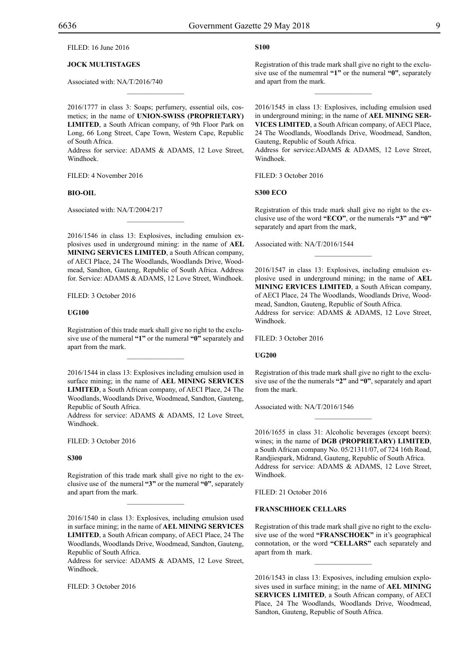# Filed: 16 June 2016

# **JOCK MULTISTAGES**

Associated with: NA/T/2016/740

2016/1777 in class 3: Soaps; perfumery, essential oils, cosmetics; in the name of **UNION-SWISS (PROPRIETARY) LIMITED**, a South African company, of 9th Floor Park on Long, 66 Long Street, Cape Town, Western Cape, Republic of South Africa.

 $\mathcal{L}=\mathcal{L}^{\mathcal{L}}$ 

Address for service: ADAMS & ADAMS, 12 Love Street, Windhoek.

FILED: 4 November 2016

#### **BIO-OIL**

Associated with: NA/T/2004/217

2016/1546 in class 13: Explosives, including emulsion explosives used in underground mining: in the name of **AEL MINING SERVICES LIMITED**, a South African company, of AECI Place, 24 The Woodlands, Woodlands Drive, Woodmead, Sandton, Gauteng, Republic of South Africa. Address for. Service: ADAMS & ADAMS, 12 Love Street, Windhoek.

 $\mathcal{L}=\mathcal{L}^{\mathcal{L}}$ 

FILED: 3 October 2016

#### **UG100**

Registration of this trade mark shall give no right to the exclusive use of the numeral **"1"** or the numeral **"0"** separately and apart from the mark.

2016/1544 in class 13: Explosives including emulsion used in surface mining; in the name of **AEL MINING SERVICES LIMITED**, a South African company, of AECI Place, 24 The Woodlands, Woodlands Drive, Woodmead, Sandton, Gauteng, Republic of South Africa.

Address for service: ADAMS & ADAMS, 12 Love Street, Windhoek.

FILED: 3 October 2016

#### **S300**

Registration of this trade mark shall give no right to the exclusive use of the numeral **"3"** or the numeral **"0"**, separately and apart from the mark.

 $\mathcal{L}=\mathcal{L}^{\mathcal{L}}$ 

2016/1540 in class 13: Explosives, including emulsion used in surface mining; in the name of **AEL MINING SERVICES LIMITED**, a South African company, of AECI Place, 24 The Woodlands, Woodlands Drive, Woodmead, Sandton, Gauteng, Republic of South Africa.

Address for service: ADAMS & ADAMS, 12 Love Street, Windhoek.

FILED: 3 October 2016

# **s100**

Registration of this trade mark shall give no right to the exclusive use of the numemral **"1"** or the numeral **"0"**, separately and apart from the mark.

 $\frac{1}{2}$ 

2016/1545 in class 13: Explosives, including emulsion used in underground mining; in the name of **AEL MINING SER-VICES LIMITED**, a South African company, of AECI Place, 24 The Woodlands, Woodlands Drive, Woodmead, Sandton, Gauteng, Republic of South Africa.

Address for service: ADAMS & ADAMS, 12 Love Street, Windhoek.

FILED: 3 October 2016

#### **S300 Eco**

Registration of this trade mark shall give no right to the exclusive use of the word **"ECO"**, or the numerals **"3"** and **"0"**  separately and apart from the mark,

Associated with: NA/T/2016/1544

2016/1547 in class 13: Explosives, including emulsion explosive used in underground mining; in the name of **AEL MINING ERVICES LIMITED**, a South African company, of AECI Place, 24 The Woodlands, Woodlands Drive, Woodmead, Sandton, Gauteng, Republic of South Africa. Address for service: ADAMS & ADAMS, 12 Love Street, Windhoek.

FILED: 3 October 2016

#### **UG200**

Registration of this trade mark shall give no right to the exclusive use of the the numerals **"2"** and **"0"**, separately and apart from the mark.

 $\overline{\phantom{a}}$  , where  $\overline{\phantom{a}}$ 

Associated with: NA/T/2016/1546

2016/1655 in class 31: Alcoholic beverages (except beers): wines; in the name of **DGB (PROPRIETARY) LIMITED**, a South African company No. 05/21311/07, of 724 16th Road, Randjiespark, Midrand, Gauteng, Republic of South Africa. Address for service: ADAMS & ADAMS, 12 Love Street, Windhoek.

Filed: 21 October 2016

# **FRANSCHHOEK CELLARS**

Registration of this trade mark shall give no right to the exclusive use of the word **"FRANSCHOEK"** in it's geographical connotation, or the word **"CELLARS"** each separately and apart from th mark.

 $\frac{1}{2}$ 

2016/1543 in class 13: Exposives, including emulsion explosives used in surface mining; in the name of **AEL MINING SERVICES LIMITED**, a South African company, of AECI Place, 24 The Woodlands, Woodlands Drive, Woodmead, Sandton, Gauteng, Republic of South Africa.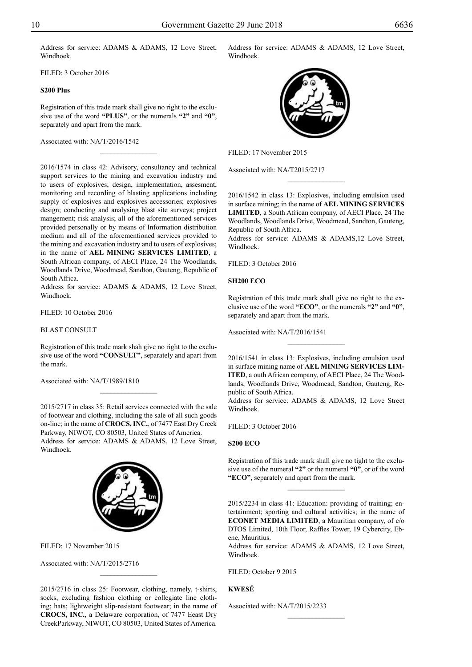Address for service: ADAMS & ADAMS, 12 Love Street, Windhoek.

FILED: 3 October 2016

# **S200 Plus**

Registration of this trade mark shall give no right to the exclusive use of the word **"PLUS"**, or the numerals **"2"** and **"0"**, separately and apart from the mark.

 $\frac{1}{2}$ 

Associated with: NA/T/2016/1542

2016/1574 in class 42: Advisory, consultancy and technical support services to the mining and excavation industry and to users of explosives; design, implementation, assesment, monitoring and recording of blasting applications including supply of explosives and explosives accessories; explosives design; conducting and analysing blast site surveys; project mangement; risk analysis; all of the aforementioned services provided personally or by means of Information distribution medium and all of the aforementioned services provided to the mining and excavation industry and to users of explosives; in the name of **AEL MINING SERVICES LIMITED**, a South African company, of AECI Place, 24 The Woodlands, Woodlands Drive, Woodmead, Sandton, Gauteng, Republic of South Africa.

Address for service: ADAMS & ADAMS, 12 Love Street, Windhoek.

FILED: 10 October 2016

BLAST CONSULT

Registration of this trade mark shah give no right to the exclusive use of the word **"CONSULT"**, separately and apart from the mark.

 $\overline{\phantom{a}}$  , where  $\overline{\phantom{a}}$ 

Associated with: NA/T/1989/1810

2015/2717 in class 35: Retail services connected with the sale of footwear and clothing, including the sale of all such goods on-line; in the name of **CROCS, INC.**, of 7477 East Dry Creek Parkway, NIWOT, CO 80503, United States of America. Address for service: ADAMS & ADAMS, 12 Love Street, Windhoek.



Filed: 17 November 2015

Associated with: NA/T/2015/2716

2015/2716 in class 25: Footwear, clothing, namely, t-shirts, socks, excluding fashion clothing or collegiate line clothing; hats; lightweight slip-resistant footwear; in the name of **CROCS, INC.**, a Delaware corporation, of 7477 Eeast Dry CreekParkway, NIWOT, CO 80503, United States of America.

 $\frac{1}{2}$ 

Address for service: ADAMS & ADAMS, 12 Love Street, Windhoek.



Filed: 17 November 2015

Associated with: NA/T2015/2717

2016/1542 in class 13: Explosives, including emulsion used in surface mining; in the name of **AEL MINING SERVICES LIMITED**, a South African company, of AECI Place, 24 The Woodlands, Woodlands Drive, Woodmead, Sandton, Gauteng, Republic of South Africa.

 $\frac{1}{2}$ 

Address for service: ADAMS & ADAMS, 12 Love Street, Windhoek.

Filed: 3 October 2016

# **SH200 Eco**

Registration of this trade mark shall give no right to the exclusive use of the word **"ECO"**, or the numerals **"2"** and **"0"**, separately and apart from the mark.

Associated with: NA/T/2016/1541

2016/1541 in class 13: Explosives, including emulsion used in surface mining name of **AEL MINING SERVICES LIM-ITED**, a outh African company, of AECI Place, 24 The Woodlands, Woodlands Drive, Woodmead, Sandton, Gauteng, Republic of South Africa.

 $\frac{1}{2}$ 

Address for service: ADAMS & ADAMS, 12 Love Street Windhoek.

FILED: 3 October 2016

# **S200 Eco**

Registration of this trade mark shall give no tight to the exclusive use of the numeral **"2"** or the numeral **"0"**, or of the word **"ECO"**, separately and apart from the mark.

 $\frac{1}{2}$ 

2015/2234 in class 41: Education: providing of training; entertainment; sporting and cultural activities; in the name of **ECONET MEDIA LIMITED**, a Mauritian company, of c/o DTOS Limited, 10th Floor, Raffles Tower, 19 Cybercity, Ebene, Mauritius.

Address for service: ADAMS & ADAMS, 12 Love Street, Windhoek.

 $\frac{1}{2}$ 

FILED: October 9 2015

# **KWESÉ**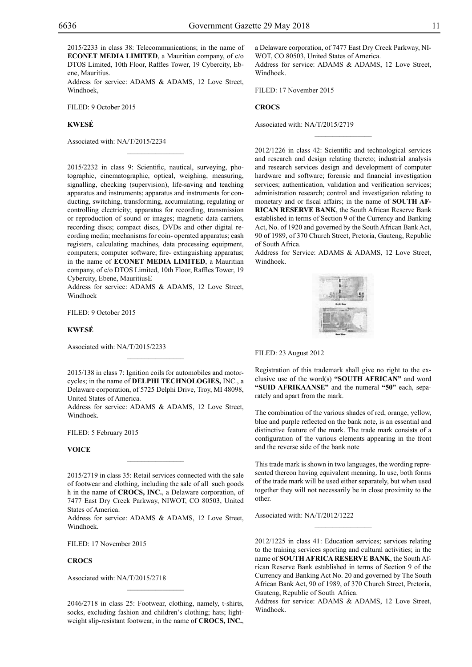2015/2233 in class 38: Telecommunications; in the name of **ECONET MEDIA LIMITED**, a Mauritian company, of c/o DTOS Limited, 10th Floor, Raffles Tower, 19 Cybercity, Ebene, Mauritius.

Address for service: ADAMS & ADAMS, 12 Love Street, Windhoek,

 $\frac{1}{2}$ 

Filed: 9 October 2015

# **KWESÉ**

Associated with: NA/T/2015/2234

2015/2232 in class 9: Scientific, nautical, surveying, photographic, cinematographic, optical, weighing, measuring, signalling, checking (supervision), life-saving and teaching apparatus and instruments; apparatus and instruments for conducting, switching, transforming, accumulating, regulating or controlling electricity; apparatus for recording, transmission or reproduction of sound or images; magnetic data carriers, recording discs; compact discs, DVDs and other digital recording media; mechanisms for coin- operated apparatus; cash registers, calculating machines, data processing equipment, computers; computer software; fire- extinguishing apparatus; in the name of **ECONET MEDIA LIMITED**, a Mauritian company, of c/o DTOS Limited, 10th Floor, Raffles Tower, 19 Cybercity, Ebene, MauritiusE

Address for service: ADAMS & ADAMS, 12 Love Street, Windhoek

FILED: 9 October 2015

#### **KWESÉ**

Associated with: NA/T/2015/2233

2015/138 in class 7: Ignition coils for automobiles and motorcycles; in the name of **DELPHI TECHNOLOGIES,** INC., a Delaware corporation, of 5725 Delphi Drive, Troy, MI 48098, United States of America.

Address for service: ADAMS & ADAMS, 12 Love Street, Windhoek.

FILED: 5 February 2015

# **VOICE**

2015/2719 in class 35: Retail services connected with the sale of footwear and clothing, including the sale of all such goods h in the name of **CROCS, INC.**, a Delaware corporation, of 7477 East Dry Creek Parkway, NIWOT, CO 80503, United States of America.

 $\frac{1}{2}$ 

Address for service: ADAMS & ADAMS, 12 Love Street, Windhoek.

Filed: 17 November 2015

# **CROCS**

Associated with: NA/T/2015/2718

2046/2718 in class 25: Footwear, clothing, namely, t-shirts, socks, excluding fashion and children's clothing; hats; lightweight slip-resistant footwear, in the name of **CROCS, INC.**, a Delaware corporation, of 7477 East Dry Creek Parkway, NI-WOT, CO 80503, United States of America. Address for service: ADAMS & ADAMS, 12 Love Street, Windhoek.

Filed: 17 November 2015

# **CROCS**

Associated with: NA/T/2015/2719

2012/1226 in class 42: Scientific and technological services and research and design relating thereto; industrial analysis and research services design and development of computer hardware and software; forensic and financial investigation services; authentication, validation and verification services; administration research; control and investigation relating to monetary and or fiscal affairs; in the name of **SOUTH AF-RICAN RESERVE BANK**, the South African Reserve Bank established in terms of Section 9 of the Currency and Banking Act, No. of 1920 and governed by the South African Bank Act, 90 of 1989, of 370 Church Street, Pretoria, Gauteng, Republic of South Africa.

 $\frac{1}{2}$ 

Address for Service: ADAMS & ADAMS, 12 Love Street, Windhoek.



Filed: 23 August 2012

Registration of this trademark shall give no right to the exclusive use of the word(s) **"SOUTH AFRICAN"** and word **"SUID AFRIKAANSE"** and the numeral **"50"** each, separately and apart from the mark.

The combination of the various shades of red, orange, yellow, blue and purple reflected on the bank note, is an essential and distinctive feature of the mark. The trade mark consists of a configuration of the various elements appearing in the front and the reverse side of the bank note

This trade mark is shown in two languages, the wording represented thereon having equivalent meaning. In use, both forms of the trade mark will be used either separately, but when used together they will not necessarily be in close proximity to the other.

Associated with: NA/T/2012/1222

2012/1225 in class 41: Education services; services relating to the training services sporting and cultural activities; in the name of **SOUTH AFRICA RESERVE BANK**, the South African Reserve Bank established in terms of Section 9 of the Currency and Banking Act No. 20 and governed by The South African Bank Act, 90 of 1989, of 370 Church Street, Pretoria, Gauteng, Republic of South Africa.

Address for service: ADAMS & ADAMS, 12 Love Street, Windhoek.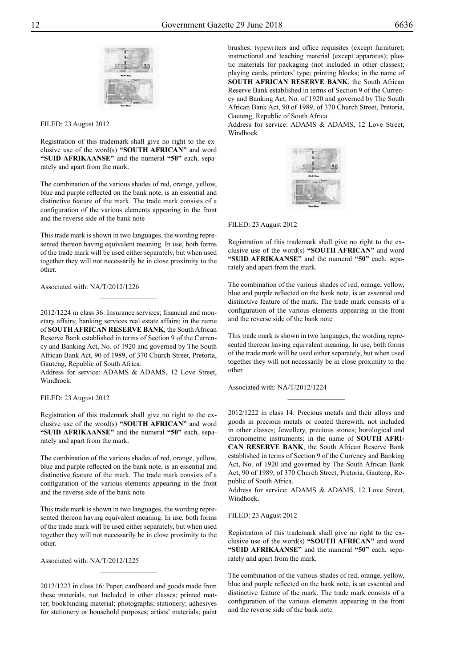

#### Filed: 23 August 2012

Registration of this trademark shall give no right to the exclusive use of the word(s) **"SOUTH AFRICAN"** and word **"SUID AFRIKAANSE"** and the numeral **"50"** each, separately and apart from the mark.

The combination of the various shades of red, orange, yellow, blue and purple reflected on the bank note, is an essential and distinctive feature of the mark. The trade mark consists of a configuration of the various elements appearing in the front and the reverse side of the bank note

This trade mark is shown in two languages, the wording represented thereon having equivalent meaning. In use, both forms of the trade mark will be used either separately, but when used together they will not necessarily be in close proximity to the other.

Associated with: NA/T/2012/1226

2012/1224 in class 36: Insurance services; financial and monetary affairs; banking services real estate affairs; in the name of **SOUTH AFRICAN RESERVE BANK**, the South African Reserve Bank established in terms of Section 9 of the Currency and Banking Act, No. of 1920 and governed by The South African Bank Act, 90 of 1989, of 370 Church Street, Pretoria, Gauteng, Republic of South Africa.

 $\overline{\phantom{a}}$  , where  $\overline{\phantom{a}}$ 

Address for service: ADAMS & ADAMS, 12 Love Street, Windhoek.

Filed: 23 August 2012

Registration of this trademark shall give no right to the exclusive use of the word(s) **"SOUTH AFRICAN"** and word **"SUID AFRIKAANSE"** and the numeral **"50"** each, separately and apart from the mark.

The combination of the various shades of red, orange, yellow, blue and purple reflected on the bank note, is an essential and distinctive feature of the mark. The trade mark consists of a configuration of the various elements appearing in the front and the reverse side of the bank note

This trade mark is shown in two languages, the wording represented thereon having equivalent meaning. In use, both forms of the trade mark will be used either separately, but when used together they will not necessarily be in close proximity to the other.

Associated with: NA/T/2012/1225

2012/1223 in class 16: Paper, cardboard and goods made from these materials, not Included in other classes; printed matter; bookbinding material; photographs; stationery; adhesives for stationery or household purposes; artists' materials; paint

 $\overline{\phantom{a}}$  , where  $\overline{\phantom{a}}$ 

brushes; typewriters and office requisites (except furniture); instructional and teaching material (except apparatus); plastic materials for packaging (not included in other classes); playing cards, printers' type; printing blocks; in the name of **SOUTH AFRICAN RESERVE BANK**, the South African Reserve Bank established in terms of Section 9 of the Currency and Banking Act, No. of 1920 and governed by The South African Bank Act, 90 of 1989, of 370 Church Street, Pretoria, Gauteng, Republic of South Africa.

Address for service: ADAMS & ADAMS, 12 Love Street, Windhoek



Filed: 23 August 2012

Registration of this trademark shall give no right to the exclusive use of the word(s) **"SOUTH AFRICAN"** and word **"SUID AFRIKAANSE"** and the numeral **"50"** each, separately and apart from the mark.

The combination of the various shades of red, orange, yellow, blue and purple reflected on the bank note, is an essential and distinctive feature of the mark. The trade mark consists of a configuration of the various elements appearing in the front and the reverse side of the bank note

This trade mark is shown in two languages, the wording represented thereon having equivalent meaning. In use, both forms of the trade mark will be used either separately, but when used together they will not necessarily be in close proximity to the other.

 $\frac{1}{2}$ 

Associated with: NA/T/2012/1224

2012/1222 in class 14: Precious metals and their alloys and goods in precious metals or coated therewith, not included in other classes; Jewellery, precious stones; horological and chronometric instruments; in the name of **SOUTH AFRI-CAN RESERVE BANK**, the South African Reserve Bank established in terms of Section 9 of the Currency and Banking Act, No. of 1920 and governed by The South African Bank Act, 90 of 1989, of 370 Church Street, Pretoria, Gauteng, Republic of South Africa.

Address for service: ADAMS & ADAMS, 12 Love Street, Windhoek.

Filed: 23 August 2012

Registration of this trademark shall give no right to the exclusive use of the word(s) **"SOUTH AFRICAN"** and word **"SUID AFRIKAANSE"** and the numeral **"50"** each, separately and apart from the mark.

The combination of the various shades of red, orange, yellow, blue and purple reflected on the bank note, is an essential and distinctive feature of the mark. The trade mark consists of a configuration of the various elements appearing in the front and the reverse side of the bank note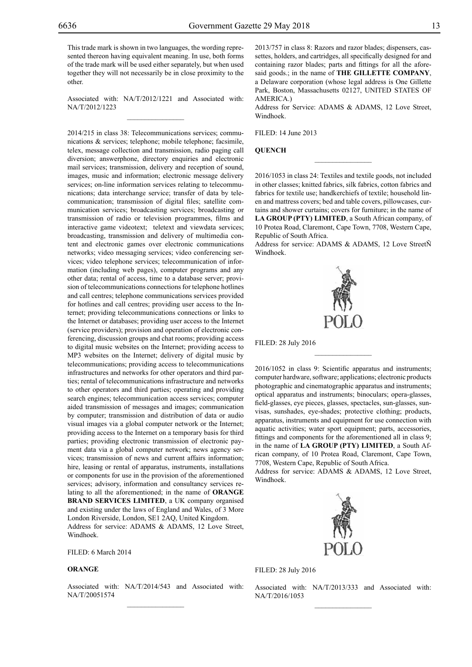This trade mark is shown in two languages, the wording represented thereon having equivalent meaning. In use, both forms of the trade mark will be used either separately, but when used together they will not necessarily be in close proximity to the other.

Associated with: NA/T/2012/1221 and Associated with: NA/T/2012/1223  $\overline{\phantom{a}}$  , where  $\overline{\phantom{a}}$ 

2014/215 in class 38: Telecommunications services; communications & services; telephone; mobile telephone; facsimile, telex, message collection and transmission, radio paging call diversion; answerphone, directory enquiries and electronic mail services; transmission, delivery and reception of sound, images, music and information; electronic message delivery services; on-line information services relating to telecommunications; data interchange service; transfer of data by telecommunication; transmission of digital files; satellite communication services; broadcasting services; broadcasting or transmission of radio or television programmes, films and interactive game videotext; teletext and viewdata services; broadcasting, transmission and delivery of multimedia content and electronic games over electronic communications networks; video messaging services; video conferencing services; video telephone services; telecommunication of information (including web pages), computer programs and any other data; rental of access, time to a database server; provision of telecommunications connections for telephone hotlines and call centres; telephone communications services provided for hotlines and call centres; providing user access to the Internet; providing telecommunications connections or links to the Internet or databases; providing user access to the Internet (service providers); provision and operation of electronic conferencing, discussion groups and chat rooms; providing access to digital music websites on the Internet; providing access to MP3 websites on the Internet; delivery of digital music by telecommunications; providing access to telecommunications infrastructures and networks for other operators and third parties; rental of telecommunications infrastructure and networks to other operators and third parties; operating and providing search engines; telecommunication access services; computer aided transmission of messages and images; communication by computer; transmission and distribution of data or audio visual images via a global computer network or the Internet; providing access to the Internet on a temporary basis for third parties; providing electronic transmission of electronic payment data via a global computer network; news agency services; transmission of news and current affairs information; hire, leasing or rental of apparatus, instruments, installations or components for use in the provision of the aforementioned services; advisory, information and consultancy services relating to all the aforementioned; in the name of **ORANGE BRAND SERVICES LIMITED**, a UK company organised and existing under the laws of England and Wales, of 3 More London Riverside, London, SE1 2AQ, United Kingdom. Address for service: ADAMS & ADAMS, 12 Love Street,

Windhoek.

FILED: 6 March 2014

# **ORANGE**

Associated with: NA/T/2014/543 and Associated with: NA/T/20051574  $\mathcal{L}=\mathcal{L}^{\mathcal{L}}$ 

2013/757 in class 8: Razors and razor blades; dispensers, cassettes, holders, and cartridges, all specifically designed for and containing razor blades; parts and fittings for all the aforesaid goods.; in the name of **THE GILLETTE COMPANY**, a Delaware corporation (whose legal address is One Gillette Park, Boston, Massachusetts 02127, UNITED STATES OF AMERICA.)

Address for Service: ADAMS & ADAMS, 12 Love Street, Windhoek.

Filed: 14 June 2013

#### **QUENCH**

2016/1053 in class 24: Textiles and textile goods, not included in other classes; knitted fabrics, silk fabrics, cotton fabrics and fabrics for textile use; handkerchiefs of textile; household linen and mattress covers; bed and table covers, pillowcases, curtains and shower curtains; covers for furniture; in the name of **LA GROUP (PTY) LIMITED**, a South African company, of 10 Protea Road, Claremont, Cape Town, 7708, Western Cape, Republic of South Africa.

 $\overline{\phantom{a}}$  , where  $\overline{\phantom{a}}$ 

Address for service: ADAMS & ADAMS, 12 Love StreetÑ Windhoek.



 $\frac{1}{2}$ 

Filed: 28 July 2016

2016/1052 in class 9: Scientific apparatus and instruments; computer hardware, software; applications; electronic products photographic and cinematographic apparatus and instruments; optical apparatus and instruments; binoculars; opera-glasses, field-glasses, eye pieces, glasses, spectacles, sun-glasses, sunvisas, sunshades, eye-shades; protective clothing; products, apparatus, instruments and equipment for use connection with aquatic activities; water sport equipment; parts, accessories, fittings and components for the aforementioned all in class 9; in the name of **LA GROUP (PTY) LIMITED**, a South African company, of 10 Protea Road, Claremont, Cape Town, 7708, Western Cape, Republic of South Africa.

Address for service: ADAMS & ADAMS, 12 Love Street, Windhoek.



Filed: 28 July 2016

Associated with: NA/T/2013/333 and Associated with: NA/T/2016/1053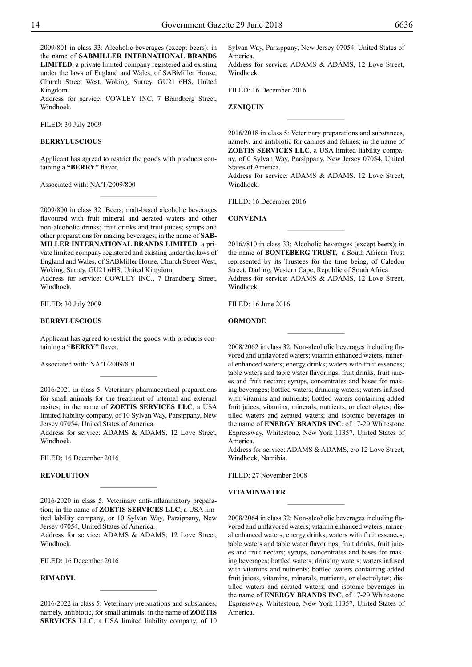2009/801 in class 33: Alcoholic beverages (except beers): in the name of **SABMILLER INTERNATIONAL BRANDS LIMITED**, a private limited company registered and existing under the laws of England and Wales, of SABMiller House, Church Street West, Woking, Surrey, GU21 6HS, United Kingdom.

Address for service: COWLEY INC, 7 Brandberg Street, Windhoek.

Filed: 30 July 2009

# **BERRYLUSCIOUS**

Applicant has agreed to restrict the goods with products containing a **"BERRY"** flavor.

 $\frac{1}{2}$ 

Associated with: NA/T/2009/800

2009/800 in class 32: Beers; malt-based alcoholic beverages flavoured with fruit mineral and aerated waters and other non-alcoholic drinks; fruit drinks and fruit juices; syrups and other preparations for making beverages; in the name of **SAB-MILLER INTERNATIONAL BRANDS LIMITED**, a private limited company registered and existing under the laws of England and Wales, of SABMiller House, Church Street West,

Woking, Surrey, GU21 6HS, United Kingdom. Address for service: COWLEY INC., 7 Brandberg Street, Windhoek.

Filed: 30 July 2009

#### **BERRYLUSCIOUS**

Applicant has agreed to restrict the goods with products containing a **"BERRY"** flavor.

 $\frac{1}{2}$ 

Associated with: NA/T/2009/801

2016/2021 in class 5: Veterinary pharmaceutical preparations for small animals for the treatment of internal and external rasites; in the name of **ZOETIS SERVICES LLC**, a USA limited liability company, of 10 Sylvan Way, Parsippany, New Jersey 07054, United States of America.

Address for service: ADAMS & ADAMS, 12 Love Street, Windhoek.

Filed: 16 December 2016

# **REVOLUTION**

2016/2020 in class 5: Veterinary anti-inflammatory preparation; in the name of **ZOETIS SERVICES LLC**, a USA limited lability company, or 10 Sylvan Way, Parsippany, New Jersey 07054, United States of America.

 $\overline{\phantom{a}}$  , where  $\overline{\phantom{a}}$ 

Address for service: ADAMS & ADAMS, 12 Love Street, Windhoek.

Filed: 16 December 2016

# **RIMADYL**

2016/2022 in class 5: Veterinary preparations and substances, namely, antibiotic, for small animals; in the name of **ZOETIS SERVICES LLC**, a USA limited liability company, of 10 Sylvan Way, Parsippany, New Jersey 07054, United States of America.

Address for service: ADAMS & ADAMS, 12 Love Street, Windhoek.

Filed: 16 December 2016

**ZENIQUIN**

2016/2018 in class 5: Veterinary preparations and substances, namely, and antibiotic for canines and felines; in the name of **ZOETIS SERVICES LLC**, a USA limited liability company, of 0 Sylvan Way, Parsippany, New Jersey 07054, United States of America.

 $\overline{\phantom{a}}$  , where  $\overline{\phantom{a}}$ 

Address for service: ADAMS & ADAMS. 12 Love Street, Windhoek.

FILED: 16 December 2016

**CONVENIA**

2016//810 in class 33: Alcoholic beverages (except beers); in the name of **BONTEBERG TRUST,** a South African Trust represented by its Trustees for the time being, of Caledon Street, Darling, Western Cape, Republic of South Africa. Address for service: ADAMS & ADAMS, 12 Love Street, Windhoek.

 $\frac{1}{2}$ 

Filed: 16 June 2016

# **ORMONDE**

2008/2062 in class 32: Non-alcoholic beverages including flavored and unflavored waters; vitamin enhanced waters; mineral enhanced waters; energy drinks; waters with fruit essences; table waters and table water flavorings; fruit drinks, fruit juices and fruit nectars; syrups, concentrates and bases for making beverages; bottled waters; drinking waters; waters infused with vitamins and nutrients; bottled waters containing added fruit juices, vitamins, minerals, nutrients, or electrolytes; distilled waters and aerated waters; and isotonic beverages in the name of **ENERGY BRANDS INC**. of 17-20 Whitestone Expressway, Whitestone, New York 11357, United States of America.

 $\frac{1}{2}$ 

Address for service: ADAMS & ADAMS, c/o 12 Love Street, Windhoek, Namibia.

 $\frac{1}{2}$ 

FILED: 27 November 2008

# **VITAMINWATER**

2008/2064 in class 32: Non-alcoholic beverages including flavored and unflavored waters; vitamin enhanced waters; mineral enhanced waters; energy drinks; waters with fruit essences; table waters and table water flavorings; fruit drinks, fruit juices and fruit nectars; syrups, concentrates and bases for making beverages; bottled waters; drinking waters; waters infused with vitamins and nutrients; bottled waters containing added fruit juices, vitamins, minerals, nutrients, or electrolytes; distilled waters and aerated waters; and isotonic beverages in the name of **ENERGY BRANDS INC**. of 17-20 Whitestone Expressway, Whitestone, New York 11357, United States of America.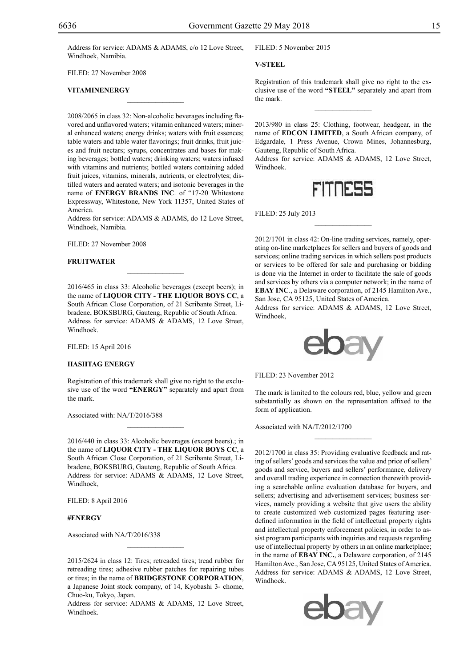Address for service: ADAMS & ADAMS, c/o 12 Love Street, Windhoek, Namibia.

 $\mathcal{L}=\mathcal{L}^{\text{max}}$ 

FILED: 27 November 2008

# **VITAMINENERGY**

2008/2065 in class 32: Non-alcoholic beverages including flavored and unflavored waters; vitamin enhanced waters; mineral enhanced waters; energy drinks; waters with fruit essences; table waters and table water flavorings; fruit drinks, fruit juices and fruit nectars; syrups, concentrates and bases for making beverages; bottled waters; drinking waters; waters infused with vitamins and nutrients; bottled waters containing added fruit juices, vitamins, minerals, nutrients, or electrolytes; distilled waters and aerated waters; and isotonic beverages in the name of **ENERGY BRANDS INC**. of "17-20 Whitestone Expressway, Whitestone, New York 11357, United States of America.

Address for service: ADAMS & ADAMS, do 12 Love Street, Windhoek, Namibia.

FILED: 27 November 2008

#### **FRUITWATER**

2016/465 in class 33: Alcoholic beverages (except beers); in the name of **LIQUOR CITY - THE LIQUOR BOYS CC**, a South African Close Corporation, of 21 Scribante Street, Libradene, BOKSBURG, Gauteng, Republic of South Africa. Address for service: ADAMS & ADAMS, 12 Love Street, Windhoek.

Filed: 15 April 2016

#### **HASHTAG ENERGY**

Registration of this trademark shall give no right to the exclusive use of the word **"ENERGY"** separately and apart from the mark.

 $\mathcal{L}=\mathcal{L}^{\text{max}}$ 

Associated with: NA/T/2016/388

2016/440 in class 33: Alcoholic beverages (except beers).; in the name of **LIQUOR CITY - THE LIQUOR BOYS CC**, a South African Close Corporation, of 21 Scribante Street, Libradene, BOKSBURG, Gauteng, Republic of South Africa. Address for service: ADAMS & ADAMS, 12 Love Street, Windhoek,

Filed: 8 April 2016

# **#ENERGY**

Associated with NA/T/2016/338

2015/2624 in class 12: Tires; retreaded tires; tread rubber for retreading tires; adhesive rubber patches for repairing tubes or tires; in the name of **BRIDGESTONE CORPORATION**, a Japanese Joint stock company, of 14, Kyobashi 3- chome, Chuo-ku, Tokyo, Japan.

Address for service: ADAMS & ADAMS, 12 Love Street, Windhoek.

#### FILED: 5 November 2015

**V-STEEL**

Registration of this trademark shall give no right to the exclusive use of the word **"STEEL"** separately and apart from the mark.

 $\frac{1}{2}$ 

2013/980 in class 25: Clothing, footwear, headgear, in the name of **EDCON LIMITED**, a South African company, of Edgardale, 1 Press Avenue, Crown Mines, Johannesburg, Gauteng, Republic of South Africa.

Address for service: ADAMS & ADAMS, 12 Love Street, Windhoek.



 $\frac{1}{2}$ 

Filed: 25 July 2013

2012/1701 in class 42: On-line trading services, namely, operating on-line marketplaces for sellers and buyers of goods and services; online trading services in which sellers post products or services to be offered for sale and purchasing or bidding is done via the Internet in order to facilitate the sale of goods and services by others via a computer network; in the name of **EBAY INC**., a Delaware corporation, of 2145 Hamilton Ave., San Jose, CA 95125, United States of America.

Address for service: ADAMS & ADAMS, 12 Love Street, Windhoek,



Filed: 23 November 2012

The mark is limited to the colours red, blue, yellow and green substantially as shown on the representation affixed to the form of application.

 $\frac{1}{2}$ 

Associated with NA/T/2012/1700

2012/1700 in class 35: Providing evaluative feedback and rating of sellers' goods and services the value and price of sellers' goods and service, buyers and sellers' performance, delivery and overall trading experience in connection therewith providing a searchable online evaluation database for buyers, and sellers; advertising and advertisement services; business services, namely providing a website that give users the ability to create customized web customized pages featuring userdefined information in the field of intellectual property rights and intellectual property enforcement policies, in order to assist program participants with inquiries and requests regarding use of intellectual property by others in an online marketplace; in the name of **EBAY INC.**, a Delaware corporation, of 2145 Hamilton Ave., San Jose, CA 95125, United States of America. Address for service: ADAMS & ADAMS, 12 Love Street, Windhoek.

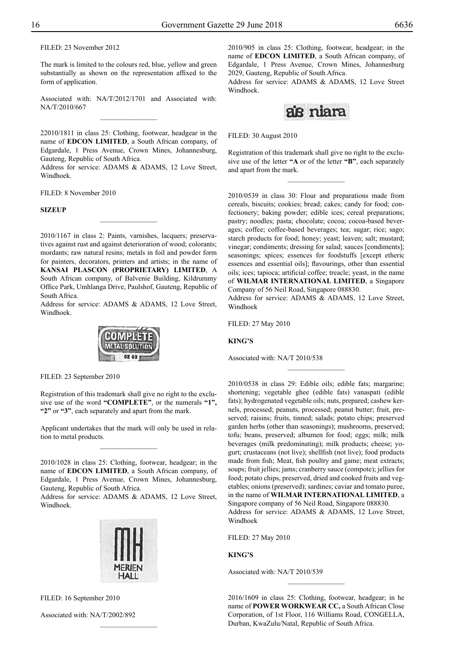Filed: 23 November 2012

The mark is limited to the colours red, blue, yellow and green substantially as shown on the representation affixed to the form of application.

Associated with: NA/T/2012/1701 and Associated with: NA/T/2010/667  $\overline{\phantom{a}}$  , where  $\overline{\phantom{a}}$ 

22010/1811 in class 25: Clothing, footwear, headgear in the name of **EDCON LIMITED**, a South African company, of Edgardale, 1 Press Avenue, Crown Mines, Johannesburg, Gauteng, Republic of South Africa.

Address for service: ADAMS & ADAMS, 12 Love Street, Windhoek.

 $\frac{1}{2}$ 

Filed: 8 November 2010

**SIZEUP**

2010/1167 in class 2: Paints, varnishes, lacquers; preservatives against rust and against deterioration of wood; colorants; mordants; raw natural resins; metals in foil and powder form for painters, decorators, printers and artists; in the name of **KANSAI PLASCON (PROPRIETARY) LIMITED**, A South African company, of Balvenie Building, Kildrummy Office Park, Umhlanga Drive, Paulshof, Gauteng, Republic of South Africa.

Address for service: ADAMS & ADAMS, 12 Love Street, Windhoek.



FILED: 23 September 2010

Registration of this trademark shall give no right to the exclusive use of the word **"COMPLETE"**, or the numerals **"1", "2"** or **"3"**, each separately and apart from the mark.

Applicant undertakes that the mark will only be used in relation to metal products.  $\frac{1}{2}$ 

2010/1028 in class 25: Clothing, footwear, headgear; in the name of **EDCON LIMITED**, a South African company, of Edgardale, 1 Press Avenue, Crown Mines, Johannesburg, Gauteng, Republic of South Africa.

Address for service: ADAMS & ADAMS, 12 Love Street, Windhoek.



 $\frac{1}{2}$ 

FILED: 16 September 2010

Associated with: NA/T/2002/892

2010/905 in class 25: Clothing, footwear, headgear; in the name of **EDCON LIMITED**, a South African company, of Edgardale, 1 Press Avenue, Crown Mines, Johannesburg 2029, Gauteng, Republic of South Africa.

Address for service: ADAMS & ADAMS, 12 Love Street Windhoek.



Filed: 30 August 2010

Registration of this trademark shall give no right to the exclusive use of the letter **"A** or of the letter **"B"**, each separately and apart from the mark.

 $\frac{1}{2}$ 

2010/0539 in class 30: Flour and preparations made from cereals, biscuits; cookies; bread; cakes; candy for food; confectionery; baking powder; edible ices; cereal preparations; pastry; noodles; pasta; chocolate; cocoa; cocoa-based beverages; coffee; coffee-based beverages; tea; sugar; rice; sago; starch products for food; honey; yeast; leaven; salt; mustard; vinegar; condiments; dressing for salad; sauces [condiments]; seasonings; spices; essences for foodstuffs [except etheric essences and essential oils]; flavourings, other than essential oils; ices; tapioca; artificial coffee; treacle; yeast, in the name of **WILMAR INTERNATIONAL LIMITED**, a Singapore Company of 56 Neil Road, Singapore 088830.

Address for service: ADAMS & ADAMS, 12 Love Street, Windhoek

 $\frac{1}{2}$ 

Filed: 27 May 2010

**KING'S**

Associated with: NA/T 2010/538

2010/0538 in class 29: Edible oils; edible fats; margarine; shortening; vegetable ghee (edible fats) vanaspati (edible fats); hydrogenated vegetable oils; nuts, prepared; cashew kernels, processed; peanuts, processed; peanut butter; fruit, preserved; raisins; fruits, tinned; salads; potato chips; preserved garden herbs (other than seasonings); mushrooms, preserved; tofu; beans, preserved; albumen for food; eggs; milk; milk beverages (milk predominating); milk products; cheese; yogurt; crustaceans (not live); shellfish (not live); food products made from fish; Meat, fish poultry and game; meat extracts; soups; fruit jellies; jams; cranberry sauce (compote); jellies for food; potato chips, preserved, dried and cooked fruits and vegetables; onions (preserved); sardines; caviar and tomato puree, in the name of **WILMAR INTERNATIONAL LIMITED**, a Singapore company of 56 Neil Road, Singapore 088830. Address for service: ADAMS & ADAMS, 12 Love Street, Windhoek

Filed: 27 May 2010

**KING'S**

Associated with: NA/T 2010/539

2016/1609 in class 25: Clothing, footwear, headgear; in he name of **POWER WORKWEAR CC,** a South African Close Corporation, of 1st Floor, 116 Williams Road, CONGELLA, Durban, KwaZulu/Natal, Republic of South Africa.

 $\frac{1}{2}$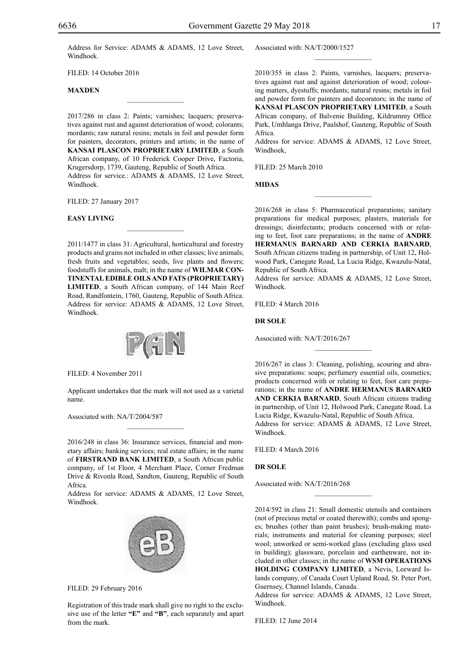Address for Service: ADAMS & ADAMS, 12 Love Street, Windhoek.

 $\mathcal{L}=\mathcal{L}^{\text{max}}$ 

FILED: 14 October 2016

#### **MAXDEN**

2017/286 in class 2: Paints; varnishes; lacquers; preservatives against rust and against deterioration of wood; colorants; mordants; raw natural resins; metals in foil and powder form for painters, decorators, printers and artists; in the name of **KANSAI PLASCON PROPRIETARY LIMITED**, a South African company, of 10 Frederick Cooper Drive, Factoria, Krugersdorp, 1739, Gauteng, Republic of South Africa. Address for service.: ADAMS & ADAMS, 12 Love Street, Windhoek.

Filed: 27 January 2017

#### **EASY LIVING**

2011/1477 in class 31: Agricultural, horticultural and forestry products and grains not included in other classes; live animals; fresh fruits and vegetables; seeds, live plants and flowers; foodstuffs for animals, malt; in the name of **WILMAR CON-TINENTAL EDIBLE OILS AND FATS (PROPRIETARY) LIMITED**, a South African company, of 144 Main Reef Road, Randfontein, 1760, Gauteng, Republic of South Africa. Address for service: ADAMS & ADAMS, 12 Love Street, Windhoek.

 $\mathcal{L}=\mathcal{L}^{\text{max}}$ 



Filed: 4 November 2011

Applicant undertakes that the mark will not used as a varietal name.

 $\overline{\phantom{a}}$  , where  $\overline{\phantom{a}}$ 

Associated with: NA/T/2004/587

2016/248 in class 36: Insurance services, financial and monetary affairs; banking services; real estate affairs; in the name of **FIRSTRAND BANK LIMITED**, a South African public company, of 1st Floor, 4 Merchant Place, Corner Fredman Drive & Rivonla Road, Sandton, Gauteng, Republic of South Africa.

Address for service: ADAMS & ADAMS, 12 Love Street, Windhoek.



Filed: 29 February 2016

Registration of this trade mark shall give no right to the exclusive use of the letter **"E"** and **"B"**, each separately and apart from the mark.

Associated with: NA/T/2000/1527

2010/355 in class 2: Paints, varnishes, lacquers; preservatives against rust and against deterioration of wood; colouring matters, dyestuffs; mordants; natural resins; metals in foil and powder form for painters and decorators; in the name of **KANSAI PLASCON PROPRIETARY LIMITED**, a South African company, of Balvenie Building, Kildrummy Office Park, Umhlanga Drive, Paulshof, Gauteng, Republic of South Africa.

 $\frac{1}{2}$ 

Address for service: ADAMS & ADAMS, 12 Love Street, Windhoek,

Filed: 25 March 2010

**MIDAS**

2016/268 in class 5: Pharmaceutical preparations; sanitary preparations for medical purposes; plasters, materials for dressings; disinfectants; products concerned with or relating to feet, foot care preparations; in the name of **ANDRE HERMANUS BARNARD AND CERKIA BARNARD**, South African citizens trading in partnership, of Unit 12, Holwood Park, Canegate Road, La Lucia Ridge, Kwazulu-Natal, Republic of South Africa.

 $\frac{1}{2}$ 

Address for service: ADAMS & ADAMS, 12 Love Street, Windhoek.

FILED: 4 March 2016

#### **DR SOLE**

Associated with: NA/T/2016/267

2016/267 in class 3: Cleaning, polishing, scouring and abrasive preparations: soaps; perfumery essential oils, cosmetics; products concerned with or relating to feet, foot care preparations; in the name of **ANDRE HERMANUS BARNARD AND CERKIA BARNARD**, South African citizens trading in partnership, of Unit 12, Holwood Park, Canegate Road, La Lucia Ridge, Kwazulu-Natal, Republic of South Africa. Address for service: ADAMS & ADAMS, 12 Love Street, Windhoek.

 $\overline{\phantom{a}}$  , we can also the set of  $\overline{\phantom{a}}$ 

Filed: 4 March 2016

#### **DR SOLE**

Associated with: NA/T/2016/268

2014/592 in class 21: Small domestic utensils and containers (not of precious metal or coated therewith); combs and sponges; brushes (other than paint brushes); brush-making materials; instruments and material for cleaning purposes; steel wool; unworked or semi-worked glass (excluding glass used in building); glassware, porcelain and earthenware, not included in other classes; in the name of **WSM OPERATIONS HOLDING COMPANY LIMITED**, a Nevis, Leeward Islands company, of Canada Court Upland Road, St. Peter Port, Guernsey, Channel Islands, Canada.

 $\frac{1}{2}$ 

Address for service: ADAMS & ADAMS, 12 Love Street, Windhoek.

Filed: 12 June 2014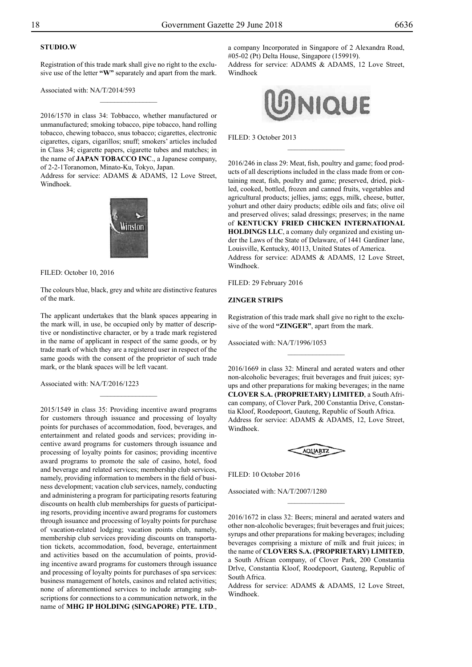# **studio.w**

Registration of this trade mark shall give no right to the exclusive use of the letter **"W"** separately and apart from the mark.

 $\overline{\phantom{a}}$  , where  $\overline{\phantom{a}}$ 

Associated with: NA/T/2014/593

2016/1570 in class 34: Tobbacco, whether manufactured or unmanufactured; smoking tobacco, pipe tobacco, hand rolling tobacco, chewing tobacco, snus tobacco; cigarettes, electronic cigarettes, cigars, cigarillos; snuff; smokers' articles included in Class 34; cigarette papers, cigarette tubes and matches; in the name of **JAPAN TOBACCO INC**., a Japanese company, of 2-2-1Toranomon, Minato-Ku, Tokyo, Japan.

Address for service: ADAMS & ADAMS, 12 Love Street, Windhoek.



FILED: October 10, 2016

The colours blue, black, grey and white are distinctive features of the mark.

The applicant undertakes that the blank spaces appearing in the mark will, in use, be occupied only by matter of descriptive or nondistinctive character, or by a trade mark registered in the name of applicant in respect of the same goods, or by trade mark of which they are a registered user in respect of the same goods with the consent of the proprietor of such trade mark, or the blank spaces will be left vacant.

 $\frac{1}{2}$ 

Associated with: NA/T/2016/1223

2015/1549 in class 35: Providing incentive award programs for customers through issuance and processing of loyalty points for purchases of accommodation, food, beverages, and entertainment and related goods and services; providing incentive award programs for customers through issuance and processing of loyalty points for casinos; providing incentive award programs to promote the sale of casino, hotel, food and beverage and related services; membership club services, namely, providing information to members in the field of business development; vacation club services, namely, conducting and administering a program for participating resorts featuring discounts on health club memberships for guests of participating resorts, providing incentive award programs for customers through issuance and processing of loyalty points for purchase of vacation-related lodging; vacation points club, namely, membership club services providing discounts on transportation tickets, accommodation, food, beverage, entertainment and activities based on the accumulation of points, providing incentive award programs for customers through issuance and processing of loyalty points for purchases of spa services: business management of hotels, casinos and related activities; none of aforementioned services to include arranging subscriptions for connections to a communication network, in the name of **MHG IP HOLDING (SINGAPORE) PTE. LTD**.,

a company Incorporated in Singapore of 2 Alexandra Road, #05-02 (Pt) Delta House, Singapore (159919). Address for service: ADAMS & ADAMS, 12 Love Street, Windhoek



 $\overline{\phantom{a}}$  , where  $\overline{\phantom{a}}$ 

FILED: 3 October 2013

2016/246 in class 29: Meat, fish, poultry and game; food products of all descriptions included in the class made from or containing meat, fish, poultry and game; preserved, dried, pickled, cooked, bottled, frozen and canned fruits, vegetables and agricultural products; jellies, jams; eggs, milk, cheese, butter, yohurt and other dairy products; edible oils and fats; olive oil and preserved olives; salad dressings; preserves; in the name of **KENTUCKY FRIED CHICKEN INTERNATIONAL HOLDINGS LLC**, a comany duly organized and existing under the Laws of the State of Delaware, of 1441 Gardiner lane, Louisville, Kentucky, 40113, United States of America. Address for service: ADAMS & ADAMS, 12 Love Street, Windhoek.

FILED: 29 February 2016

# **ZINGER STRIPS**

Registration of this trade mark shall give no right to the exclusive of the word **"ZINGER"**, apart from the mark.

 $\frac{1}{2}$ 

Associated with: NA/T/1996/1053

2016/1669 in class 32: Mineral and aerated waters and other non-alcoholic beverages; fruit beverages and fruit juices; syrups and other preparations for making beverages; in the name **CLOVER S.A. (PROPRIETARY) LIMITED**, a South African company, of Clover Park, 200 Constantia Drive, Constantia Kloof, Roodepoort, Gauteng, Republic of South Africa. Address for service: ADAMS & ADAMS, 12, Love Street, Windhoek.

**AQUARTZ** 

Filed: 10 October 2016

Associated with: NA/T/2007/1280

2016/1672 in class 32: Beers; mineral and aerated waters and other non-alcoholic beverages; fruit beverages and fruit juices; syrups and other preparations for making beverages; including beverages comprising a mixture of milk and fruit juices; in the name of **CLOVERS S.A. (PROPRIETARY) LIMITED**, a South African company, of Clover Park, 200 Constantia Drlve, Constantia Kloof, Roodepoort, Gauteng, Republic of South Africa.

 $\frac{1}{2}$ 

Address for service: ADAMS & ADAMS, 12 Love Street, Windhoek.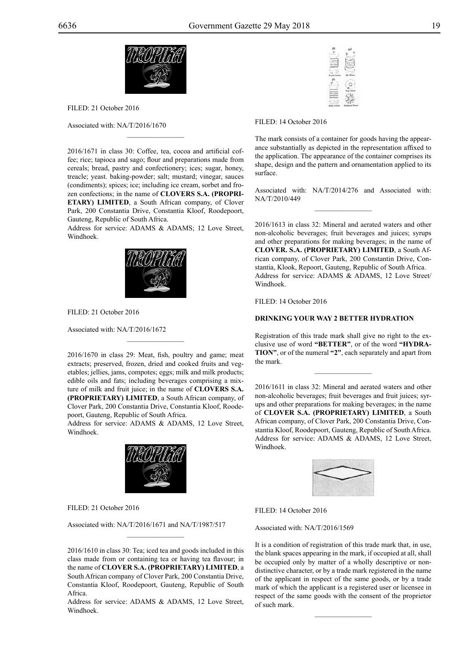



Filed: 21 October 2016

Associated with: NA/T/2016/1670

2016/1671 in class 30: Coffee, tea, cocoa and artificial coffee; rice; tapioca and sago; flour and preparations made from cereals; bread, pastry and confectionery; ices; sugar, honey, treacle; yeast. baking-powder; salt; mustard; vinegar, sauces (condiments); spices; ice; including ice cream, sorbet and frozen confections; in the name of **CLOVERS S.A. (PROPRI-ETARY) LIMITED**, a South African company, of Clover Park, 200 Constantia Drive, Constantia Kloof, Roodepoort, Gauteng, Republic of South Africa.

 $\mathcal{L}=\mathcal{L}^{\text{max}}$ 

Address for service: ADAMS & ADAMS; 12 Love Street, Windhoek.



FILED: 21 October 2016

Associated with: NA/T/2016/1672

2016/1670 in class 29: Meat, fish, poultry and game; meat extracts; preserved, frozen, dried and cooked fruits and vegetables; jellies, jams, compotes; eggs; milk and milk products; edible oils and fats; including beverages comprising a mixture of milk and fruit juice; in the name of **CLOVERS S.A. (PROPRIETARY) LIMITED**, a South African company, of Clover Park, 200 Constantia Drive, Constantia Kloof, Roodepoort, Gauteng, Republic of South Africa.

 $\mathcal{L}=\mathcal{L}^{\mathcal{L}}$ 

Address for service: ADAMS & ADAMS, 12 Love Street, Windhoek.



FILED: 21 October 2016

Associated with: NA/T/2016/1671 and NA/T/1987/517

2016/1610 in class 30: Tea; iced tea and goods included in this class made from or containing tea or having tea flavour; in the name of **CLOVER S.A. (PROPRIETARY) LIMITED**, a South African company of Clover Park, 200 Constantia Drive, Constantia Kloof, Roodepoort, Gauteng, Republic of South Africa.

 $\mathcal{L}=\mathcal{L}^{\mathcal{L}}$ 

Address for service: ADAMS & ADAMS, 12 Love Street, Windhoek.

| ۲ |  |
|---|--|
|   |  |
|   |  |
|   |  |
|   |  |
|   |  |

FILED: 14 October 2016

The mark consists of a container for goods having the appearance substantially as depicted in the representation affixed to the application. The appearance of the container comprises its shape, design and the pattern and ornamentation applied to its surface.

Associated with: NA/T/2014/276 and Associated with: NA/T/2010/449  $\overline{\phantom{a}}$  , we can also the set of  $\overline{\phantom{a}}$ 

2016/1613 in class 32: Mineral and aerated waters and other non-alcoholic beverages; fruit beverages and juices; syrups and other preparations for making beverages; in the name of **CLOVER. S.A. (PROPRIETARY) LIMITED**, a South African company, of Clover Park, 200 Constantin Drive, Constantia, Klook, Repoort, Gauteng, Republic of South Africa. Address for service: ADAMS & ADAMS, 12 Love Street/ Windhoek.

FILED: 14 October 2016

# **DRINKING YOUR WAY 2 BETTER HYDRATION**

Registration of this trade mark shall give no right to the exclusive use of word **"BETTER"**, or of the word **"HYDRA-TION"**, or of the numeral **"2"**, each separately and apart from the mark.

 $\frac{1}{2}$ 

2016/1611 in class 32: Mineral and aerated waters and other non-alcoholic beverages; fruit beverages and fruit juices; syrups and other preparations for making beverages; in the name of **CLOVER S.A. (PROPRIETARY) LIMITED**, a South African company, of Clover Park, 200 Constantia Drive, Constantia Kloof, Roodepoort, Gauteng, Republic of South Africa. Address for service: ADAMS & ADAMS, 12 Love Street, Windhoek.



FILED: 14 October 2016

Associated with: NA/T/2016/1569

It is a condition of registration of this trade mark that, in use, the blank spaces appearing in the mark, if occupied at all, shall be occupied only by matter of a wholly descriptive or nondistinctive character, or by a trade mark registered in the name of the applicant in respect of the same goods, or by a trade mark of which the applicant is a registered user or licensee in respect of the same goods with the consent of the proprietor of such mark.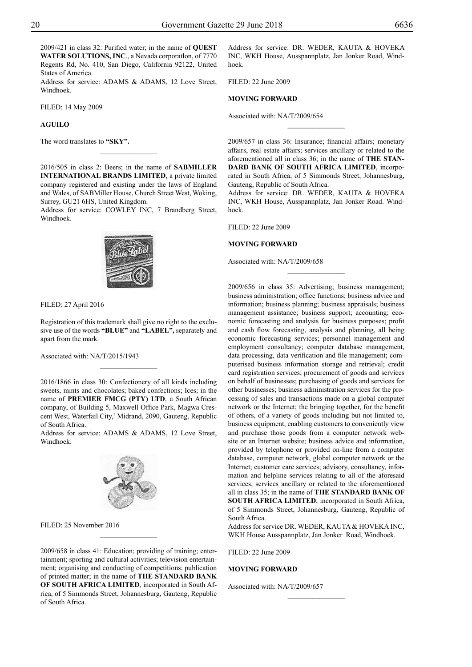2009/421 in class 32: Purified water; in the name of **QUEST WATER SOLUTIONS, INC**., a Nevada corporatlon, of 7770 Regents Rd, No. 410, San Diego, California 92122, United States of America.

Address for service: ADAMS & ADAMS, 12 Love Street, Windhoek.

Filed: 14 May 2009

# **AGUILO**

The word translates to **"SKY".**

2016/505 in class 2: Beers; in the name of **SABMILLER INTERNATIONAL BRANDS LIMITED**, a private limited company registered and existing under the laws of England and Wales, of SABMiller House, Church Street West, Woking, Surrey, GU21 6HS, United Kingdom.

 $\frac{1}{2}$ 

Address for service: COWLEY INC, 7 Brandberg Street, Windhoek.



Registration of this trademark shall give no right to the exclusive use of the words **"BLUE"** and **"LABEL",** separately and apart from the mark.

 $\frac{1}{2}$ 

Associated with: NA/T/2015/1943

2016/1866 in class 30: Confectionery of all kinds including sweets, mints and chocolates; baked confections; Ices; in the name of **PREMIER FMCG (PTY) LTD**, a South African company, of Building 5, Maxwell Office Park, Magwa Crescent West, Waterfail City,' Midrand, 2090, Gauteng, Republic of South Africa.

Address for service: ADAMS & ADAMS, 12 Love Street, Windhoek.



FILED: 25 November 2016

2009/658 in class 41: Education; providing of training; entertainment; sporting and cultural activities; television entertainment; organising and conducting of competitions; publication of printed matter; in the name of **THE STANDARD BANK OF SOUTH AFRICA LIMITED**, incorporated in South Africa, of 5 Simmonds Street, Johannesburg, Gauteng, Republic of South Africa.

Address for service: DR. WEDER, KAUTA & HOVEKA Inc, WKH House, Ausspannplatz, Jan Jonker Road, Windhoek.

Filed: 22 June 2009

# **MOVING FORWARD**

Associated with: NA/T/2009/654

2009/657 in class 36: Insurance; financial affairs; monetary affairs, real estate affairs; services ancillary or related to the aforementioned all in class 36; in the name of **THE STAN-DARD BANK of SOUTH AFRICA LIMITED**, incorporated in South Africa, of 5 Simmonds Street, Johannesburg, Gauteng, Republic of South Africa.

 $\overline{\phantom{a}}$  , where  $\overline{\phantom{a}}$ 

Address for service: DR. WEDER, KAUTA & HOVEKA Inc, WKH House, Ausspannplatz, Jan Jonker Road. Windhoek.

Filed: 22 June 2009

#### **MOVING FORWARD**

Associated with: NA/T/2009/658

2009/656 in class 35: Advertising; business management; business administration; office functions; business advice and information; business planning; business appraisals; business management assistance; business support; accounting; economic forecasting and analysis for business purposes; profit and cash flow forecasting, analysis and planning, all being economic forecasting services; personnel management and employment consultancy; computer database management, data processing, data verification and file management; computerised business information storage and retrieval; credit card registration services; procurement of goods and services on behalf of businesses; purchasing of goods and services for other businesses; business administration services for the processing of sales and transactions made on a global computer network or the Internet; the bringing together, for the benefit of others, of a variety of goods including but not limited to, business equipment, enabling customers to conveniently view and purchase those goods from a computer network website or an Internet website; business advice and information, provided by telephone or provided on-line from a computer database, computer network, global computer network or the Internet; customer care services; advisory, consultancy, information and helpline services relating to all of the aforesaid services, services ancillary or related to the aforementioned all in class 35; in the name of **THE STANDARD BANK OF SOUTH AFRICA LIMITED**, incorporated in South Africa, of 5 Simmonds Street, Johannesburg, Gauteng, Republic of South Africa.

Address for service DR. WEDER, KAUTA & HOVEKA INC, WKH House Ausspannplatz, Jan Jonker Road, Windhoek.

 $\frac{1}{2}$ 

Filed: 22 June 2009

#### **MOVING FORWARD**

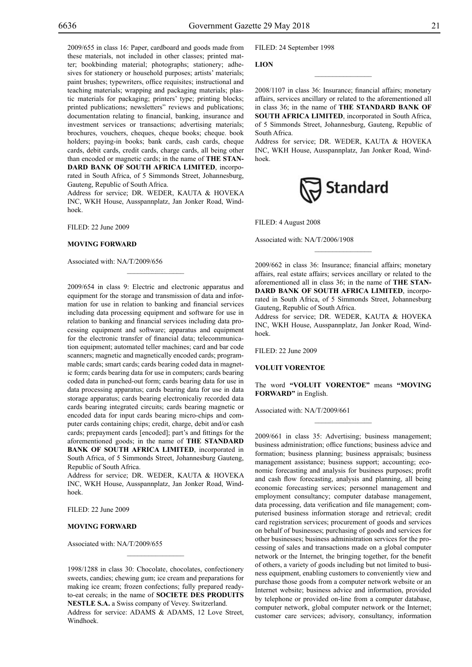2009/655 in class 16: Paper, cardboard and goods made from these materials, not included in other classes; printed matter; bookbinding material; photographs; stationery; adhesives for stationery or household purposes; artists' materials; paint brushes; typewriters, office requisites; instructional and teaching materials; wrapping and packaging materials; plastic materials for packaging; printers' type; printing blocks; printed publications; newsletters" reviews and publications; documentation relating to financial, banking, insurance and investment services or transactions; advertising materials; brochures, vouchers, cheques, cheque books; cheque. book holders; paying-in books; bank cards, cash cards, cheque cards, debit cards, credit cards, charge cards, all being other than encoded or magnetic cards; in the name of **THE STAN-DARD BANK OF SOUTH AFRICA LIMITED**, incorporated in South Africa, of 5 Simmonds Street, Johannesburg, Gauteng, Republic of South Africa.

Address for service; DR. WEDER, KAUTA & HOVEKA Inc, WKH House, Ausspannplatz, Jan Jonker Road, Windhoek.

Filed: 22 June 2009

#### **MOVING FORWARD**

Associated with: NA/T/2009/656

2009/654 in class 9: Electric and electronic apparatus and equipment for the storage and transmission of data and information for use in relation to banking and financial services including data processing equipment and software for use in relation to banking and financial services including data processing equipment and software; apparatus and equipment for the electronic transfer of financial data; telecommunication equipment; automated teller machines; card and bar code scanners; magnetic and magnetically encoded cards; programmable cards; smart cards; cards bearing coded data in magnetic form; cards bearing data for use in computers; cards bearing coded data in punched-out form; cards bearing data for use in data processing apparatus; cards bearing data for use in data storage apparatus; cards bearing electronicaliy recorded data cards bearing integrated circuits; cards bearing magnetic or encoded data for input cards bearing micro-chips and computer cards containing chips; credit, charge, debit and/or cash cards; prepayment cards [encoded]; part's and fittings for the aforementioned goods; in the name of **THE STANDARD BANK OF SOUTH AFRICA LIMITED**, incorporated in South Africa, of 5 Simmonds Street, Johannesburg Gauteng, Republic of South Africa.

Address for service; DR. WEDER, KAUTA & HOVEKA Inc, WKH House, Ausspannplatz, Jan Jonker Road, Windhoek.

Filed: 22 June 2009

# **MOVING FORWARD**

Associated with: NA/T/2009/655

1998/1288 in class 30: Chocolate, chocolates, confectionery sweets, candies; chewing gum; ice cream and preparations for making ice cream; frozen confections; fully prepared readyto-eat cereals; in the name of **SOCIETE DES PRODUITS NESTLE S.A.** a Swiss company of Vevey. Switzerland. Address for service: ADAMS & ADAMS, 12 Love Street,

 $\mathcal{L}=\mathcal{L}^{\mathcal{L}}$ 

Windhoek.

Filed: 24 September 1998

**LION**

2008/1107 in class 36: Insurance; financial affairs; monetary affairs, services ancillary or related to the aforementioned all in class 36; in the name of **THE STANDARD BANK OF SOUTH AFRiCA LIMITED**, incorporated in South Africa, of 5 Simmonds Street, Johannesburg, Gauteng, Republic of South Africa.

 $\overline{\phantom{a}}$  , we can also the set of  $\overline{\phantom{a}}$ 

Address for service; DR. WEDER, KAUTA & HOVEKA Inc, WKH House, Ausspannplatz, Jan Jonker Road, Windhoek.



Filed: 4 August 2008

Associated with: NA/T/2006/1908

2009/662 in class 36: Insurance; financial affairs; monetary affairs, real estate affairs; services ancillary or related to the aforementioned all in class 36; in the name of **THE STAN-DARD BANK OF SOUTH AFRICA LIMITED**, incorporated in South Africa, of 5 Simmonds Street, Johannesburg Gauteng, Republic of South Africa.

 $\overline{\phantom{a}}$  , we can also the set of  $\overline{\phantom{a}}$ 

Address for service; DR. WEDER, KAUTA & HOVEKA Inc, WKH House, Ausspannplatz, Jan Jonker Road, Windhoek.

Filed: 22 June 2009

**VOLUIT VORENTOE**

The word **"VOLUIT VORENTOE"** means **"MOVING FORWARD"** in English.

 $\frac{1}{2}$ 

Associated with: NA/T/2009/661

2009/661 in class 35: Advertising; business management; business administration; office functions; business advice and formation; business planning; business appraisals; business management assistance; business support; accounting; economic forecasting and analysis for business purposes; profit and cash flow forecasting, analysis and planning, all being economic forecasting services; personnel management and employment consultancy; computer database management, data processing, data verification and file management; computerised business information storage and retrieval; credit card registration services; procurement of goods and services on behalf of businesses; purchasing of goods and services for other businesses; business administration services for the processing of sales and transactions made on a global computer network or the Internet, the bringing together, for the benefit of others, a variety of goods including but not limited to business equipment, enabling customers to conveniently view and purchase those goods from a computer network website or an Internet website; business advice and information, provided by telephone or provided on-line from a computer database, computer network, global computer network or the Internet; customer care services; advisory, consultancy, information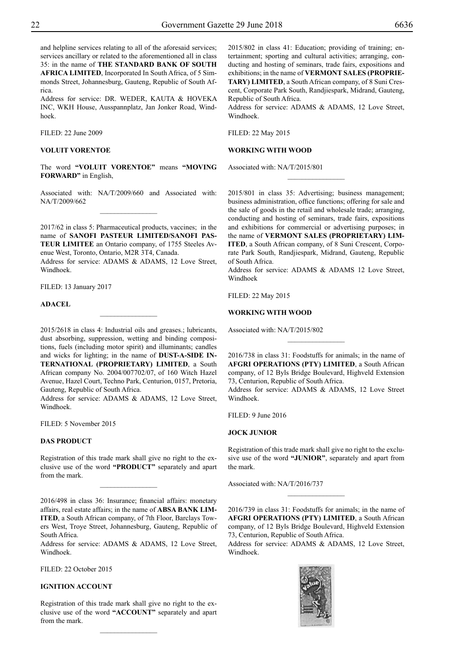and helpline services relating to all of the aforesaid services; services ancillary or related to the aforementioned all in class 35: in the name of **THE STANDARD BANK OF SOUTH AFRICA LIMITED**, Incorporated In South Africa, of 5 Simmonds Street, Johannesburg, Gauteng, Republic of South Africa.

Address for service: DR. WEDER, KAUTA & HOVEKA Inc, WKH House, Ausspannplatz, Jan Jonker Road, Windhoek.

Filed: 22 June 2009

# **VOLUIT VORENTOE**

The word **"VOLUIT VORENTOE"** means **"MOVING FORWARD"** in English,

Associated with: NA/T/2009/660 and Associated with: NA/T/2009/662  $\overline{\phantom{a}}$  , where  $\overline{\phantom{a}}$ 

2017/62 in class 5: Pharmaceutical products, vaccines; in the name of **SANOFI PASTEUR LIMITED/SANOFI PAS-TEUR LIMITEE** an Ontario company, of 1755 Steeles Avenue West, Toronto, Ontario, M2R 3T4, Canada.

Address for service: ADAMS & ADAMS, 12 Love Street, Windhoek.

Filed: 13 January 2017

#### **ADACEL**

2015/2618 in class 4: Industrial oils and greases.; lubricants, dust absorbing, suppression, wetting and binding compositions, fuels (including motor spirit) and illuminants; candles and wicks for lighting; in the name of **DUST-A-SIDE IN-TERNATIONAL (PROPRIETARY) LIMITED**, a South African company No. 2004/007702/07, of 160 Witch Hazel Avenue, Hazel Court, Techno Park, Centurion, 0157, Pretoria, Gauteng, Republic of South Africa.

Address for service: ADAMS & ADAMS, 12 Love Street, Windhoek.

FILED: 5 November 2015

# **DAS PRODUCT**

Registration of this trade mark shall give no right to the exclusive use of the word **"PRODUCT"** separately and apart from the mark.

 $\overline{\phantom{a}}$  , where  $\overline{\phantom{a}}$ 

2016/498 in class 36: Insurance; financial affairs: monetary affairs, real estate affairs; in the name of **ABSA BANK LIM-ITED**, a South African company, of 7th Floor, Barclays Towers West, Troye Street, Johannesburg, Gauteng, Republic of South Africa.

Address for service: ADAMS & ADAMS, 12 Love Street, Windhoek.

Filed: 22 October 2015

# **IGNITION ACCOUNT**

Registration of this trade mark shall give no right to the exclusive use of the word **"ACCOUNT"** separately and apart from the mark.

2015/802 in class 41: Education; providing of training; entertainment; sporting and cultural activities; arranging, conducting and hosting of seminars, trade fairs, expositions and exhibitions; in the name of **VERMONT SALES (PROPRIE-TARY) LIMITED**, a South African company, of 8 Suni Crescent, Corporate Park South, Randjiespark, Midrand, Gauteng, Republic of South Africa.

Address for service: ADAMS & ADAMS, 12 Love Street, Windhoek.

Filed: 22 May 2015

# **WORKING WITH WOOD**

Associated with: NA/T/2015/801

2015/801 in class 35: Advertising; business management; business administration, office functions; offering for sale and the sale of goods in the retail and wholesale trade; arranging, conducting and hosting of seminars, trade fairs, expositions and exhibitions for commercial or advertising purposes; in the name of **VERMONT SALES (PROPRIETARY) LIM-ITED**, a South African company, of 8 Suni Crescent, Corporate Park South, Randjiespark, Midrand, Gauteng, Republic of South Africa.

 $\frac{1}{2}$ 

Address for service: ADAMS & ADAMS 12 Love Street, Windhoek

Filed: 22 May 2015

#### **WORKING WITH WOOD**

Associated with: NA/T/2015/802

2016/738 in class 31: Foodstuffs for animals; in the name of **AFGRI OPERATIONS (PTY) LIMITED**, a South African company, of 12 Byls Bridge Boulevard, Highveld Extension 73, Centurion, Republic of South Africa. Address for service: ADAMS & ADAMS, 12 Love Street

 $\frac{1}{2}$ 

Windhoek.

Filed: 9 June 2016

# **JOCK JUNIOR**

Registration of this trade mark shall give no right to the exclusive use of the word **"JUNIOR"**, separately and apart from the mark.

 $\frac{1}{2}$ 

Associated with: NA/T/2016/737

2016/739 in class 31: Foodstuffs for animals; in the name of **AFGRI OPERATIONS (PTY) LIMITED**, a South African company, of 12 Byls Bridge Boulevard, Highveld Extension 73, Centurion, Republic of South Africa.

Address for service: ADAMS & ADAMS, 12 Love Street, Windhoek.

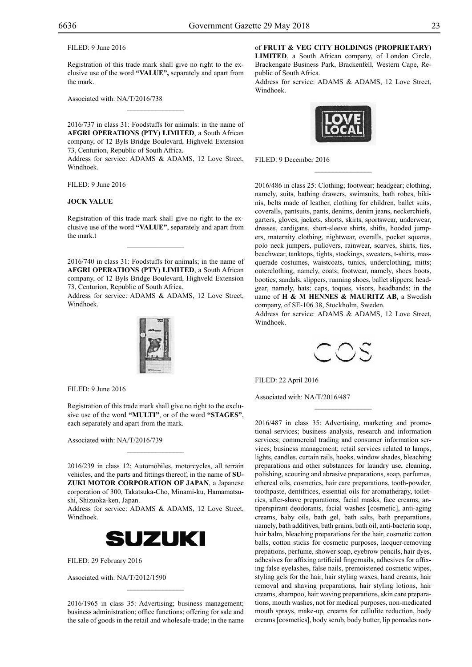FILED: 9 June 2016

Registration of this trade mark shall give no right to the exclusive use of the word **"VALUE",** separately and apart from the mark.

Associated with: NA/T/2016/738

2016/737 in class 31: Foodstuffs for animals: in the name of **AFGRI OPERATIONS (PTY) LIMITED**, a South African company, of 12 Byls Bridge Boulevard, Highveld Extension 73, Centurion, Republic of South Africa.

 $\mathcal{L}=\mathcal{L}^{\mathcal{L}}$ 

Address for service: ADAMS & ADAMS, 12 Love Street, Windhoek.

Filed: 9 June 2016

#### **JOCK VALUE**

Registration of this trade mark shall give no right to the exclusive use of the word **"VALUE"**, separately and apart from the mark.t

 $\mathcal{L}=\mathcal{L}^{\mathcal{L}}$ 

2016/740 in class 31: Foodstuffs for animals; in the name of **AFGRI OPERATIONS (PTY) LIMITED**, a South African company, of 12 Byls Bridge Boulevard, Highveld Extension 73, Centurion, Republic of South Africa.

Address for service: ADAMS & ADAMS, 12 Love Street, Windhoek.



FILED: 9 June 2016

Registration of this trade mark shall give no right to the exclusive use of the word **"MULTI"**, or of the word **"STAGES"**, each separately and apart from the mark.

Associated with: NA/T/2016/739

2016/239 in class 12: Automobiles, motorcycles, all terrain vehicles, and the parts and fittings thereof; in the name of **SU-ZUKI MOTOR CORPORATION OF JAPAN**, a Japanese corporation of 300, Takatsuka-Cho, Minami-ku, Hamamatsushi, Shizuoka-ken, Japan.

 $\mathcal{L}=\mathcal{L}^{\mathcal{L}}$ 

Address for service: ADAMS & ADAMS, 12 Love Street, Windhoek.



FILED: 29 February 2016

Associated with: NA/T/2012/1590

2016/1965 in class 35: Advertising; business management; business administration; office functions; offering for sale and the sale of goods in the retail and wholesale-trade; in the name

 $\overline{\phantom{a}}$  , where  $\overline{\phantom{a}}$ 

of **FRUIT & VEG CITY HOLDINGS (PROPRIETARY) LIMITED**, a South African company, of London Circle,

Brackengate Business Park, Brackenfell, Western Cape, Republic of South Africa.

Address for service: ADAMS & ADAMS, 12 Love Street, Windhoek.



FILED: 9 December 2016

2016/486 in class 25: Clothing; footwear; headgear; clothing, namely, suits, bathing drawers, swimsuits, bath robes, bikinis, belts made of leather, clothing for children, ballet suits, coveralls, pantsuits, pants, denims, denim jeans, neckerchiefs, garters, gloves, jackets, shorts, skirts, sportswear, underwear, dresses, cardigans, short-sleeve shirts, shifts, hooded jumpers, maternity clothing, nightwear, overalls, pocket squares, polo neck jumpers, pullovers, rainwear, scarves, shirts, ties, beachwear, tanktops, tights, stockings, sweaters, t-shirts, masquerade costumes, waistcoats, tunics, underclothing, mitts; outerclothing, namely, coats; footwear, namely, shoes boots, booties, sandals, slippers, running shoes, ballet slippers; headgear, namely, hats; caps, toques, visors, headbands; in the name of **H & M HENNES & MAURITZ AB**, a Swedish company, of SE-106 38, Stockholm, Sweden.

Address for service: ADAMS & ADAMS, 12 Love Street, Windhoek.



 $\overline{\phantom{a}}$  , where  $\overline{\phantom{a}}$ 

Filed: 22 April 2016

Associated with: NA/T/2016/487

2016/487 in class 35: Advertising, marketing and promotional services; business analysis, research and information services; commercial trading and consumer information services; business management; retail services related to lamps, lights, candles, curtain rails, hooks, window shades, bleaching preparations and other substances for laundry use, cleaning, polishing, scouring and abrasive preparations, soap, perfumes, ethereal oils, cosmetics, hair care preparations, tooth-powder, toothpaste, dentifrices, essential oils for aromatherapy, toiletries, after-shave preparations, facial masks, face creams, antiperspirant deodorants, facial washes [cosmetic], anti-aging creams, baby oils, bath gel, bath salts, bath preparations, namely, bath additives, bath grains, bath oil, anti-bacteria soap, hair balm, bleaching preparations for the hair, cosmetic cotton balls, cotton sticks for cosmetic purposes, lacquer-removing prepations, perfume, shower soap, eyebrow pencils, hair dyes, adhesives for affixing artificial fingernails, adhesives for affixing false eyelashes, false nails, premoistened cosmetic wipes, styling gels for the hair, hair styling waxes, hand creams, hair removal and shaving preparations, hair styling lotions, hair creams, shampoo, hair waving preparations, skin care preparations, mouth washes, not for medical purposes, non-medicated mouth sprays, make-up, creams for cellulite reduction, body creams [cosmetics], body scrub, body butter, lip pomades non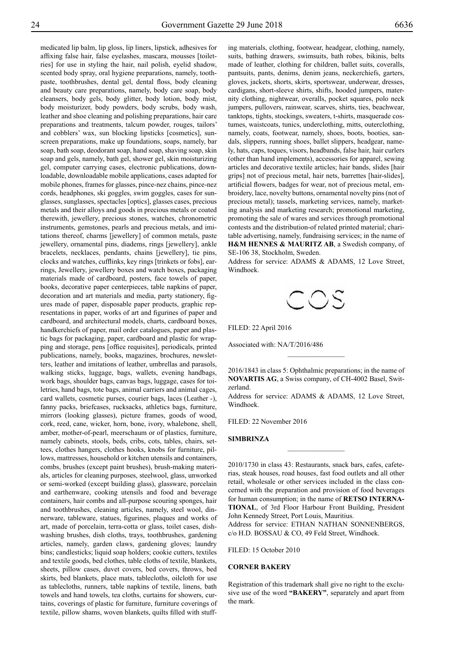medicated lip balm, lip gloss, lip liners, lipstick, adhesives for affixing false hair, false eyelashes, mascara, mousses [toiletries] for use in styling the hair, nail polish, eyelid shadow, scented body spray, oral hygiene preparations, namely, toothpaste, toothbrushes, dental gel, dental floss, body cleaning and beauty care preparations, namely, body care soap, body cleansers, body gels, body glitter, body lotion, body mist, body moisturizer, body powders, body scrubs, body wash, leather and shoe cleaning and polishing preparations, hair care preparations and treatments, talcum powder, rouges, tailors' and cobblers' wax, sun blocking lipsticks [cosmetics], sunscreen preparations, make up foundations, soaps, namely, bar soap, bath soap, deodorant soap, hand soap, shaving soap, skin soap and gels, namely, bath gel, shower gel, skin moisturizing gel, computer carrying cases, electronic publications, downloadable, downloadable mobile applications, cases adapted for mobile phones, frames for glasses, pince-nez chains, pince-nez cords, headphones, ski goggles, swim goggles, cases for sunglasses, sunglasses, spectacles [optics], glasses cases, precious metals and their alloys and goods in precious metals or coated therewith, jewellery, precious stones, watches, chronometric instruments, gemstones, pearls and precious metals, and imitations thereof, charms [jewellery] of common metals, paste jewellery, ornamental pins, diadems, rings [jewellery], ankle bracelets, necklaces, pendants, chains [jewellery], tie pins, clocks and watches, cufflinks, key rings [trinkets or fobs], earrings, Jewellery, jewellery boxes and watch boxes, packaging materials made of cardboard, posters, face towels of paper, books, decorative paper centerpieces, table napkins of paper, decoration and art materials and media, party stationery, figures made of paper, disposable paper products, graphic representations in paper, works of art and figurines of paper and cardboard, and architectural models, charts, cardboard boxes, handkerchiefs of paper, mail order catalogues, paper and plastic bags for packaging, paper, cardboard and plastic for wrapping and storage, pens [office requisites], periodicals, printed publications, namely, books, magazines, brochures, newsletters, leather and imitations of leather, umbrellas and parasols, walking sticks, luggage, bags, wallets, evening handbags, work bags, shoulder bags, canvas bags, luggage, cases for toiletries, hand bags, tote bags, animal carriers and animal cages, card wallets, cosmetic purses, courier bags, laces (Leather -), fanny packs, briefcases, rucksacks, athletics bags, furniture, mirrors (looking glasses), picture frames, goods of wood, cork, reed, cane, wicker, horn, bone, ivory, whalebone, shell, amber, mother-of-pearl, meerschaum or of plastics, furniture, namely cabinets, stools, beds, cribs, cots, tables, chairs, settees, clothes hangers, clothes hooks, knobs for furniture, pillows, mattresses, household or kitchen utensils and containers, combs, brushes (except paint brushes), brush-making materials, articles for cleaning purposes, steelwool, glass, unworked or semi-worked (except building glass), glassware, porcelain and earthenware, cooking utensils and food and beverage containers, hair combs and all-purpose scouring sponges, hair and toothbrushes, cleaning articles, namely, steel wool, dinnerware, tableware, statues, figurines, plaques and works of art, made of porcelain, terra-cotta or glass, toilet cases, dishwashing brushes, dish cloths, trays, toothbrushes, gardening articles, namely, garden claws, gardening gloves; laundry bins; candlesticks; liquid soap holders; cookie cutters, textiles and textile goods, bed clothes, table cloths of textile, blankets, sheets, pillow cases, duvet covers, bed covers, throws, bed skirts, bed blankets, place mats, tablecloths, oilcloth for use as tablecloths, runners, table napkins of textile, linens, bath towels and hand towels, tea cloths, curtains for showers, curtains, coverings of plastic for furniture, furniture coverings of textile, pillow shams, woven blankets, quilts filled with stuff-

ing materials, clothing, footwear, headgear, clothing, namely, suits, bathing drawers, swimsuits, bath robes, bikinis, belts made of leather, clothing for children, ballet suits, coveralls, pantsuits, pants, denims, denim jeans, neckerchiefs, garters, gloves, jackets, shorts, skirts, sportswear, underwear, dresses, cardigans, short-sleeve shirts, shifts, hooded jumpers, maternity clothing, nightwear, overalls, pocket squares, polo neck jumpers, pullovers, rainwear, scarves, shirts, ties, beachwear, tanktops, tights, stockings, sweaters, t-shirts, masquerade costumes, waistcoats, tunics, underclothing, mitts, outerclothing, namely, coats, footwear, namely, shoes, boots, booties, sandals, slippers, running shoes, ballet slippers, headgear, namely, hats, caps, toques, visors, headbands, false hair, hair curlers (other than hand implements), accessories for apparel, sewing articles and decorative textile articles; hair bands, slides [hair grips] not of precious metal, hair nets, barrettes [hair-slides], artificial flowers, badges for wear, not of precious metal, embroidery, lace, novelty buttons, ornamental novelty pins (not of precious metal); tassels, marketing services, namely, marketing analysis and marketing research; promotional marketing, promoting the sale of wares and services through promotional contests and the distribution-of related printed material; charitable advertising, namely, fundraising services; in the name of **H&M HENNES & MAURITZ AB**, a Swedish company, of SE-106 38, Stockholm, Sweden.

Address for service: ADAMS & ADAMS, 12 Love Street, Windhoek.



Filed: 22 April 2016

Associated with: NA/T/2016/486

2016/1843 in class 5: Ophthalmic preparations; in the name of **NOVARTIS AG**, a Swiss company, of CH-4002 Basel, Switzerland.

 $\frac{1}{2}$ 

Address for service: ADAMS & ADAMS, 12 Love Street, Windhoek.

Filed: 22 November 2016

#### **SIMBRINZA**

2010/1730 in class 43: Restaurants, snack bars, cafes, cafeterias, steak houses, road houses, fast food outlets and all other retail, wholesale or other services included in the class concerned with the preparation and provision of food beverages for human consumption; in the name of **RETSO INTERNA-TIONAL**, of 3rd Floor Harbour Front Building, President John Kennedy Street, Port Louis, Mauritius.

 $\frac{1}{2}$ 

Address for service: ETHAN NATHAN SONNENBERGS, c/o H.D. BOSSAU & CO, 49 Feld Street, Windhoek.

FILED: 15 October 2010

# **CORNER BAKERY**

Registration of this trademark shall give no right to the exclusive use of the word **"BAKERY"**, separately and apart from the mark.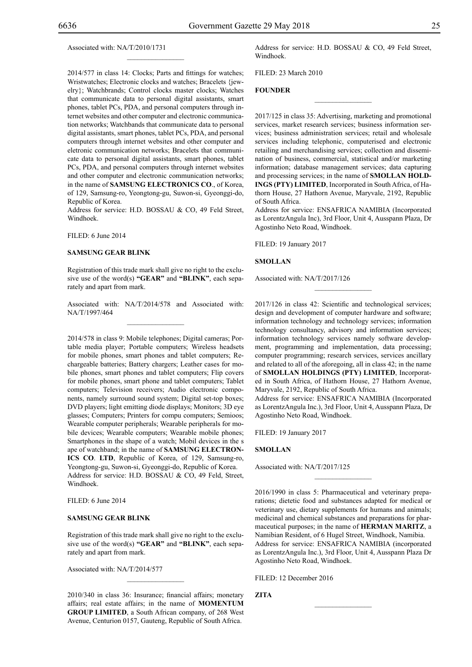Associated with: NA/T/2010/1731

2014/577 in class 14: Clocks; Parts and fittings for watches; Wristwatches; Electronic clocks and watches; Bracelets {jewelry}; Watchbrands; Control clocks master clocks; Watches that communicate data to personal digital assistants, smart phones, tablet PCs, PDA, and personal computers through internet websites and other computer and electronic communication networks; Watchbands that communicate data to personal digital assistants, smart phones, tablet PCs, PDA, and personal computers through internet websites and other computer and eletronic communication networks; Bracelets that communicate data to personal digital assistants, smart phones, tablet PCs, PDA, and personal computers through internet websites and other computer and electronic communication networks; in the name of **SAMSUNG ELECTRONICS CO**., of Korea, of 129, Samsung-ro, Yeongtong-gu, Suwon-si, Gyeonggi-do, Republic of Korea.

 $\mathcal{L}=\mathcal{L}^{\mathcal{L}}$ 

Address for service: H.D. BOSSAU & CO, 49 Feld Street, Windhoek.

Filed: 6 June 2014

#### **SAMSUNG GEAR BLINK**

Registration of this trade mark shall give no right to the exclusive use of the word(s) **"GEAR"** and **"BLINK"**, each separately and apart from mark.

Associated with: NA/T/2014/578 and Associated with: NA/T/1997/464  $\mathcal{L}=\mathcal{L}^{\mathcal{L}}$ 

2014/578 in class 9: Mobile telephones; Digital cameras; Portable media player; Portable computers; Wireless headsets for mobile phones, smart phones and tablet computers; Rechargeable batteries; Battery chargers; Leather cases for mobile phones, smart phones and tablet computers; Flip covers for mobile phones, smart phone and tablet computers; Tablet computers; Television receivers; Audio electronic components, namely surround sound system; Digital set-top boxes; DVD players; light emitting diode displays; Monitors; 3D eye glasses; Computers; Printers for compu computers; Semioos; Wearable computer peripherals; Wearable peripherals for mobile devices; Wearable computers; Wearable mobile phones; Smartphones in the shape of a watch; Mobil devices in the s ape of watchband; in the name of **SAMSUNG ELECTRON-ICS CO**. **LTD**, Republic of Korea, of 129, Samsung-ro, Yeongtong-gu, Suwon-si, Gyeonggi-do, Republic of Korea. Address for service: H.D. BOSSAU & CO, 49 Feld, Street, Windhoek.

Filed: 6 June 2014

#### **SAMSUNG GEAR BLINK**

Registration of this trade mark shall give no right to the exclusive use of the word(s) **"GEAR"** and **"BLINK"**, each separately and apart from mark.

Associated with: NA/T/2014/577

2010/340 in class 36: Insurance; financial affairs; monetary affairs; real estate affairs; in the name of **MOMENTUM GROUP LIMITED**, a South African company, of 268 West Avenue, Centurion 0157, Gauteng, Republic of South Africa.

 $\mathcal{L}=\mathcal{L}^{\mathcal{L}}$ 

Address for service: H.D. BOSSAU & CO, 49 Feld Street, Windhoek.

 $\frac{1}{2}$ 

Filed: 23 March 2010

# **FOUNDER**

2017/125 in class 35: Advertising, marketing and promotional services, market research services; business information services; business administration services; retail and wholesale services including telephonic, computerised and electronic retailing and merchandising services; collection and dissemination of business, commercial, statistical and/or marketing information; database management services; data capturing and processing services; in the name of **SMOLLAN HOLD-INGS (PTY) LIMITED**, Incorporated in South Africa, of Hathorn House, 27 Hathorn Avenue, Maryvale, 2192, Republic of South Africa.

Address for service: ENSafrica Namibia (Incorporated as LorentzAngula Inc), 3rd Floor, Unit 4, Ausspann Plaza, Dr Agostinho Neto Road, Windhoek.

Filed: 19 January 2017

**SMOLLAN**

Associated with: NA/T/2017/126

2017/126 in class 42: Scientific and technological services; design and development of computer hardware and software; information technology and technology services; information technology consultancy, advisory and information services; information technology services namely software development, programming and implementation, data processing; computer programming; research services, services ancillary and related to all of the aforegoing, all in class 42; in the name of **SMOLLAN HOLDINGS (PTY) LIMITED**, Incorporated in South Africa, of Hathorn House, 27 Hathorn Avenue, Maryvale, 2192, Republic of South Africa.

 $\frac{1}{2}$ 

Address for service: ENSAFRICA NAMIBIA (Incorporated as LorentzAngula Inc.), 3rd Floor, Unit 4, Ausspann Plaza, Dr Agostinho Neto Road, Windhoek.

FILED: 19 January 2017

**SMOLLAN**

Associated with: NA/T/2017/125

2016/1990 in class 5: Pharmaceutical and veterinary preparations; dietetic food and substances adapted for medical or veterinary use, dietary supplements for humans and animals; medicinal and chemical substances and preparations for pharmaceutical purposes; in the name of **HERMAN MARITZ**, a Namibian Resident, of 6 Hugel Street, Windhoek, Namibia. Address for service: ENSAFRICA NAMIBIA (incorporated as LorentzAngula Inc.), 3rd Floor, Unit 4, Ausspann Plaza Dr Agostinho Neto Road, Windhoek.

 $\frac{1}{2}$ 

 $\frac{1}{2}$ 

FILED: 12 December 2016

**ZITA**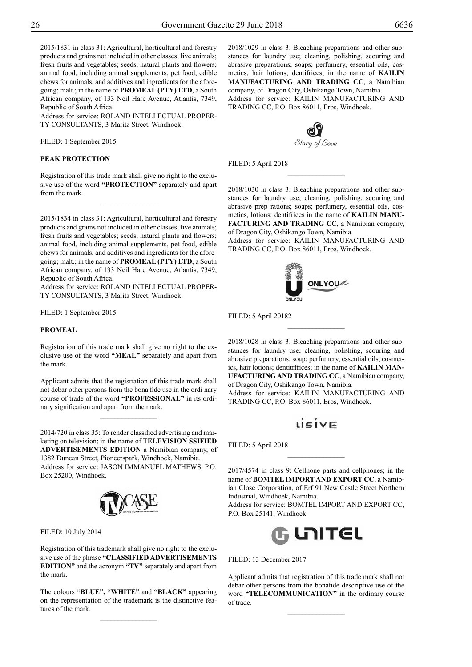2015/1831 in class 31: Agricultural, horticultural and forestry products and grains not included in other classes; live animals; fresh fruits and vegetables; seeds, natural plants and flowers; animal food, including animal supplements, pet food, edible chews for animals, and additives and ingredients for the aforegoing; malt.; in the name of **PROMEAL (PTY) LTD**, a South African company, of 133 Neil Hare Avenue, Atlantis, 7349, Republic of South Africa.

Address for service: ROLAND INTELLECTUAL PROPER-TY CONSULTANTS, 3 Maritz Street, Windhoek.

FILED: 1 September 2015

# **PEAK PROTECTION**

Registration of this trade mark shall give no right to the exclusive use of the word **"PROTECTION"** separately and apart from the mark.

 $\frac{1}{2}$ 

2015/1834 in class 31: Agricultural, horticultural and forestry products and grains not included in other classes; live animals; fresh fruits and vegetables; seeds, natural plants and flowers; animal food, including animal supplements, pet food, edible chews for animals, and additives and ingredients for the aforegoing; malt.; in the name of **PROMEAL (PTY) LTD**, a South African company, of 133 Neil Hare Avenue, Atlantis, 7349, Republic of South Africa.

Address for service: ROLAND INTELLECTUAL PROPER-TY CONSULTANTS, 3 Maritz Street, Windhoek.

FILED: 1 September 2015

# **PROMEAL**

Registration of this trade mark shall give no right to the exclusive use of the word **"MEAL"** separately and apart from the mark.

Applicant admits that the registration of this trade mark shall not debar other persons from the bona fide use in the ordi nary course of trade of the word **"PROFESSIONAL"** in its ordinary signification and apart from the mark.

 $\frac{1}{2}$ 

2014/720 in class 35: To render classified advertising and marketing on television; in the name of **TELEVISION SSIFIED ADVERTISEMENTS EDITION** a Namibian company, of 1382 Duncan Street, Pioneerspark, Windhoek, Namibia. Address for service: Jason Immanuel Mathews, P.O. Box 25200, Windhoek.



Filed: 10 July 2014

Registration of this trademark shall give no right to the exclusive use of the phrase **"CLASSIFIED ADVERTISEMENTS EDITION"** and the acronym **"TV"** separately and apart from the mark.

The colours **"BLUE", "WHITE"** and **"BLACK"** appearing on the representation of the trademark is the distinctive features of the mark.

2018/1029 in class 3: Bleaching preparations and other substances for laundry use; cleaning, polishing, scouring and abrasive preparations; soaps; perfumery, essential oils, cosmetics, hair lotions; dentifrices; in the name of **KAILIN MANUFACTURING AND TRADING CC**, a Namibian company, of Dragon City, Oshikango Town, Namibia. Address for service: KAILIN MANUFACTURING AND TRADING CC, P.O. Box 86011, Eros, Windhoek.



Filed: 5 April 2018

2018/1030 in class 3: Bleaching preparations and other substances for laundry use; cleaning, polishing, scouring and abrasive prep rations; soaps; perfumery, essential oils, cosmetics, lotions; dentifrices in the name of **KAILIN MANU-FACTURING AND TRADING CC**, a Namibian company, of Dragon City, Oshikango Town, Namibia.

 $\frac{1}{2}$ 

Address for service: KAILIN MANUFACTURING AND Trading CC, P.O. Box 86011, Eros, Windhoek.



Filed: 5 April 20182

2018/1028 in class 3: Bleaching preparations and other substances for laundry use; cleaning, polishing, scouring and abrasive preparations; soap; perfumery, essential oils, cosmetics, hair lotions; dentitrfrices; in the name of **KAILIN MAN-UFACTURING AND TRADING CC**, a Namibian company, of Dragon City, Oshikango Town, Namibia.

 $\overline{\phantom{a}}$  , where  $\overline{\phantom{a}}$ 

Address for service: KAILIN MANUFACTURING AND Trading CC, P.O. Box 86011, Eros, Windhoek.

# $i$ siv $\in$

Filed: 5 April 2018

2017/4574 in class 9: Cellhone parts and cellphones; in the name of **BOMTEL IMPORT AND EXPORT CC**, a Namibian Close Corporation, of Erf 91 New Castle Street Northern Industrial, Windhoek, Namibia.

 $\overline{\phantom{a}}$  , where  $\overline{\phantom{a}}$ 

Address for service: BOMTEL IMPORT AND EXPORT CC, P.O. Box 25141, Windhoek.



FILED: 13 December 2017

Applicant admits that registration of this trade mark shall not debar other persons from the bonafide descriptive use of the word **"TELECOMMUNICATION"** in the ordinary course of trade.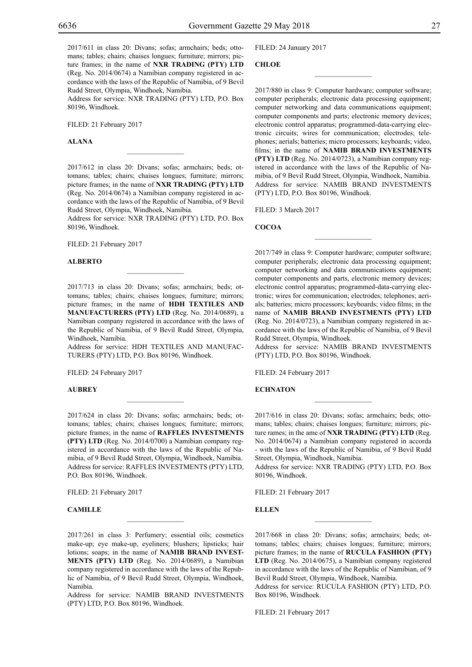2017/611 in class 20: Divans; sofas; armchairs; beds; ottomans; tables; chairs; chaises longues; furniture; mirrors; picture frames; in the name of **NXR TRADING (PTY) LTD** (Reg. No. 2014/0674) a Namibian company registered in accordance with the laws of the Republic of Namibia, of 9 Bevil Rudd Street, Olympia, Windhoek, Namibia.

Address for service: NXR TRADING (PTY) LTD, P.O. Box 80196, Windhoek.

Filed: 21 February 2017

**Alana**

2017/612 in class 20: Divans; sofas; armchairs; beds; ottomans; tables; chairs; chaises longues; furniture; mirrors; picture frames; in the name of **NXR TRADING (PTY) LTD** (Reg. No. 2014/0674) a Namibian company registered in accordance with the laws of the Republic of Namibia, of 9 Bevil Rudd Street, Olympia, Windhoek, Namibia.

 $\mathcal{L}=\mathcal{L}^{\mathcal{L}}$ 

Address for service: NXR TRADING (PTY) LTD, P.O. Box 80196, Windhoek.

FILED: 21 February 2017

#### **Alberto**

2017/713 in class 20: Divans; sofas; armchairs; beds; ottomans; tables; chairs; chaises longues; furniture; mirrors; picture frames; in the name of **HDH TEXTILES AND MANUFACTURERS (PTY) LTD** (Reg. No. 2014/0689), a Namibian company registered in accordance with the laws of the Republic of Namibia, of 9 Bevil Rudd Street, Olympia, Windhoek, Namibia.

Address for service: HDH TEXTILES AND MANUFAC-TURERS (PTY) LTD, P.O. Box 80196, Windhoek.

Filed: 24 February 2017

**Aubrey**

2017/624 in class 20: Divans; sofas; armchairs; beds; ottomans; tables; chairs; chaises longues; furniture; mirrors; picture frames; in the name of **RAFFLES INVESTMENTS (PTY) LTD** (Reg. No. 2014/0700) a Namibian company registered in accordance with the laws of the Republic of Namibia, of 9 Bevil Rudd Street, Olympia, Windhoek, Namibia. Address for service: RAFFLES INVESTMENTS (PTY) LTD, P.O. Box 80196, Windhoek.

Filed: 21 February 2017

# **Camille**

2017/261 in class 3: Perfumery; essential oils; cosmetics make-up; eye make-up, eyeliners; blushers; lipsticks; hair lotions; soaps; in the name of **NAMIB BRAND INVEST-MENTS (PTY) LTD** (Reg. No. 2014/0689), a Namibian company registered in accordance with the laws of the Republic of Namibia, of 9 Bevil Rudd Street, Olympia, Windhoek, Namibia.

 $\mathcal{L}=\mathcal{L}^{\mathcal{L}}$ 

Address for service: NAMIB BRAND INVESTMENTS (PTY) LTD, P.O. Box 80196, Windhoek.

Filed: 24 January 2017

# **Chloe**

2017/880 in class 9: Computer hardware; computer software; computer peripherals; electronic data processing equipment; computer networking and data communications equipment; computer components and parts; electronic memory devices; electronic control apparatus; programmed-data-carrying electronic circuits; wires for communication; electrodes; telephones; aerials; batteries; micro processors; keyboards; video, films; in the name of **NAMIB BRAND INVESTMENTS (PTY) LTD** (Reg. No. 2014/0723), a Namibian company registered in accordance with the laws of the Republic of Namibia, of 9 Bevil Rudd Street, Olympia, Windhoek, Namibia. Address for service: NAMIB BRAND INVESTMENTS (PTY) LTD, P.O. Box 80196, Windhoek.

 $\overline{\phantom{a}}$  , where  $\overline{\phantom{a}}$ 

FILED: 3 March 2017

**COCOA**

2017/749 in class 9: Computer hardware; computer software; computer peripherals; electronic data processing equipment; computer networking and data communications equipment; computer components and parts, electronic memory devices; electronic control apparatus; programmed-data-carrying electronic; wires for communication; electrodes; telephones; aerials; batteries; micro processors; keyboards; video films; in the name of **NAMIB BRAND INVESTMENTS (PTY) LTD**  (Reg. No. 2014/0723), a Namibian company registered in accordance with the laws of the Republic of Namibia, of 9 Bevil Rudd Street, Olympia, Windhoek.

 $\frac{1}{2}$ 

Address for service: NAMIB BRAND INVESTMENTS (PTY) LTD, P.O. Box 80196, Windhoek.

FILED: 24 February 2017

# **ECHNATON**

2017/616 in class 20: Divans; sofas; armchairs; beds; ottomans; tables; chairs; chaises longues; furniture; mirrors; picture rames; in the ame of **NXR TRADING (PTY) LTD** (Reg. No. 2014/0674) a Namibian company registered in accorda - with the laws of the Republic of Namibia, of 9 Bevil Rudd Street, Olympia, Windhoek, Namibia.

Address for service: NXR TRADING (PTY) LTD, P.O. Box 80196, Windhoek.

Filed: 21 February 2017

**Ellen**

2017/668 in class 20: Divans; sofas; armchairs; beds; ottomans; tables; chairs; chaises longues; furniture; mirrors; picture frames; in the name of **RUCULA FASHION (PTY) LTD** (Reg. No. 2014/0675), a Namibian company registered in accordance with the laws of the Republic of Namibian, of 9 Bevil Rudd Street, Olympia, Windhoek, Namibia.

 $\frac{1}{2}$ 

Address for service: RUCULA FASHION (PTY) LTD, P.O. Box 80196, Windhoek.

FILED: 21 February 2017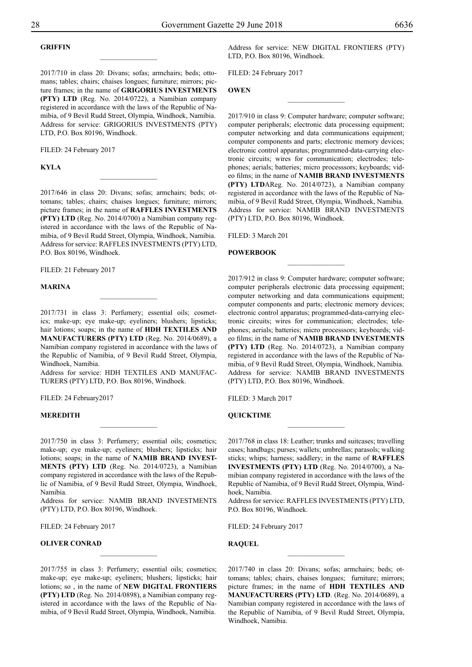# **Griffin**

2017/710 in class 20: Divans; sofas; armchairs; beds; ottomans; tables; chairs; chaises longues; furniture; mirrors; picture frames; in the name of **GRIGORIUS INVESTMENTS (PTY) LTD** (Reg. No. 2014/0722), a Namibian company registered in accordance with the laws of the Republic of Namibia, of 9 Bevil Rudd Street, Olympia, Windhoek, Namibia. Address for service: GRIGORIUS INVESTMENTS (PTY) LTD, P.O. Box 80196, Windhoek.

 $\overline{\phantom{a}}$  , where  $\overline{\phantom{a}}$ 

FILED: 24 February 2017

#### **Kyla**

2017/646 in class 20: Divans; sofas; armchairs; beds; ottomans; tables; chairs; chaises longues; furniture; mirrors; picture frames; in the name of **RAFFLES INVESTMENTS (PTY) LTD** (Reg. No. 2014/0700) a Namibian company registered in accordance with the laws of the Republic of Namibia, of 9 Bevil Rudd Street, Olympia, Windhoek, Namibia. Address for service: RAFFLES INVESTMENTS (PTY) LTD, P.O. Box 80196, Windhoek.

 $\frac{1}{2}$ 

Filed: 21 February 2017

#### **Marina**

2017/731 in class 3: Perfumery; essential oils; cosmetics; make-up; eye make-up; eyeliners; blushers; lipsticks; hair lotions; soaps; in the name of **HDH TEXTILES AND MANUFACTURERS (PTY) LTD** (Reg. No. 2014/0689), a Namibian company registered in accordance with the laws of the Republic of Namibia, of 9 Bevil Rudd Street, Olympia, Windhoek, Namibia.

Address for service: HDH TEXTILES AND MANUFAC-TURERS (PTY) LTD, P.O. Box 80196, Windhoek.

Filed: 24 February2017

#### **Meredith**

2017/750 in class 3: Perfumery; essential oils; cosmetics; make-up; eye make-up; eyeliners; blushers; lipsticks; hair lotions; soaps; in the name of **NAMIB BRAND INVEST-MENTS (PTY) LTD** (Reg. No. 2014/0723), a Namibian company registered in accordance with the laws of the Republic of Namibia, of 9 Bevil Rudd Street, Olympia, Windhoek, Namibia.

Address for service: NAMIB BRAND INVESTMENTS (PTY) LTD, P.O. Box 80196, Windhoek.

FILED: 24 February 2017

#### **Oliver Conrad**

2017/755 in class 3: Perfumery; essential oils; cosmetics; make-up; eye make-up; eyeliners; blushers; lipsticks; hair lotions; so , in the name of **NEW DIGITAL FRONTIERS (PTY) LTD** (Reg. No. 2014/0898), a Namibian company registered in accordance with the laws of the Republic of Namibia, of 9 Bevil Rudd Street, Olympia, Windhoek, Namibia.

 $\overline{\phantom{a}}$  , where  $\overline{\phantom{a}}$ 

Address for service: NEW DIGITAL FRONTIERS (PTY) LTD, P.O. Box 80196, Windhoek.

 $\frac{1}{2}$ 

Filed: 24 February 2017

# **Owen**

2017/910 in class 9: Computer hardware; computer software; computer peripherals; electronic data processing equipment; computer networking and data communications equipment; computer components and parts; electronic memory devices; electronic control apparatus; programmed-data-carrying electronic circuits; wires for communication; electrodes; telephones; aerials; batteries; micro processsors; keyboards; video films; in the name of **NAMIB BRAND INVESTMENTS (PTY) LTD**AReg. No. 2014/0723), a Namibian company registered in accordance with the laws of the Republic of Namibia, of 9 Bevil Rudd Street, Olympia, Windhoek, Namibia. Address for service: NAMIB BRAND INVESTMENTS (PTY) LTD, P.O. Box 80196, Windhoek.

FILED: 3 March 201

#### **POWERBOOK**

2017/912 in class 9: Computer hardware; computer software; computer peripherals electronic data processing equipment; computer networking and data communications equipment; computer components and parts; electronic memory devices; electronic control apparatus; programmed-data-carrying electronic circuits; wires for communication; electrodes; telephones; aerials; batteries; micro processsors; keyboards; video films; in the name of **NAMIB BRAND INVESTMENTS (PTY) LTD** (Reg. No. 2014/0723), a Namibian company registered in accordance with the laws of the Republic of Namibia, of 9 Bevil Rudd Street, Olympia, Windhoek, Namibia. Address for service: NAMIB BRAND INVESTMENTS (PTY) LTD, P.O. Box 80196, Windhoek.

 $\frac{1}{2}$ 

FILED: 3 March 2017

#### **QUICKTIME**

2017/768 in class 18: Leather; trunks and suitcases; travelling cases; handbags; purses; wallets; umbrellas; parasols; walking sticks; whips; harness; saddlery; in the name of **RAFFLES INVESTMENTS (PTY) LTD** (Reg. No. 2014/0700), a Namibian company registered in accordance with the laws of the Republic of Namibia, of 9 Bevil Rudd Street, Olympia, Windhoek, Namibia.

 $\frac{1}{2}$ 

Address for service: RAFFLES INVESTMENTS (PTY) LTD, P.O. Box 80196, Windhoek.

FILED: 24 February 2017

**Raquel**

2017/740 in class 20: Divans; sofas; armchairs; beds; ottomans; tables; chairs, chaises longues; furniture; mirrors; picture frames; in the name of **HDH TEXTILES AND MANUFACTURERS (PTY) LTD**. (Reg. No. 2014/0689), a Namibian company registered in accordance with the laws of the Republic of Namibia, of 9 Bevil Rudd Street, Olympia, Windhoek, Namibia.

 $\frac{1}{2}$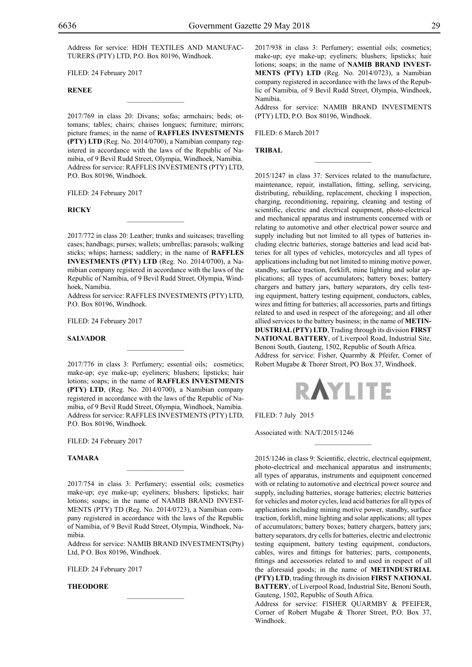Address for service: HDH TEXTILES AND MANUFAC-TURERS (PTY) LTD, P.O. Box 80196, Windhoek.

Filed: 24 February 2017

#### **Renee**

2017/769 in class 20: Divans; sofas; armchairs; beds; ottomans; tables; chairs; chaises longues; furniture; mirrors; picture frames; in the name of **RAFFLES INVESTMENTS (PTY) LTD** (Reg. No. 2014/0700), a Namibian company registered in accordance with the laws of the Republic of Namibia, of 9 Bevil Rudd Street, Olympia, Windhoek, Namibia. Address for service: RAFFLES INVESTMENTS (PTY) LTD, P.O. Box 80196, Windhoek.

 $\mathcal{L}=\mathcal{L}^{\text{max}}$ 

FILED: 24 February 2017

#### **Ricky**

2017/772 in class 20: Leather; trunks and suitcases; travelling cases; handbags; purses; wallets; umbrellas; parasols; walking sticks; whips; harness; saddlery; in the name of **RAFFLES INVESTMENTS (PTY) LTD** (Reg. No. 2014/0700), a Namibian company registered in accordance with the laws of the Republic of Namibia, of 9 Bevil Rudd Street, Olympia, Windhoek, Namibia.

 $\mathcal{L}=\mathcal{L}^{\text{max}}$ 

Address for service: RAFFLES INVESTMENTS (PTY) LTD, P.O. Box 80196, Windhoek.

 $\overline{\phantom{a}}$  , where  $\overline{\phantom{a}}$ 

FILED: 24 February 2017

# **Salvador**

2017/776 in class 3: Perfumery; essential oils; cosmetics; make-up; eye make-up; eyeliners; blushers; lipsticks; hair lotions; soaps; in the name of **RAFFLES INVESTMENTS (PTY) LTD**, (Reg. No. 2014/0700), a Namibian company registered in accordance with the laws of the Republic of Namibia, of 9 Bevil Rudd Street, Olympia, Windhoek, Namibia. Address for service: RAFFLES INVESTMENTS (PTY) LTD, P.O. Box 80196, Windhoek.

FILED: 24 February 2017

# **Tamara**

2017/754 in class 3: Perfumery; essential oils; cosmetics make-up; eye make-up; eyeliners; blushers; lipsticks; hair lotions; soaps; in the name of NAMIB BRAND INVEST-MENTS (PTY) TD (Reg. No. 2014/0723), a Namibian company registered in accordance with the laws of the Republic of Namibia, of 9 Bevil Rudd Street, Olympia, Windhoek, Namibia.

 $\mathcal{L}=\mathcal{L}^{\text{max}}$ 

Address for service: NAMIB BRAND INVESTMENTS(Pty) Ltd, P O. Box 80196, Windhoek.

 $\mathcal{L}=\mathcal{L}^{\text{max}}$ 

Filed: 24 February 2017

# **Theodore**

2017/938 in class 3: Perfumery; essential oils; cosmetics; make-up; eye make-up; eyeliners; blushers; lipsticks; hair lotions; soaps; in the name of **NAMIB BRAND INVEST-MENTS (PTY) LTD** (Reg. No. 2014/0723), a Namibian company registered in accordance with the laws of the Republic of Namibia, of 9 Bevil Rudd Street, Olympia, Windhoek, Namibia.

Address for service: NAMIB BRAND INVESTMENTS (PTY) LTD, P.O. Box 80196, Windhoek.

 $\overline{\phantom{a}}$  , where  $\overline{\phantom{a}}$ 

FILED: 6 March 2017

**TRIBAL**

2015/1247 in class 37: Services related to the manufacture, maintenance, repair, installation, fitting, selling, servicing, distributing, rebuilding, replacement, checking I inspection, charging, reconditioning, repairing, cleaning and testing of scientific, electric and electrical equipment, photo-electrical and mechanical apparatus and instruments concerned with or relating to automotive and other electrical power source and supply including but not limited to all types of batteries including electric batteries, storage batteries and lead acid batteries for all types of vehicles, motorcycles and all types of applications including but not limited to mining motive power, standby, surface traction, forklift, mine lighting and solar applications; all types of accumulators; battery boxes; battery chargers and battery jars, battery separators, dry cells testing equipment, battery testing equipment, conductors, cables, wires and fitting for batteries; all accessories, parts and fittings related to and used in respect of the aforegoing; and all other allied services to the battery business; in the name of **METIN-DUSTRIAL (PTY) LTD**, Trading through its division **FIRST NATIONAL BATTERY**, of Liverpool Road, Industrial Site, Benoni South, Gauteng, 1502, Republic of South Africa. Address for service: Fisher, Quarmby & Pfeifer, Corner of Robert Mugabe & Thorer Street, PO Box 37, Windhoek.



 $\frac{1}{2}$ 

Filed: 7 July 2015

Associated with: NA/T/2015/1246

2015/1246 in class 9: Scientific, electric, electrical equipment, photo-electrical and mechanical apparatus and instruments; all types of apparatus, instruments and equipment concerned with or relating to automotive and electrical power source and supply, including batteries, storage batteries; electric batteries for vehicles and motor cycles, lead acid batteries for all types of applications including mining motive power, standby, surface traction, forklift, mine lighting and solar applications; all types of accumulators; battery boxes; battery chargers, battery jars; battery separators, dry cells for batteries, electric and electronic testing equipment, battery testing equipment, conductors, cables, wires and fittings for batteries; parts, components, fittings and accessories related to and used in respect of all the aforesaid goods; in the name of **METINDUSTRIAL (PTY) LTD**, trading through its division **FIRST NATIONAL BATTERY**, of Liverpool Road, Industrial Site, Benoni South, Gauteng, 1502, Republic of South Africa.

Address for service: FISHER QUARMBY & PFEIFER, Corner of Robert Mugabe & Thorer Street, P.O. Box 37, Windhoek.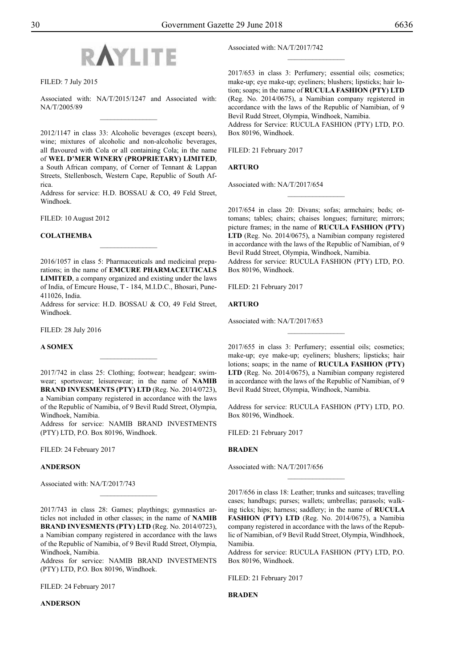

Filed: 7 July 2015

Associated with: NA/T/2015/1247 and Associated with: NA/T/2005/89  $\overline{\phantom{a}}$  , where  $\overline{\phantom{a}}$ 

2012/1147 in class 33: Alcoholic beverages (except beers), wine; mixtures of alcoholic and non-alcoholic beverages, all flavoured with Cola or all containing Cola; in the name of **WEL D'MER WINERY (PROPRIETARY) LIMITED**, a South African company, of Corner of Tennant & Lappan Streets, Stellenbosch, Western Cape, Republic of South Africa.

Address for service: H.D. BOSSAU & CO, 49 Feld Street, Windhoek.

Filed: 10 August 2012

# **COLATHEMBA**

2016/1057 in class 5: Pharmaceuticals and medicinal preparations; in the name of **EMCURE PHARMACEUTICALS LIMITED**, a company organized and existing under the laws of India, of Emcure House, T - 184, M.I.D.C., Bhosari, Pune-411026, India.

 $\frac{1}{2}$ 

Address for service: H.D. BOSSAU & CO, 49 Feld Street, Windhoek.

Filed: 28 July 2016

#### **A SOMEX**

2017/742 in class 25: Clothing; footwear; headgear; swimwear; sportswear; leisurewear; in the name of **NAMIB BRAND INVESMENTS (PTY) LTD** (Reg. No. 2014/0723), a Namibian company registered in accordance with the laws of the Republic of Namibia, of 9 Bevil Rudd Street, Olympia, Windhoek, Namibia.

Address for service: NAMIB BRAND INVESTMENTS (PTY) LTD, P.O. Box 80196, Windhoek.

FILED: 24 February 2017

# **ANDERSON**

Associated with: NA/T/2017/743

2017/743 in class 28: Games; playthings; gymnastics articles not included in other classes; in the name of **NAMIB BRAND INVESMENTS (PTY) LTD** (Reg. No. 2014/0723), a Namibian company registered in accordance with the laws of the Republic of Namibia, of 9 Bevil Rudd Street, Olympia, Windhoek, Namibia.

 $\frac{1}{2}$ 

Address for service: NAMIB BRAND INVESTMENTS (PTY) LTD, P.O. Box 80196, Windhoek.

FILED: 24 February 2017

# **ANDERSON**

Associated with: NA/T/2017/742

2017/653 in class 3: Perfumery; essential oils; cosmetics; make-up; eye make-up; eyeliners; blushers; lipsticks; hair lotion; soaps; in the name of **RUCULA FASHION (PTY) LTD** (Reg. No. 2014/0675), a Namibian company registered in accordance with the laws of the Republic of Namibian, of 9 Bevil Rudd Street, Olympia, Windhoek, Namibia.

 $\frac{1}{2}$ 

Address for Service: RUCULA FASHION (PTY) LTD, P.O. Box 80196, Windhoek.

FILED: 21 February 2017

# **Arturo**

Associated with: NA/T/2017/654

2017/654 in class 20: Divans; sofas; armchairs; beds; ottomans; tables; chairs; chaises longues; furniture; mirrors; picture frames; in the name of **RUCULA FASHION (PTY) LTD** (Reg. No. 2014/0675), a Namibian company registered in accordance with the laws of the Republic of Namibian, of 9 Bevil Rudd Street, Olympia, Windhoek, Namibia. Address for service: RUCULA FASHION (PTY) LTD, P.O. Box 80196, Windhoek.

 $\frac{1}{2}$ 

Filed: 21 February 2017

**Arturo**

Associated with: NA/T/2017/653

2017/655 in class 3: Perfumery; essential oils; cosmetics; make-up; eye make-up; eyeliners; blushers; lipsticks; hair lotions; soaps; in the name of **RUCULA FASHION (PTY) LTD** (Reg. No. 2014/0675), a Namibian company registered in accordance with the laws of the Republic of Namibian, of 9 Bevil Rudd Street, Olympia, Windhoek, Namibia.

 $\frac{1}{2}$ 

Address for service: RUCULA FASHION (PTY) LTD, P.O. Box 80196, Windhoek.

FILED: 21 February 2017

# **Braden**

Associated with: NA/T/2017/656

2017/656 in class 18: Leather; trunks and suitcases; travelling cases; handbags; purses; wallets; umbrellas; parasols; walking ticks; hips; harness; saddlery; in the name of **RUCULA FASHION (PTY) LTD** (Reg. No. 2014/0675), a Namibia company registered in accordance with the laws of the Republic of Namibian, of 9 Bevil Rudd Street, Olympia, Windhhoek, Namibia.

 $\frac{1}{2}$ 

Address for service: RUCULA FASHION (PTY) LTD, P.O. Box 80196, Windhoek.

Filed: 21 February 2017

**Braden**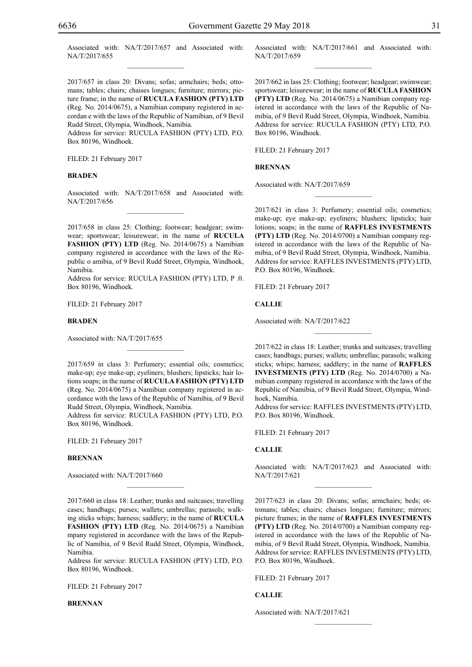Associated with: NA/T/2017/657 and Associated with: NA/T/2017/655  $\mathcal{L}=\mathcal{L}^{\text{max}}$ 

2017/657 in class 20: Divans; sofas; armchairs; beds; ottomans; tables; chairs; chaises longues; furniture; mirrors; picture frame; in the name of **RUCULA FASHION (PTY) LTD** (Reg. No. 2014/0675), a Namibian company registered in accordan e with the laws of the Republic of Namibian, of 9 Bevil Rudd Street, Olympia, Windhoek, Namibia.

Address for service: RUCULA FASHION (PTY) LTD, P.O. Box 80196, Windhoek.

FILED: 21 February 2017

#### **Braden**

Associated with: NA/T/2017/658 and Associated with: NA/T/2017/656  $\overline{\phantom{a}}$  , where  $\overline{\phantom{a}}$ 

2017/658 in class 25: Clothing; footwear; headgear; swimwear; sportswear; leisurewear; in the name of **RUCULA FASHION (PTY) LTD** (Reg. No. 2014/0675) a Namibian company registered in accordance with the laws of the Republic o amibia, of 9 Bevil Rudd Street, Olympia, Windhoek, Namibia.

Address for service: RUCULA FASHION (PTY) LTD, P .0. Box 80196, Windhoek.

FILED: 21 February 2017

#### **Braden**

Associated with: NA/T/2017/655

2017/659 in class 3: Perfumery; essential oils; cosmetics; make-up; eye make-up; eyeliners; blushers; lipsticks; hair lotions soaps; in the name of **RUCULA FASHION (PTY) LTD** (Reg. No. 2014/0675) a Namibian company registered in accordance with the laws of the Republic of Namibia, of 9 Bevil Rudd Street, Olympia, Windhoek, Namibia.

 $\overline{\phantom{a}}$  , where  $\overline{\phantom{a}}$ 

Address for service: RUCULA FASHION (PTY) LTD, P.O. Box 80196, Windhoek.

FILED: 21 February 2017

# **Brennan**

Associated with: NA/T/2017/660

2017/660 in class 18: Leather; trunks and suitcases; travelling cases; handbags; purses; wallets; umbrellas; parasols; walking sticks whips; harness; saddlery; in the name of **RUCULA FASHION (PTY) LTD** (Reg. No. 2014/0675) a Namibian mpany registered in accordance with the laws of the Republic of Namibia, of 9 Bevil Rudd Street, Olympia, Windhoek, Namibia.

 $\overline{\phantom{a}}$  , where  $\overline{\phantom{a}}$ 

Address for service: RUCULA FASHION (PTY) LTD, P.O. Box 80196, Windhoek.

Filed: 21 February 2017

**Brennan**

Associated with: NA/T/2017/661 and Associated with: NA/T/2017/659  $\frac{1}{2}$ 

2017/662 in lass 25: Clothing; footwear; headgear; swimwear; sportswear; leisurewear; in the name of **RUCULA FASHION (PTY) LTD** (Reg. No. 2014/0675) a Namibian company registered in accordance with the laws of the Republic of Namibia, of 9 Bevil Rudd Street, Olympia, Windhoek, Namibia. Address for service: RUCULA FASHION (PTY) LTD, P.O. Box 80196, Windhoek.

FILED: 21 February 2017

# **Brennan**

Associated with: NA/T/2017/659

2017/621 in class 3: Perfumery; essential oils; cosmetics; make-up; eye make-up; eyeliners; blushers; lipsticks; hair lotions; soaps; in the name of **RAFFLES INVESTMENTS (PTY) LTD** (Reg. No. 2014/0700) a Namibian company registered in accordance with the laws of the Republic of Namibia, of 9 Bevil Rudd Street, Olympia, Windhoek, Namibia. Address for service: RAFFLES INVESTMENTS (PTY) LTD, P.O. Box 80196, Windhoek.

 $\frac{1}{2}$ 

Filed: 21 February 2017

#### **Callie**

Associated with: NA/T/2017/622

2017/622 in class 18: Leather; trunks and suitcases; travelling cases; handbags; purses; wallets; umbrellas; parasols; walking sticks; whips; harness; saddlery; in the name of **RAFFLES INVESTMENTS (PTY) LTD** (Reg. No. 2014/0700) a Namibian company registered in accordance with the laws of the Republic of Namibia, of 9 Bevil Rudd Street, Olympia, Windhoek, Namibia.

 $\frac{1}{2}$ 

Address for service: RAFFLES INVESTMENTS (PTY) LTD, P.O. Box 80196, Windhoek.

FILED: 21 February 2017

# **Callie**

Associated with: NA/T/2017/623 and Associated with: NA/T/2017/621  $\overline{\phantom{a}}$  , where  $\overline{\phantom{a}}$ 

20177/623 in class 20: Divans; sofas; armchairs; beds; ottomans; tables; chairs; chaises longues; furniture; mirrors; picture frames; in the name of **RAFFLES INVESTMENTS (PTY) LTD** (Reg. No. 2014/0700) a Namibian company registered in accordance with the laws of the Republic of Namibia, of 9 Bevil Rudd Street, Olympia, Windhoek, Namibia. Address for service: RAFFLES INVESTMENTS (PTY) LTD, P.O. Box 80196, Windhoek.

 $\frac{1}{2}$ 

Filed: 21 February 2017

**Callie**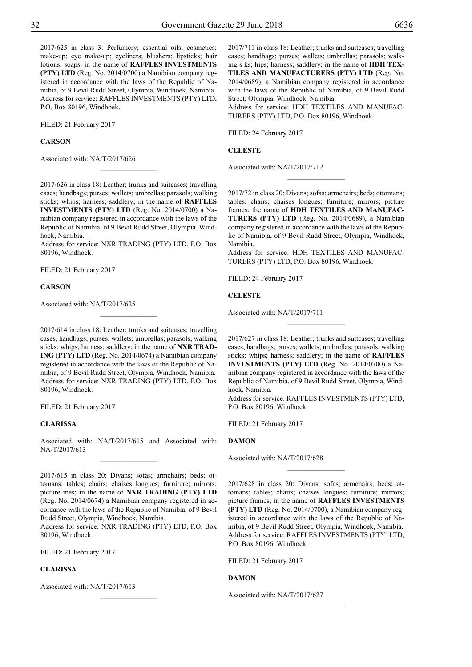2017/625 in class 3: Perfumery; essential oils; cosmetics; make-up; eye make-up; eyeliners; blushers; lipsticks; hair lotions; soaps, in the name of **RAFFLES INVESTMENTS (PTY) LTD** (Reg. No. 2014/0700) a Namibian company registered in accordance with the laws of the Republic of Namibia, of 9 Bevil Rudd Street, Olympia, Windhoek, Namibia. Address for service: RAFFLES INVESTMENTS (PTY) LTD, P.O. Box 80196, Windhoek.

FILED: 21 February 2017

#### **Carson**

Associated with: NA/T/2017/626

2017/626 in class 18: Leather; trunks and suitcases; travelling cases; handbags; purses; wallets; umbrellas; parasols; walking sticks; whips; harness; saddlery; in the name of **RAFFLES INVESTMENTS (PTY) LTD** (Reg. No. 2014/0700) a Namibian company registered in accordance with the laws of the Republic of Namibia, of 9 Bevil Rudd Street, Olympia, Windhoek, Namibia.

 $\overline{\phantom{a}}$  , where  $\overline{\phantom{a}}$ 

Address for service: NXR TRADING (PTY) LTD, P.O. Box 80196, Windhoek.

FILED: 21 February 2017

#### **Carson**

Associated with: NA/T/2017/625

2017/614 in class 18: Leather; trunks and suitcases; travelling cases; handbags; purses; wallets; umbrellas; parasols; walking sticks; whips; harness; saddlery; in the name of **NXR TRAD-ING (PTY) LTD** (Reg. No. 2014/0674) a Namibian company registered in accordance with the laws of the Republic of Namibia, of 9 Bevil Rudd Street, Olympia, Windhoek, Namibia. Address for service: NXR TRADING (PTY) LTD, P.O. Box 80196, Windhoek.

FILED: 21 February 2017

#### **Clarissa**

Associated with: NA/T/2017/615 and Associated with: NA/T/2017/613  $\frac{1}{2}$ 

2017/615 in class 20: Divans; sofas; armchairs; beds; ottomans; tables; chairs; chaises longues; furniture; mirrors; picture mes; in the name of **NXR TRADING (PTY) LTD** (Reg. No. 2014/0674) a Namibian company registered in accordance with the laws of the Republic of Namibia, of 9 Bevil Rudd Street, Olympia, Windhoek, Namibia.

Address for service: NXR TRADING (PTY) LTD, P.O. Box 80196, Windhoek.

 $\frac{1}{2}$ 

Filed: 21 February 2017

# **Clarissa**

Associated with: NA/T/2017/613

2017/711 in class 18: Leather; trunks and suitcases; travelling cases; handbags; purses; wallets; umbrellas; parasols; walking s ks; hips; harness; saddlery; in the name of **HDH TEX-TILES AND MANUFACTURERS (PTY) LTD** (Reg. No. 2014/0689), a Namibian company registered in accordance with the laws of the Republic of Namibia, of 9 Bevil Rudd Street, Olympia, Windhoek, Namibia.

Address for service: HDH TEXTILES AND MANUFAC-TURERS (PTY) LTD, P.O. Box 80196, Windhoek.

Filed: 24 February 2017

**Celeste**

Associated with: NA/T/2017/712

2017/72 in class 20: Divans; sofas; armchairs; beds; ottomans; tables; chairs; chaises longues; furniture; mirrors; picture frames; the name of **HDH TEXTILES AND MANUFAC-TURERS (PTY) LTD** (Reg. No. 2014/0689), a Namibian company registered in accordance with the laws of the Republic of Namibia, of 9 Bevil Rudd Street, Olympia, Windhoek, Namibia.

 $\frac{1}{2}$ 

Address for service: HDH TEXTILES AND MANUFAC-TURERS (PTY) LTD, P.O. Box 80196, Windhoek.

FILED: 24 February 2017

#### **Celeste**

Associated with: NA/T/2017/711

2017/627 in class 18: Leather; trunks and suitcases; travelling cases; handbags; purses; wallets; umbrellas; parasols; walking sticks; whips; harness; saddlery; in the name of **RAFFLES INVESTMENTS (PTY) LTD** (Reg. No. 2014/0700) a Namibian company registered in accordance with the laws of the Republic of Namibia, of 9 Bevil Rudd Street, Olympia, Windhoek, Namibia.

 $\frac{1}{2}$ 

Address for service: RAFFLES INVESTMENTS (PTY) LTD, P.O. Box 80196, Windhoek.

Filed: 21 February 2017

# **Damon**

Associated with: NA/T/2017/628

2017/628 in class 20: Divans; sofas; armchairs; beds; ottomans; tables; chairs; chaises longues; furniture; mirrors; picture frames; in the name of **RAFFLES INVESTMENTS (PTY) LTD** (Reg. No. 2014/0700), a Namibian company registered in accordance with the laws of the Republic of Namibia, of 9 Bevil Rudd Street, Olympia, Windhoek, Namibia. Address for service: RAFFLES INVESTMENTS (PTY) LTD, P.O. Box 80196, Windhoek.

 $\frac{1}{2}$ 

 $\frac{1}{2}$ 

Filed: 21 February 2017

#### **Damon**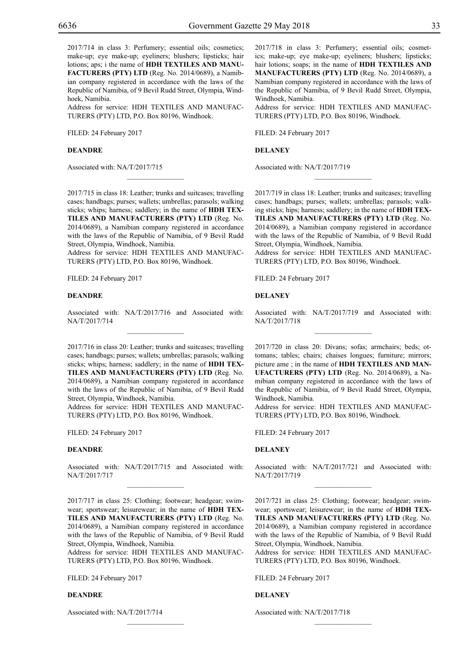2017/714 in class 3: Perfumery; essential oils; cosmetics; make-up; eye make-up; eyeliners; blushers; lipsticks; hair lotions; aps; i the name of **HDH TEXTILES AND MANU-FACTURERS (PTY) LTD** (Reg. No. 2014/0689), a Namibian company registered in accordance with the laws of the Republic of Namibia, of 9 Bevil Rudd Street, Olympia, Windhoek, Namibia.

Address for service: HDH TEXTILES AND MANUFAC-TURERS (PTY) LTD, P.O. Box 80196, Windhoek.

Filed: 24 February 2017

# **Deandre**

Associated with: NA/T/2017/715

2017/715 in class 18: Leather; trunks and suitcases; travelling cases; handbags; purses; wallets; umbrellas; parasols; walking sticks; whips; harness; saddlery; in the name of **HDH TEX-TILES AND MANUFACTURERS (PTY) LTD** (Reg. No. 2014/0689), a Namibian company registered in accordance with the laws of the Republic of Namibia, of 9 Bevil Rudd Street, Olympia, Windhoek, Namibia.

 $\mathcal{L}=\mathcal{L}^{\mathcal{L}}$ 

Address for service: HDH TEXTILES AND MANUFAC-TURERS (PTY) LTD, P.O. Box 80196, Windhoek.

FILED: 24 February 2017

#### **Deandre**

Associated with: NA/T/2017/716 and Associated with: NA/T/2017/714  $\mathcal{L}=\mathcal{L}^{\mathcal{L}}$ 

2017/716 in class 20: Leather; trunks and suitcases; travelling cases; handbags; purses; wallets; umbrellas; parasols; walking sticks; whips; harness; saddlery; in the name of **HDH TEX-TILES AND MANUFACTURERS (PTY) LTD** (Reg. No. 2014/0689), a Namibian company registered in accordance with the laws of the Republic of Namibia, of 9 Bevil Rudd Street, Olympia, Windhoek, Namibia.

Address for service: HDH TEXTILES AND MANUFAC-TURERS (PTY) LTD, P.O. Box 80196, Windhoek.

FILED: 24 February 2017

# **Deandre**

Associated with: NA/T/2017/715 and Associated with: NA/T/2017/717  $\overline{\phantom{a}}$  , where  $\overline{\phantom{a}}$ 

2017/717 in class 25: Clothing; footwear; headgear; swimwear; sportswear; leisurewear; in the name of **HDH TEX-TILES AND MANUFACTURERS (PTY) LTD** (Reg. No. 2014/0689), a Namibian company registered in accordance with the laws of the Republic of Namibia, of 9 Bevil Rudd Street, Olympia, Windhoek, Namibia.

Address for service: HDH TEXTILES AND MANUFAC-TURERS (PTY) LTD, P.O. Box 80196, Windhoek.

 $\mathcal{L}=\mathcal{L}^{\mathcal{L}}$ 

Filed: 24 February 2017

#### **Deandre**

Associated with: NA/T/2017/714

2017/718 in class 3: Perfumery; essential oils; cosmetics; make-up; eye make-up; eyeliners; blushers; lipsticks; hair lotions; soaps; in the name of **HDH TEXTILES AND MANUFACTURERS (PTY) LTD** (Reg. No. 2014/0689), a Namibian company registered in accordance with the laws of the Republic of Namibia, of 9 Bevil Rudd Street, Olympia, Windhoek, Namibia.

Address for service: HDH TEXTILES AND MANUFAC-TURERS (PTY) LTD, P.O. Box 80196, Windhoek.

Filed: 24 February 2017

**Delaney**

Associated with: NA/T/2017/719

2017/719 in class 18: Leather; trunks and suitcases; travelling cases; handbags; purses; wallets; umbrellas; parasols; walking sticks; hips; harness; saddlery; in the name of **HDH TEX-TILES AND MANUFACTURERS (PTY) LTD** (Reg. No. 2014/0689), a Namibian company registered in accordance with the laws of the Republic of Namibia, of 9 Bevil Rudd Street, Olympia, Windhoek, Namibia.

 $\frac{1}{2}$ 

Address for service: HDH TEXTILES AND MANUFAC-TURERS (PTY) LTD, P.O. Box 80196, Windhoek.

FILED: 24 February 2017

#### **Delaney**

Associated with: NA/T/2017/719 and Associated with: NA/T/2017/718  $\frac{1}{2}$ 

2017/720 in class 20: Divans; sofas; armchairs; beds; ottomans; tables; chairs; chaises longues; furniture; mirrors; picture ame ; in the name of **HDH TEXTILES AND MAN-UFACTURERS (PTY) LTD** (Reg. No. 2014/0689), a Namibian company registered in accordance with the laws of the Republic of Namibia, of 9 Bevil Rudd Street, Olympia, Windhoek, Namibia.

Address for service: HDH TEXTILES AND MANUFAC-TURERS (PTY) LTD, P.O. Box 80196, Windhoek.

FILED: 24 February 2017

# **Delaney**

Associated with: NA/T/2017/721 and Associated with: NA/T/2017/719  $\overline{\phantom{a}}$  , where  $\overline{\phantom{a}}$ 

2017/721 in class 25: Clothing; footwear; headgear; swimwear; sportswear; leisurewear; in the name of **HDH TEX-TILES AND MANUFACTURERS (PTY) LTD** (Reg. No. 2014/0689), a Namibian company registered in accordance with the laws of the Republic of Namibia, of 9 Bevil Rudd Street, Olympia, Windhoek, Namibia.

Address for service: HDH TEXTILES AND MANUFAC-TURERS (PTY) LTD, P.O. Box 80196, Windhoek.

 $\frac{1}{2}$ 

Filed: 24 February 2017

#### **Delaney**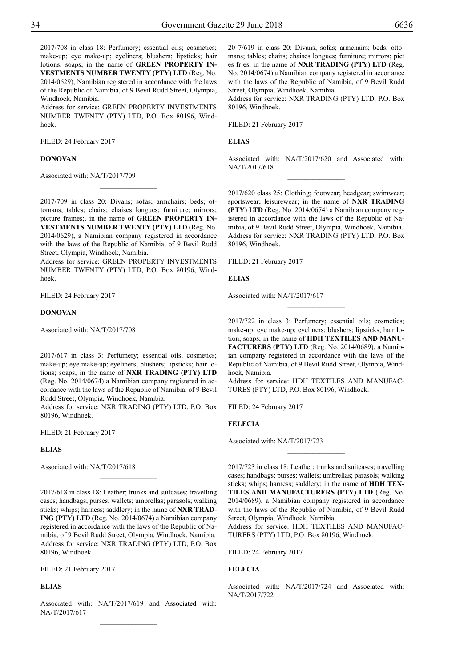2017/708 in class 18: Perfumery; essential oils; cosmetics; make-up; eye make-up; eyeliners; blushers; lipsticks; hair lotions; soaps; in the name of **GREEN PROPERTY IN-VESTMENTS NUMBER TWENTY (PTY) LTD** (Reg. No. 2014/0629), Namibian registered in accordance with the laws of the Republic of Namibia, of 9 Bevil Rudd Street, Olympia, Windhoek, Namibia.

Address for service: GREEN PROPERTY INVESTMENTS NUMBER TWENTY (PTY) LTD, P.O. Box 80196, Windhoek.

FILED: 24 February 2017

#### **Donovan**

Associated with: NA/T/2017/709

2017/709 in class 20: Divans; sofas; armchairs; beds; ottomans; tables; chairs; chaises longues; furniture; mirrors; picture frames;. in the name of **GREEN PROPERTY IN-VESTMENTS NUMBER TWENTY (PTY) LTD** (Reg. No. 2014/0629), a Namibian company registered in accordance with the laws of the Republic of Namibia, of 9 Bevil Rudd Street, Olympia, Windhoek, Namibia.

 $\frac{1}{2}$ 

Address for service: GREEN PROPERTY INVESTMENTS NUMBER TWENTY (PTY) LTD, P.O. Box 80196, Windhoek.

FILED: 24 February 2017

#### **Donovan**

Associated with: NA/T/2017/708

2017/617 in class 3: Perfumery; essential oils; cosmetics; make-up; eye make-up; eyeliners; blushers; lipsticks; hair lotions; soaps; in the name of **NXR TRADING (PTY) LTD** (Reg. No. 2014/0674) a Namibian company registered in accordance with the laws of the Republic of Namibia, of 9 Bevil Rudd Street, Olympia, Windhoek, Namibia.

 $\frac{1}{2}$ 

Address for service: NXR TRADING (PTY) LTD, P.O. Box 80196, Windhoek.

FILED: 21 February 2017

# **Elias**

Associated with: NA/T/2017/618

2017/618 in class 18: Leather; trunks and suitcases; travelling cases; handbags; purses; wallets; umbrellas; parasols; walking sticks; whips; harness; saddlery; in the name of **NXR TRAD-ING (PTY) LTD** (Reg. No. 2014/0674) a Namibian company registered in accordance with the laws of the Republic of Namibia, of 9 Bevil Rudd Street, Olympia, Windhoek, Namibia. Address for service: NXR TRADING (PTY) LTD, P.O. Box 80196, Windhoek.

 $\frac{1}{2}$ 

Filed: 21 February 2017

# **Elias**

Associated with: NA/T/2017/619 and Associated with: NA/T/2017/617  $\frac{1}{2}$ 

20 7/619 in class 20: Divans; sofas; armchairs; beds; ottomans; tables; chairs; chaises longues; furniture; mirrors; pict es fr es; in the name of **NXR TRADING (PTY) LTD** (Reg. No. 2014/0674) a Namibian company registered in accor ance with the laws of the Republic of Namibia, of 9 Bevil Rudd Street, Olympia, Windhoek, Namibia.

Address for service: NXR TRADING (PTY) LTD, P.O. Box 80196, Windhoek.

Filed: 21 February 2017

#### **Elias**

Associated with: NA/T/2017/620 and Associated with: NA/T/2017/618  $\frac{1}{2}$ 

2017/620 class 25: Clothing; footwear; headgear; swimwear; sportswear; leisurewear; in the name of **NXR TRADING (PTY) LTD** (Reg. No. 2014/0674) a Namibian company registered in accordance with the laws of the Republic of Namibia, of 9 Bevil Rudd Street, Olympia, Windhoek, Namibia. Address for service: NXR TRADING (PTY) LTD, P.O. Box 80196, Windhoek.

Filed: 21 February 2017

#### **Elias**

Associated with: NA/T/2017/617

2017/722 in class 3: Perfumery; essential oils; cosmetics; make-up; eye make-up; eyeliners; blushers; lipsticks; hair lotion; soaps; in the name of **HDH TEXTILES AND MANU-FACTURERS (PTY) LTD** (Reg. No. 2014/0689), a Namibian company registered in accordance with the laws of the Republic of Namibia, of 9 Bevil Rudd Street, Olympia, Windhoek, Namibia.

 $\overline{\phantom{a}}$  , where  $\overline{\phantom{a}}$ 

Address for service: HDH TEXTILES AND MANUFAC-TURES (PTY) LTD, P.O. Box 80196, Windhoek.

FILED: 24 February 2017

# **Felecia**

Associated with: NA/T/2017/723

2017/723 in class 18: Leather; trunks and suitcases; travelling cases; handbags; purses; wallets; umbrellas; parasols; walking sticks; whips; harness; saddlery; in the name of **HDH TEX-TILES AND MANUFACTURERS (PTY) LTD** (Reg. No. 2014/0689), a Namibian company registered in accordance with the laws of the Republic of Namibia, of 9 Bevil Rudd Street, Olympia, Windhoek, Namibia.

 $\frac{1}{2}$ 

Address for service: HDH TEXTILES AND MANUFAC-TURERS (PTY) LTD, P.O. Box 80196, Windhoek.

FILED: 24 February 2017

# **Felecia**

Associated with: NA/T/2017/724 and Associated with: NA/T/2017/722  $\frac{1}{2}$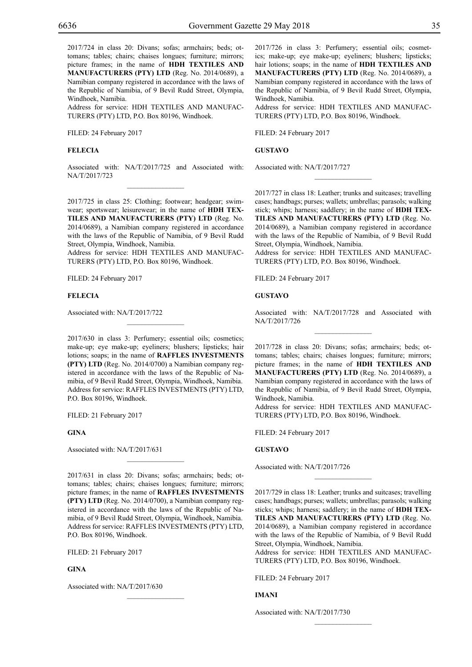2017/724 in class 20: Divans; sofas; armchairs; beds; ottomans; tables; chairs; chaises longues; furniture; mirrors; picture frames; in the name of **HDH TEXTILES AND MANUFACTURERS (PTY) LTD** (Reg. No. 2014/0689), a Namibian company registered in accordance with the laws of the Republic of Namibia, of 9 Bevil Rudd Street, Olympia, Windhoek, Namibia.

Address for service: HDH TEXTILES AND MANUFAC-TURERS (PTY) LTD, P.O. Box 80196, Windhoek.

Filed: 24 February 2017

# **Felecia**

Associated with: NA/T/2017/725 and Associated with: NA/T/2017/723  $\mathcal{L}=\mathcal{L}^{\mathcal{L}}$ 

2017/725 in class 25: Clothing; footwear; headgear; swimwear; sportswear; leisurewear; in the name of **HDH TEX-TILES AND MANUFACTURERS (PTY) LTD** (Reg. No. 2014/0689), a Namibian company registered in accordance with the laws of the Republic of Namibia, of 9 Bevil Rudd Street, Olympia, Windhoek, Namibia.

Address for service: HDH TEXTILES AND MANUFAC-TURERS (PTY) LTD, P.O. Box 80196, Windhoek.

FILED: 24 February 2017

#### **Felecia**

Associated with: NA/T/2017/722

2017/630 in class 3: Perfumery; essential oils; cosmetics; make-up; eye make-up; eyeliners; blushers; lipsticks; hair lotions; soaps; in the name of **RAFFLES INVESTMENTS (PTY) LTD** (Reg. No. 2014/0700) a Namibian company registered in accordance with the laws of the Republic of Namibia, of 9 Bevil Rudd Street, Olympia, Windhoek, Namibia. Address for service: RAFFLES INVESTMENTS (PTY) LTD, P.O. Box 80196, Windhoek.

 $\mathcal{L}=\mathcal{L}^{\mathcal{L}}$ 

FILED: 21 February 2017

#### **Gina**

Associated with: NA/T/2017/631

2017/631 in class 20: Divans; sofas; armchairs; beds; ottomans; tables; chairs; chaises longues; furniture; mirrors; picture frames; in the name of **RAFFLES INVESTMENTS (PTY) LTD** (Reg. No. 2014/0700), a Namibian company registered in accordance with the laws of the Republic of Namibia, of 9 Bevil Rudd Street, Olympia, Windhoek, Namibia. Address for service: RAFFLES INVESTMENTS (PTY) LTD, P.O. Box 80196, Windhoek.

 $\mathcal{L}=\mathcal{L}^{\mathcal{L}}$ 

 $\mathcal{L}=\mathcal{L}^{\mathcal{L}}$ 

FILED: 21 February 2017

# **Gina**

Associated with: NA/T/2017/630

2017/726 in class 3: Perfumery; essential oils; cosmetics; make-up; eye make-up; eyeliners; blushers; lipsticks; hair lotions; soaps; in the name of **HDH TEXTILES AND MANUFACTURERS (PTY) LTD** (Reg. No. 2014/0689), a Namibian company registered in accordance with the laws of the Republic of Namibia, of 9 Bevil Rudd Street, Olympia, Windhoek, Namibia.

Address for service: HDH TEXTILES AND MANUFAC-TURERS (PTY) LTD, P.O. Box 80196, Windhoek.

Filed: 24 February 2017

**Gustavo**

Associated with: NA/T/2017/727

2017/727 in class 18: Leather; trunks and suitcases; travelling cases; handbags; purses; wallets; umbrellas; parasols; walking stick; whips; harness; saddlery; in the name of **HDH TEX-TILES AND MANUFACTURERS (PTY) LTD** (Reg. No. 2014/0689), a Namibian company registered in accordance with the laws of the Republic of Namibia, of 9 Bevil Rudd Street, Olympia, Windhoek, Namibia.

 $\frac{1}{2}$ 

Address for service: HDH TEXTILES AND MANUFAC-TURERS (PTY) LTD, P.O. Box 80196, Windhoek.

FILED: 24 February 2017

#### **Gustavo**

Associated with: NA/T/2017/728 and Associated with NA/T/2017/726  $\frac{1}{2}$ 

2017/728 in class 20: Divans; sofas; armchairs; beds; ottomans; tables; chairs; chaises longues; furniture; mirrors; picture frames; in the name of **HDH TEXTILES AND MANUFACTURERS (PTY) LTD** (Reg. No. 2014/0689), a Namibian company registered in accordance with the laws of the Republic of Namibia, of 9 Bevil Rudd Street, Olympia, Windhoek, Namibia.

Address for service: HDH TEXTILES AND MANUFAC-TURERS (PTY) LTD, P.O. Box 80196, Windhoek.

FILED: 24 February 2017

# **Gustavo**

Associated with: NA/T/2017/726

2017/729 in class 18: Leather; trunks and suitcases; travelling cases; handbags; purses; wallets; umbrellas; parasols; walking sticks; whips; harness; saddlery; in the name of **HDH TEX-TILES AND MANUFACTURERS (PTY) LTD** (Reg. No. 2014/0689), a Namibian company registered in accordance with the laws of the Republic of Namibia, of 9 Bevil Rudd Street, Olympia, Windhoek, Namibia.

 $\frac{1}{2}$ 

Address for service: HDH TEXTILES AND MANUFAC-TURERS (PTY) LTD, P.O. Box 80196, Windhoek.

 $\frac{1}{2}$ 

Filed: 24 February 2017

#### **Imani**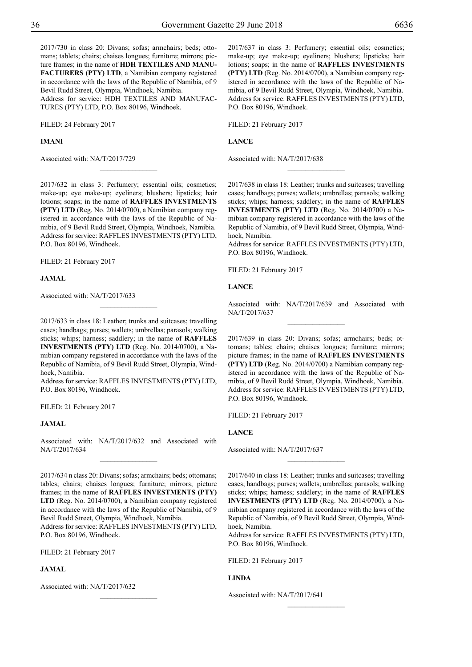2017/730 in class 20: Divans; sofas; armchairs; beds; ottomans; tablets; chairs; chaises longues; furniture; mirrors; picture frames; in the name of **HDH TEXTILES AND MANU-FACTURERS (PTY) LTD**, a Namibian company registered in accordance with the laws of the Republic of Namibia, of 9 Bevil Rudd Street, Olympia, Windhoek, Namibia. Address for service: HDH TEXTILES AND MANUFAC-TURES (PTY) LTD, P.O. Box 80196, Windhoek.

FILED: 24 February 2017

**Imani**

Associated with: NA/T/2017/729

2017/637 in class 3: Perfumery; essential oils; cosmetics; make-up; eye make-up; eyeliners; blushers; lipsticks; hair lotions; soaps; in the name of **RAFFLES INVESTMENTS (PTY) LTD** (Reg. No. 2014/0700), a Namibian company registered in accordance with the laws of the Republic of Namibia, of 9 Bevil Rudd Street, Olympia, Windhoek, Namibia. Address for service: RAFFLES INVESTMENTS (PTY) LTD, P.O. Box 80196, Windhoek.

Filed: 21 February 2017

**Lance**

Associated with: NA/T/2017/638

2017/632 in class 3: Perfumery; essential oils; cosmetics; make-up; eye make-up; eyeliners; blushers; lipsticks; hair lotions; soaps; in the name of **RAFFLES INVESTMENTS (PTY) LTD** (Reg. No. 2014/0700), a Namibian company registered in accordance with the laws of the Republic of Namibia, of 9 Bevil Rudd Street, Olympia, Windhoek, Namibia. Address for service: RAFFLES INVESTMENTS (PTY) LTD, P.O. Box 80196, Windhoek.

 $\overline{\phantom{a}}$  , where  $\overline{\phantom{a}}$ 

FILED: 21 February 2017

**Jamal**

Associated with: NA/T/2017/633

2017/633 in class 18: Leather; trunks and suitcases; travelling cases; handbags; purses; wallets; umbrellas; parasols; walking sticks; whips; harness; saddlery; in the name of **RAFFLES INVESTMENTS (PTY) LTD** (Reg. No. 2014/0700), a Namibian company registered in accordance with the laws of the Republic of Namibia, of 9 Bevil Rudd Street, Olympia, Windhoek, Namibia.

 $\overline{\phantom{a}}$  , where  $\overline{\phantom{a}}$ 

Address for service: RAFFLES INVESTMENTS (PTY) LTD, P.O. Box 80196, Windhoek.

FILED: 21 February 2017

#### **Jamal**

Associated with: NA/T/2017/632 and Associated with NA/T/2017/634  $\frac{1}{2}$ 

2017/634 n class 20: Divans; sofas; armchairs; beds; ottomans; tables; chairs; chaises longues; furniture; mirrors; picture frames; in the name of **RAFFLES INVESTMENTS (PTY) LTD** (Reg. No. 2014/0700), a Namibian company registered in accordance with the laws of the Republic of Namibia, of 9 Bevil Rudd Street, Olympia, Windhoek, Namibia.

Address for service: RAFFLES INVESTMENTS (PTY) LTD, P.O. Box 80196, Windhoek.

 $\frac{1}{2}$ 

Filed: 21 February 2017

# **Jamal**

Associated with: NA/T/2017/632

2017/638 in class 18: Leather; trunks and suitcases; travelling cases; handbags; purses; wallets; umbrellas; parasols; walking sticks; whips; harness; saddlery; in the name of **RAFFLES INVESTMENTS (PTY) LTD** (Reg. No. 2014/0700) a Namibian company registered in accordance with the laws of the Republic of Namibia, of 9 Bevil Rudd Street, Olympia, Windhoek, Namibia.

 $\overline{\phantom{a}}$  , where  $\overline{\phantom{a}}$ 

Address for service: RAFFLES INVESTMENTS (PTY) LTD, P.O. Box 80196, Windhoek.

FILED: 21 February 2017

#### **Lance**

Associated with: NA/T/2017/639 and Associated with NA/T/2017/637  $\frac{1}{2}$ 

2017/639 in class 20: Divans; sofas; armchairs; beds; ottomans; tables; chairs; chaises longues; furniture; mirrors; picture frames; in the name of **RAFFLES INVESTMENTS (PTY) LTD** (Reg. No. 2014/0700) a Namibian company registered in accordance with the laws of the Republic of Namibia, of 9 Bevil Rudd Street, Olympia, Windhoek, Namibia. Address for service: RAFFLES INVESTMENTS (PTY) LTD, P.O. Box 80196, Windhoek.

FILED: 21 February 2017

# **Lance**

Associated with: NA/T/2017/637

2017/640 in class 18: Leather; trunks and suitcases; travelling cases; handbags; purses; wallets; umbrellas; parasols; walking sticks; whips; harness; saddlery; in the name of **RAFFLES INVESTMENTS (PTY) LTD** (Reg. No. 2014/0700), a Namibian company registered in accordance with the laws of the Republic of Namibia, of 9 Bevil Rudd Street, Olympia, Windhoek, Namibia.

 $\frac{1}{2}$ 

Address for service: RAFFLES INVESTMENTS (PTY) LTD, P.O. Box 80196, Windhoek.

 $\frac{1}{2}$ 

Filed: 21 February 2017

#### **Linda**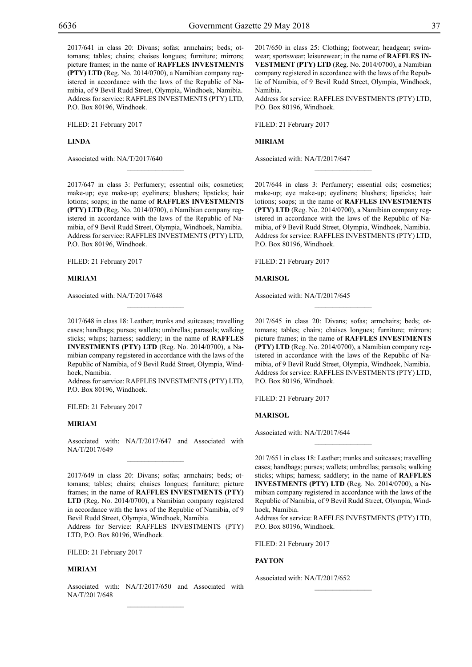2017/641 in class 20: Divans; sofas; armchairs; beds; ottomans; tables; chairs; chaises longues; furniture; mirrors; picture frames; in the name of **RAFFLES INVESTMENTS (PTY) LTD** (Reg. No. 2014/0700), a Namibian company registered in accordance with the laws of the Republic of Namibia, of 9 Bevil Rudd Street, Olympia, Windhoek, Namibia. Address for service: RAFFLES INVESTMENTS (PTY) LTD, P.O. Box 80196, Windhoek.

FILED: 21 February 2017

**Linda**

Associated with: NA/T/2017/640

2017/647 in class 3: Perfumery; essential oils; cosmetics; make-up; eye make-up; eyeliners; blushers; lipsticks; hair lotions; soaps; in the name of **RAFFLES INVESTMENTS (PTY) LTD** (Reg. No. 2014/0700), a Namibian company registered in accordance with the laws of the Republic of Namibia, of 9 Bevil Rudd Street, Olympia, Windhoek, Namibia. Address for service: RAFFLES INVESTMENTS (PTY) LTD, P.O. Box 80196, Windhoek.

 $\overline{\phantom{a}}$  , where  $\overline{\phantom{a}}$ 

Filed: 21 February 2017

#### **Miriam**

Associated with: NA/T/2017/648

2017/648 in class 18: Leather; trunks and suitcases; travelling cases; handbags; purses; wallets; umbrellas; parasols; walking sticks; whips; harness; saddlery; in the name of **RAFFLES INVESTMENTS (PTY) LTD** (Reg. No. 2014/0700), a Namibian company registered in accordance with the laws of the Republic of Namibia, of 9 Bevil Rudd Street, Olympia, Windhoek, Namibia.

 $\overline{\phantom{a}}$  , where  $\overline{\phantom{a}}$ 

Address for service: RAFFLES INVESTMENTS (PTY) LTD, P.O. Box 80196, Windhoek.

FILED: 21 February 2017

#### **Miriam**

Associated with: NA/T/2017/647 and Associated with NA/T/2017/649  $\mathcal{L}=\mathcal{L}^{\text{max}}$ 

2017/649 in class 20: Divans; sofas; armchairs; beds; ottomans; tables; chairs; chaises longues; furniture; picture frames; in the name of **RAFFLES INVESTMENTS (PTY) LTD** (Reg. No. 2014/0700), a Namibian company registered in accordance with the laws of the Republic of Namibia, of 9 Bevil Rudd Street, Olympia, Windhoek, Namibia.

Address for Service: Raffles Investments (Pty) LTD, P.O. Box 80196, Windhoek.

Filed: 21 February 2017

# **Miriam**

Associated with: NA/T/2017/650 and Associated with NA/T/2017/648  $\mathcal{L}=\mathcal{L}^{\text{max}}$ 

2017/650 in class 25: Clothing; footwear; headgear; swimwear; sportswear; leisurewear; in the name of **RAFFLES IN-VESTMENT (PTY) LTD** (Reg. No. 2014/0700), a Namibian company registered in accordance with the laws of the Republic of Namibia, of 9 Bevil Rudd Street, Olympia, Windhoek, Namibia.

Address for service: RAFFLES INVESTMENTS (PTY) LTD, P.O. Box 80196, Windhoek.

Filed: 21 February 2017

#### **Miriam**

Associated with: NA/T/2017/647

2017/644 in class 3: Perfumery; essential oils; cosmetics; make-up; eye make-up; eyeliners; blushers; lipsticks; hair lotions; soaps; in the name of **RAFFLES INVESTMENTS (PTY) LTD** (Reg. No. 2014/0700), a Namibian company registered in accordance with the laws of the Republic of Namibia, of 9 Bevil Rudd Street, Olympia, Windhoek, Namibia. Address for service: RAFFLES INVESTMENTS (PTY) LTD, P.O. Box 80196, Windhoek.

 $\overline{\phantom{a}}$  , we can also the set of  $\overline{\phantom{a}}$ 

FILED: 21 February 2017

# **Marisol**

Associated with: NA/T/2017/645

2017/645 in class 20: Divans; sofas; armchairs; beds; ottomans; tables; chairs; chaises longues; furniture; mirrors; picture frames; in the name of **RAFFLES INVESTMENTS (PTY) LTD** (Reg. No. 2014/0700), a Namibian company registered in accordance with the laws of the Republic of Namibia, of 9 Bevil Rudd Street, Olympia, Windhoek, Namibia. Address for service: RAFFLES INVESTMENTS (PTY) LTD, P.O. Box 80196, Windhoek.

 $\overline{\phantom{a}}$  , we can also the set of  $\overline{\phantom{a}}$ 

FILED: 21 February 2017

#### **Marisol**

Associated with: NA/T/2017/644

2017/651 in class 18: Leather; trunks and suitcases; travelling cases; handbags; purses; wallets; umbrellas; parasols; walking sticks; whips; harness; saddlery; in the name of **RAFFLES INVESTMENTS (PTY) LTD** (Reg. No. 2014/0700), a Namibian company registered in accordance with the laws of the Republic of Namibia, of 9 Bevil Rudd Street, Olympia, Windhoek, Namibia.

Address for service: RAFFLES INVESTMENTS (PTY) LTD, P.O. Box 80196, Windhoek.

FILED: 21 February 2017

#### **Payton**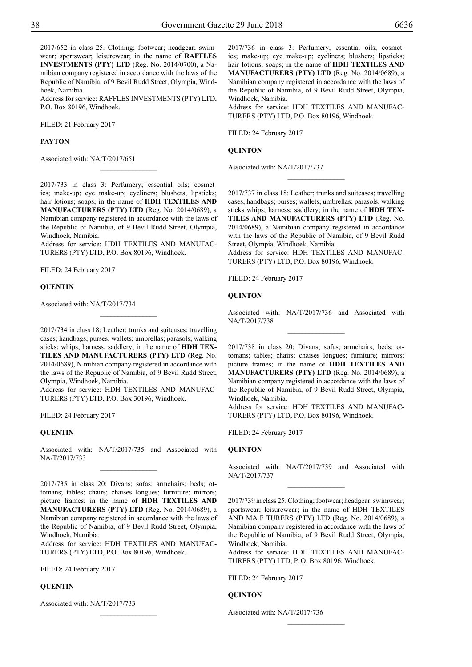2017/652 in class 25: Clothing; footwear; headgear; swimwear; sportswear; leisurewear; in the name of **RAFFLES INVESTMENTS (PTY) LTD** (Reg. No. 2014/0700), a Namibian company registered in accordance with the laws of the Republic of Namibia, of 9 Bevil Rudd Street, Olympia, Windhoek, Namibia.

Address for service: RAFFLES INVESTMENTS (PTY) LTD, P.O. Box 80196, Windhoek.

FILED: 21 February 2017

#### **Payton**

Associated with: NA/T/2017/651

2017/733 in class 3: Perfumery; essential oils; cosmetics; make-up; eye make-up; eyeliners; blushers; lipsticks; hair lotions; soaps; in the name of **HDH TEXTILES AND MANUFACTURERS (PTY) LTD** (Reg. No. 2014/0689), a Namibian company registered in accordance with the laws of the Republic of Namibia, of 9 Bevil Rudd Street, Olympia, Windhoek, Namibia.

 $\overline{\phantom{a}}$  , where  $\overline{\phantom{a}}$ 

Address for service: HDH TEXTILES AND MANUFAC-TURERS (PTY) LTD, P.O. Box 80196, Windhoek.

FILED: 24 February 2017

#### **Quentin**

Associated with: NA/T/2017/734

2017/734 in class 18: Leather; trunks and suitcases; travelling cases; handbags; purses; wallets; umbrellas; parasols; walking sticks; whips; harness; saddlery; in the name of **HDH TEX-TILES AND MANUFACTURERS (PTY) LTD** (Reg. No. 2014/0689), N mibian company registered in accordance with the laws of the Republic of Namibia, of 9 Bevil Rudd Street, Olympia, Windhoek, Namibia.

Address for service: HDH TEXTILES AND MANUFAC-TURERS (PTY) LTD, P.O. Box 30196, Windhoek.

FILED: 24 February 2017

#### **Quentin**

Associated with: NA/T/2017/735 and Associated with NA/T/2017/733  $\frac{1}{2}$ 

2017/735 in class 20: Divans; sofas; armchairs; beds; ottomans; tables; chairs; chaises longues; furniture; mirrors; picture frames; in the name of **HDH TEXTILES AND MANUFACTURERS (PTY) LTD** (Reg. No. 2014/0689), a Namibian company registered in accordance with the laws of the Republic of Namibia, of 9 Bevil Rudd Street, Olympia, Windhoek, Namibia.

Address for service: HDH TEXTILES AND MANUFAC-TURERS (PTY) LTD, P.O. Box 80196, Windhoek.

 $\frac{1}{2}$ 

Filed: 24 February 2017

# **Quentin**

Associated with: NA/T/2017/733

2017/736 in class 3: Perfumery; essential oils; cosmetics; make-up; eye make-up; eyeliners; blushers; lipsticks; hair lotions; soaps; in the name of **HDH TEXTILES AND MANUFACTURERS (PTY) LTD** (Reg. No. 2014/0689), a Namibian company registered in accordance with the laws of the Republic of Namibia, of 9 Bevil Rudd Street, Olympia, Windhoek, Namibia.

Address for service: HDH TEXTILES AND MANUFAC-TURERS (PTY) LTD, P.O. Box 80196, Windhoek.

Filed: 24 February 2017

# **Quinton**

Associated with: NA/T/2017/737

2017/737 in class 18: Leather; trunks and suitcases; travelling cases; handbags; purses; wallets; umbrellas; parasols; walking sticks whips; harness; saddlery; in the name of **HDH TEX-TILES AND MANUFACTURERS (PTY) LTD** (Reg. No. 2014/0689), a Namibian company registered in accordance with the laws of the Republic of Namibia, of 9 Bevil Rudd Street, Olympia, Windhoek, Namibia.

 $\frac{1}{2}$ 

Address for service: HDH TEXTILES AND MANUFAC-TURERS (PTY) LTD, P.O. Box 80196, Windhoek.

FILED: 24 February 2017

#### **Quinton**

Associated with: NA/T/2017/736 and Associated with NA/T/2017/738  $\frac{1}{2}$ 

2017/738 in class 20: Divans; sofas; armchairs; beds; ottomans; tables; chairs; chaises longues; furniture; mirrors; picture frames; in the name of **HDH TEXTILES AND MANUFACTURERS (PTY) LTD** (Reg. No. 2014/0689), a Namibian company registered in accordance with the laws of the Republic of Namibia, of 9 Bevil Rudd Street, Olympia, Windhoek, Namibia.

Address for service: HDH TEXTILES AND MANUFAC-TURERS (PTY) LTD, P.O. Box 80196, Windhoek.

FILED: 24 February 2017

# **Quinton**

Associated with: NA/T/2017/739 and Associated with NA/T/2017/737  $\overline{\phantom{a}}$  , where  $\overline{\phantom{a}}$ 

2017/739 in class 25: Clothing; footwear; headgear; swimwear; sportswear; leisurewear; in the name of HDH TEXTILES AND MA F TURERS (PTY) LTD (Reg. No. 2014/0689), a Namibian company registered in accordance with the laws of the Republic of Namibia, of 9 Bevil Rudd Street, Olympia, Windhoek, Namibia.

Address for service: HDH TEXTILES AND MANUFAC-TURERS (PTY) LTD, P. O. Box 80196, Windhoek.

 $\frac{1}{2}$ 

Filed: 24 February 2017

# **Quinton**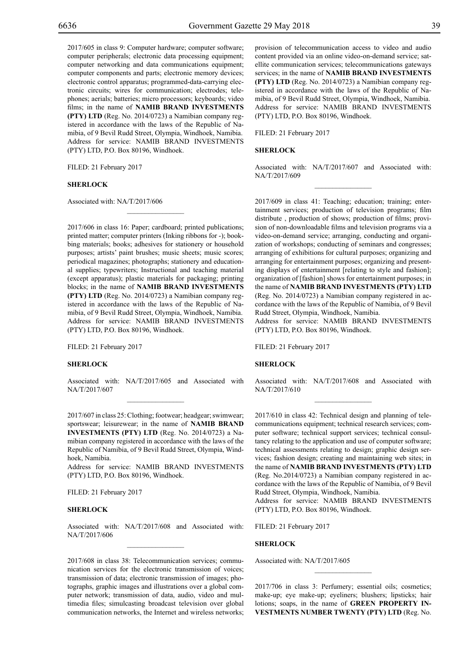2017/605 in class 9: Computer hardware; computer software; computer peripherals; electronic data processing equipment; computer networking and data communications equipment; computer components and parts; electronic memory devices; electronic control apparatus; programmed-data-carrying electronic circuits; wires for communication; electrodes; telephones; aerials; batteries; micro processors; keyboards; video films; in the name of **NAMIB BRAND INVESTMENTS (PTY) LTD** (Reg. No. 2014/0723) a Namibian company registered in accordance with the laws of the Republic of Namibia, of 9 Bevil Rudd Street, Olympia, Windhoek, Namibia. Address for service: NAMIB BRAND INVESTMENTS (PTY) LTD, P.O. Box 80196, Windhoek.

FILED: 21 February 2017

### **SHERLOCK**

Associated with: NA/T/2017/606

2017/606 in class 16: Paper; cardboard; printed publications; printed matter; computer printers (Inking ribbons for -); bookbing materials; books; adhesives for stationery or household purposes; artists' paint brushes; music sheets; music scores; periodical magazines; photographs; stationery and educational supplies; typewriters; Instructional and teaching material (except apparatus); plastic materials for packaging; printing blocks; in the name of **NAMIB BRAND INVESTMENTS (PTY) LTD** (Reg. No. 2014/0723) a Namibian company registered in accordance with the laws of the Republic of Namibia, of 9 Bevil Rudd Street, Olympia, Windhoek, Namibia. Address for service: NAMIB BRAND INVESTMENTS (PTY) LTD, P.O. Box 80196, Windhoek.

 $\overline{\phantom{a}}$  , where  $\overline{\phantom{a}}$ 

Filed: 21 February 2017

#### **SHERLOCK**

Associated with: NA/T/2017/605 and Associated with NA/T/2017/607

2017/607 in class 25: Clothing; footwear; headgear; swimwear; sportswear; leisurewear; in the name of **NAMIB BRAND INVESTMENTS (PTY) LTD** (Reg. No. 2014/0723) a Namibian company registered in accordance with the laws of the Republic of Namibia, of 9 Bevil Rudd Street, Olympia, Windhoek, Namibia.

Address for service: NAMIB BRAND INVESTMENTS  $(PTY)$  LTD, P.O. Box 80196, Windhoek.

Filed: 21 February 2017

#### **SHERLOCK**

Associated with: NA/T/2017/608 and Associated with: NA/T/2017/606

2017/608 in class 38: Telecommunication services; communication services for the electronic transmission of voices; transmission of data; electronic transmission of images; photographs, graphic images and illustrations over a global computer network; transmission of data, audio, video and multimedia files; simulcasting broadcast television over global communication networks, the Internet and wireless networks; provision of telecommunication access to video and audio content provided via an online video-on-demand service; satellite communication services; telecommunications gateways services; in the name of **NAMIB BRAND INVESTMENTS (PTY) LTD** (Reg. No. 2014/0723) a Namibian company registered in accordance with the laws of the Republic of Namibia, of 9 Bevil Rudd Street, Olympia, Windhoek, Namibia. Address for service: NAMIB BRAND INVESTMENTS (PTY) LTD, P.O. Box 80196, Windhoek.

Filed: 21 February 2017

#### **SHERLOCK**

Associated with: NA/T/2017/607 and Associated with: NA/T/2017/609  $\frac{1}{2}$ 

2017/609 in class 41: Teaching; education; training; entertainment services; production of television programs; film distribute , production of shows; production of films; provision of non-downloadable films and television programs via a video-on-demand service; arranging, conducting and organization of workshops; conducting of seminars and congresses; arranging of exhibitions for cultural purposes; organizing and arranging for entertainment purposes; organizing and presenting displays of entertainment [relating to style and fashion]; organization of [fashion] shows for entertainment purposes; in the name of **NAMIB BRAND INVESTMENTS (PTY) LTD** (Reg. No. 2014/0723) a Namibian company registered in accordance with the laws of the Republic of Namibia, of 9 Bevil Rudd Street, Olympia, Windhoek, Namibia.

Address for service: NAMIB BRAND INVESTMENTS (PTY) LTD, P.O. Box 80196, Windhoek.

Filed: 21 February 2017

#### **SHERLOCK**

Associated with: NA/T/2017/608 and Associated with NA/T/2017/610

2017/610 in class 42: Technical design and planning of telecommunications equipment; technical research services; computer software; technical support services; technical consultancy relating to the application and use of computer software; technical assessments relating to design; graphic design services; fashion design; creating and maintaining web sites; in the name of **NAMIB BRAND INVESTMENTS (PTY) LTD** (Reg. No.2014/0723) a Namibian company registered in accordance with the laws of the Republic of Namibia, of 9 Bevil Rudd Street, Olympia, Windhoek, Namibia. Address for service: NAMIB BRAND INVESTMENTS

(PTY) LTD, P.O. Box 80196, Windhoek.

FILED: 21 February 2017

#### **SHERLOCK**

Associated with: NA/T/2017/605

2017/706 in class 3: Perfumery; essential oils; cosmetics; make-up; eye make-up; eyeliners; blushers; lipsticks; hair lotions; soaps, in the name of **GREEN PROPERTY IN-VESTMENTS NUMBER TWENTY (PTY) LTD** (Reg. No.

 $\overline{\phantom{a}}$  , we can also the set of  $\overline{\phantom{a}}$